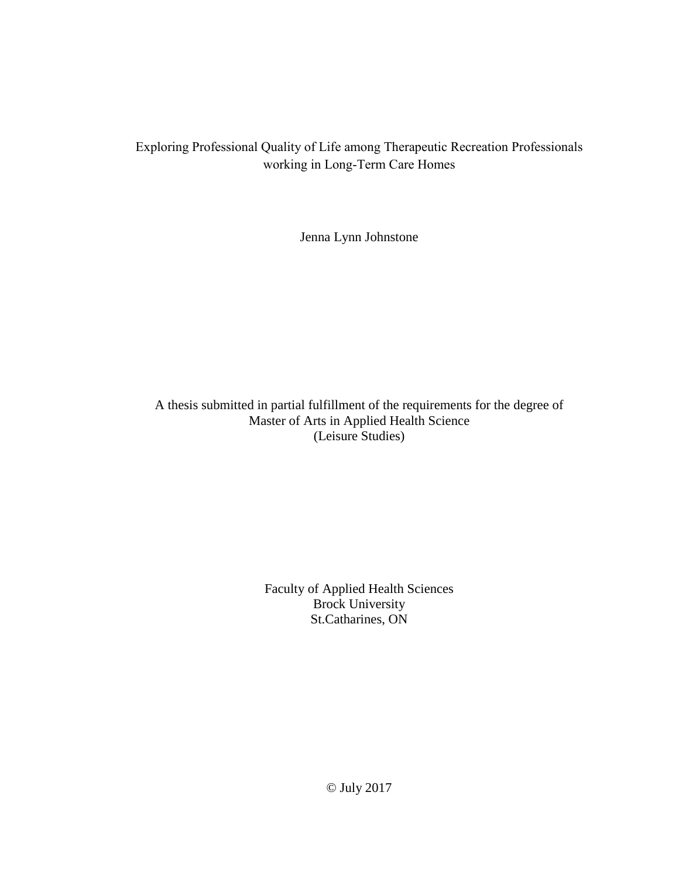# Exploring Professional Quality of Life among Therapeutic Recreation Professionals working in Long-Term Care Homes

Jenna Lynn Johnstone

A thesis submitted in partial fulfillment of the requirements for the degree of Master of Arts in Applied Health Science (Leisure Studies)

> Faculty of Applied Health Sciences Brock University St.Catharines, ON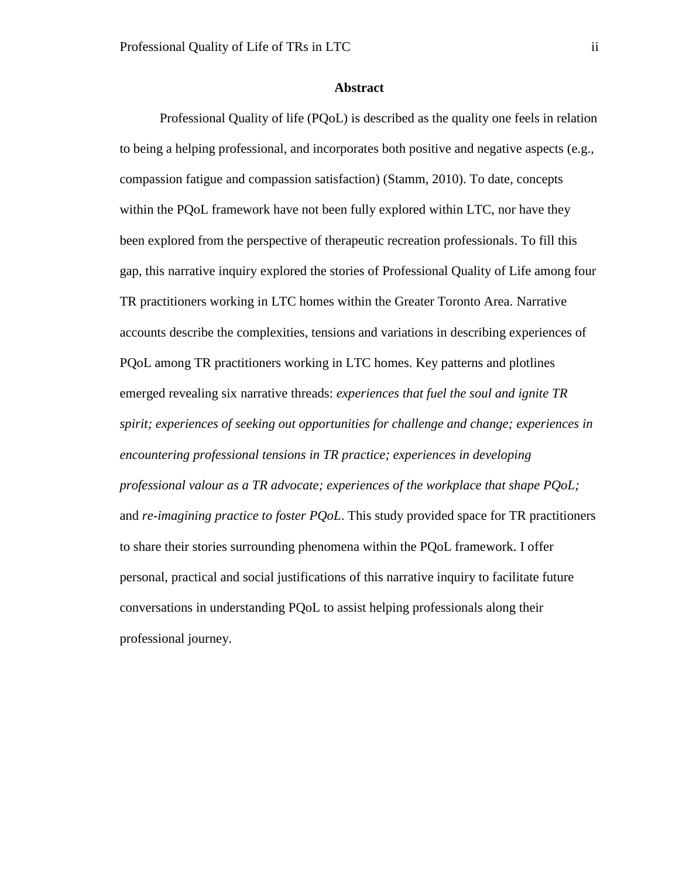## **Abstract**

<span id="page-1-0"></span>Professional Quality of life (PQoL) is described as the quality one feels in relation to being a helping professional, and incorporates both positive and negative aspects (e.g., compassion fatigue and compassion satisfaction) (Stamm, 2010). To date, concepts within the PQoL framework have not been fully explored within LTC, nor have they been explored from the perspective of therapeutic recreation professionals. To fill this gap, this narrative inquiry explored the stories of Professional Quality of Life among four TR practitioners working in LTC homes within the Greater Toronto Area. Narrative accounts describe the complexities, tensions and variations in describing experiences of PQoL among TR practitioners working in LTC homes. Key patterns and plotlines emerged revealing six narrative threads: *experiences that fuel the soul and ignite TR spirit; experiences of seeking out opportunities for challenge and change; experiences in encountering professional tensions in TR practice; experiences in developing professional valour as a TR advocate; experiences of the workplace that shape PQoL;* and *re-imagining practice to foster PQoL*. This study provided space for TR practitioners to share their stories surrounding phenomena within the PQoL framework. I offer personal, practical and social justifications of this narrative inquiry to facilitate future conversations in understanding PQoL to assist helping professionals along their professional journey.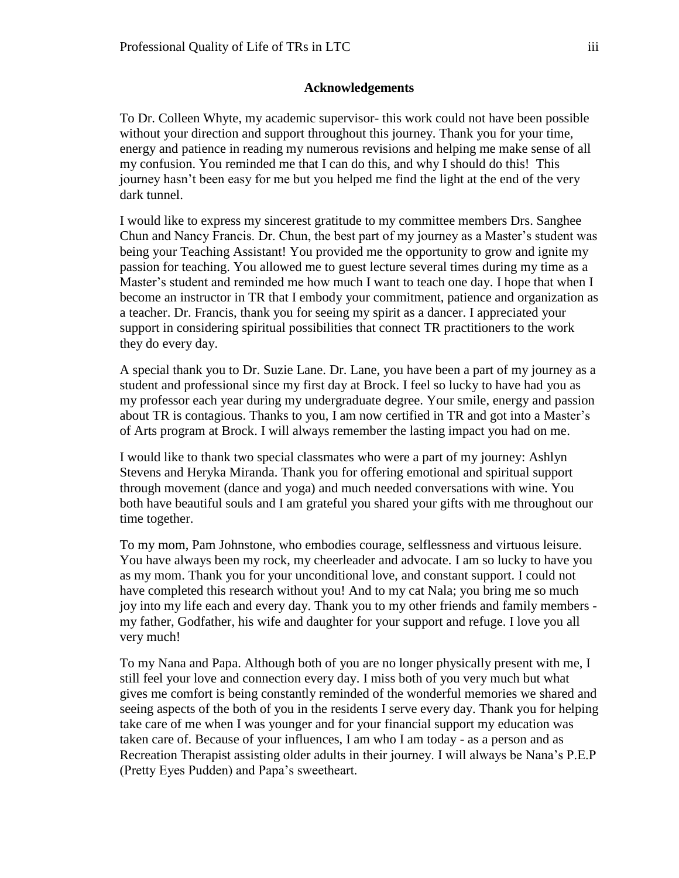## **Acknowledgements**

<span id="page-2-0"></span>To Dr. Colleen Whyte, my academic supervisor- this work could not have been possible without your direction and support throughout this journey. Thank you for your time, energy and patience in reading my numerous revisions and helping me make sense of all my confusion. You reminded me that I can do this, and why I should do this! This journey hasn't been easy for me but you helped me find the light at the end of the very dark tunnel.

I would like to express my sincerest gratitude to my committee members Drs. Sanghee Chun and Nancy Francis. Dr. Chun, the best part of my journey as a Master's student was being your Teaching Assistant! You provided me the opportunity to grow and ignite my passion for teaching. You allowed me to guest lecture several times during my time as a Master's student and reminded me how much I want to teach one day. I hope that when I become an instructor in TR that I embody your commitment, patience and organization as a teacher. Dr. Francis, thank you for seeing my spirit as a dancer. I appreciated your support in considering spiritual possibilities that connect TR practitioners to the work they do every day.

A special thank you to Dr. Suzie Lane. Dr. Lane, you have been a part of my journey as a student and professional since my first day at Brock. I feel so lucky to have had you as my professor each year during my undergraduate degree. Your smile, energy and passion about TR is contagious. Thanks to you, I am now certified in TR and got into a Master's of Arts program at Brock. I will always remember the lasting impact you had on me.

I would like to thank two special classmates who were a part of my journey: Ashlyn Stevens and Heryka Miranda. Thank you for offering emotional and spiritual support through movement (dance and yoga) and much needed conversations with wine. You both have beautiful souls and I am grateful you shared your gifts with me throughout our time together.

To my mom, Pam Johnstone, who embodies courage, selflessness and virtuous leisure. You have always been my rock, my cheerleader and advocate. I am so lucky to have you as my mom. Thank you for your unconditional love, and constant support. I could not have completed this research without you! And to my cat Nala; you bring me so much joy into my life each and every day. Thank you to my other friends and family members my father, Godfather, his wife and daughter for your support and refuge. I love you all very much!

To my Nana and Papa. Although both of you are no longer physically present with me, I still feel your love and connection every day. I miss both of you very much but what gives me comfort is being constantly reminded of the wonderful memories we shared and seeing aspects of the both of you in the residents I serve every day. Thank you for helping take care of me when I was younger and for your financial support my education was taken care of. Because of your influences, I am who I am today - as a person and as Recreation Therapist assisting older adults in their journey. I will always be Nana's P.E.P (Pretty Eyes Pudden) and Papa's sweetheart.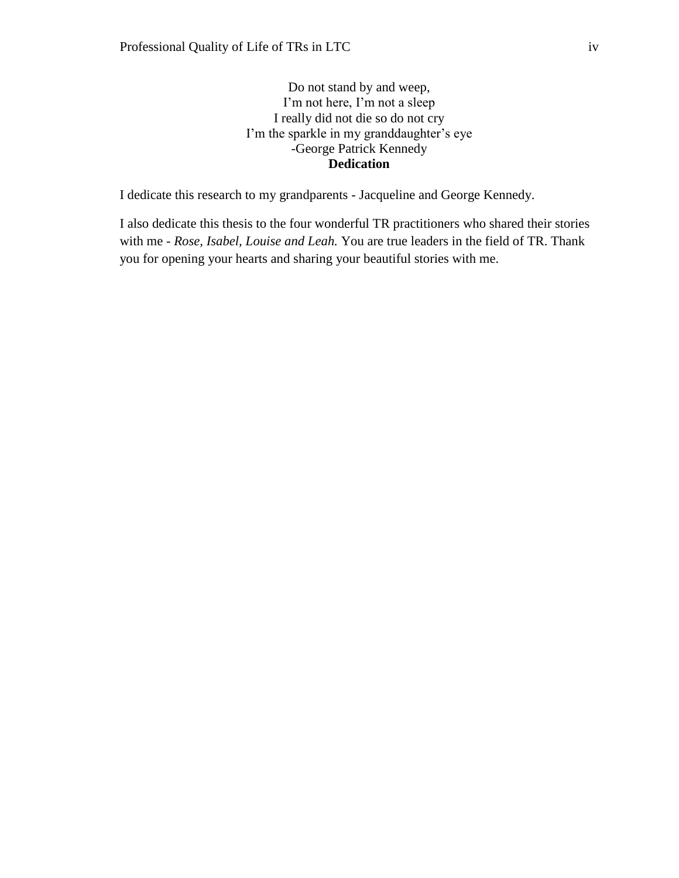Do not stand by and weep, I'm not here, I'm not a sleep I really did not die so do not cry I'm the sparkle in my granddaughter's eye -George Patrick Kennedy **Dedication** 

<span id="page-3-0"></span>I dedicate this research to my grandparents - Jacqueline and George Kennedy.

I also dedicate this thesis to the four wonderful TR practitioners who shared their stories with me - *Rose, Isabel, Louise and Leah.* You are true leaders in the field of TR. Thank you for opening your hearts and sharing your beautiful stories with me.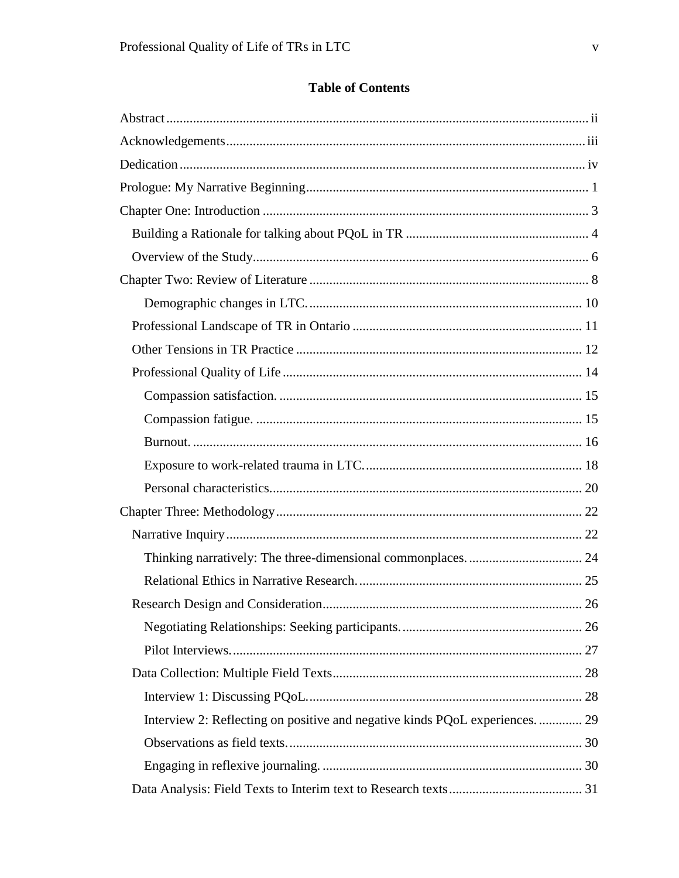# **Table of Contents**

| Interview 2: Reflecting on positive and negative kinds PQoL experiences 29 |  |
|----------------------------------------------------------------------------|--|
|                                                                            |  |
|                                                                            |  |
|                                                                            |  |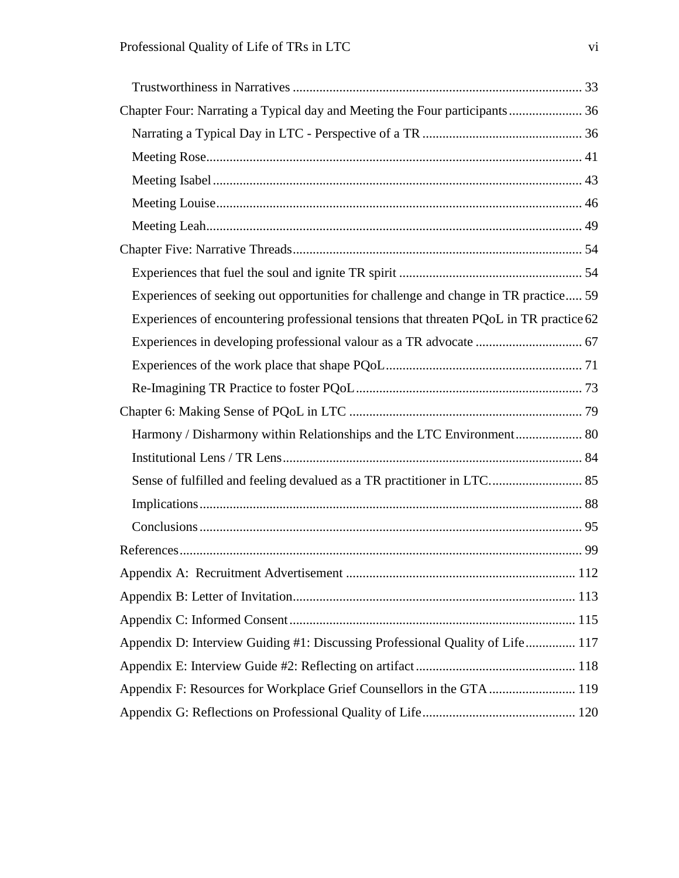| Chapter Four: Narrating a Typical day and Meeting the Four participants 36             |  |
|----------------------------------------------------------------------------------------|--|
|                                                                                        |  |
|                                                                                        |  |
|                                                                                        |  |
|                                                                                        |  |
|                                                                                        |  |
|                                                                                        |  |
|                                                                                        |  |
| Experiences of seeking out opportunities for challenge and change in TR practice 59    |  |
| Experiences of encountering professional tensions that threaten PQoL in TR practice 62 |  |
|                                                                                        |  |
|                                                                                        |  |
|                                                                                        |  |
|                                                                                        |  |
| Harmony / Disharmony within Relationships and the LTC Environment 80                   |  |
|                                                                                        |  |
| Sense of fulfilled and feeling devalued as a TR practitioner in LTC 85                 |  |
|                                                                                        |  |
|                                                                                        |  |
|                                                                                        |  |
|                                                                                        |  |
|                                                                                        |  |
|                                                                                        |  |
| Appendix D: Interview Guiding #1: Discussing Professional Quality of Life 117          |  |
|                                                                                        |  |
| Appendix F: Resources for Workplace Grief Counsellors in the GTA  119                  |  |
|                                                                                        |  |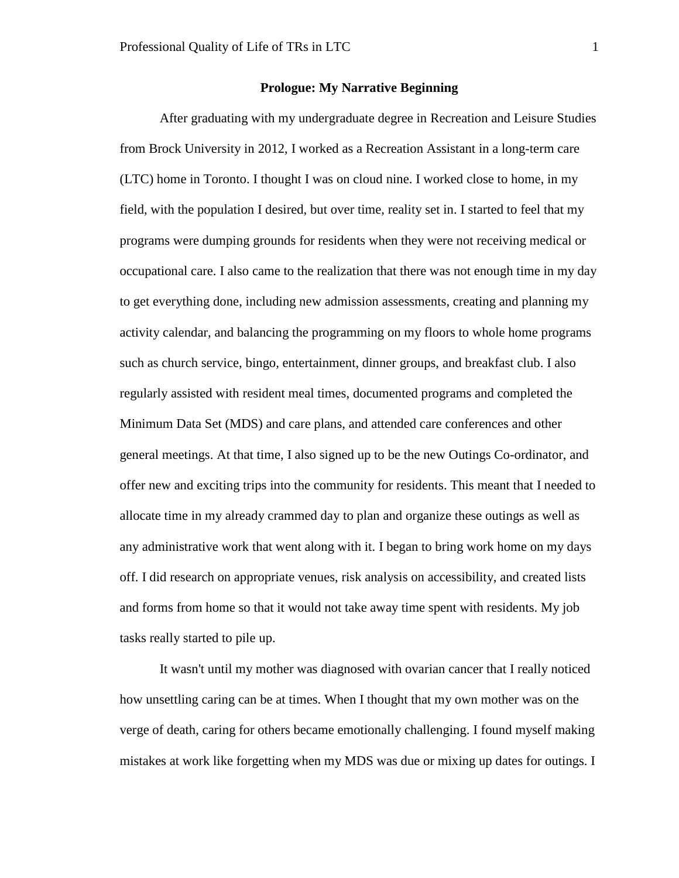## **Prologue: My Narrative Beginning**

<span id="page-6-0"></span>After graduating with my undergraduate degree in Recreation and Leisure Studies from Brock University in 2012, I worked as a Recreation Assistant in a long-term care (LTC) home in Toronto. I thought I was on cloud nine. I worked close to home, in my field, with the population I desired, but over time, reality set in. I started to feel that my programs were dumping grounds for residents when they were not receiving medical or occupational care. I also came to the realization that there was not enough time in my day to get everything done, including new admission assessments, creating and planning my activity calendar, and balancing the programming on my floors to whole home programs such as church service, bingo, entertainment, dinner groups, and breakfast club. I also regularly assisted with resident meal times, documented programs and completed the Minimum Data Set (MDS) and care plans, and attended care conferences and other general meetings. At that time, I also signed up to be the new Outings Co-ordinator, and offer new and exciting trips into the community for residents. This meant that I needed to allocate time in my already crammed day to plan and organize these outings as well as any administrative work that went along with it. I began to bring work home on my days off. I did research on appropriate venues, risk analysis on accessibility, and created lists and forms from home so that it would not take away time spent with residents. My job tasks really started to pile up.

It wasn't until my mother was diagnosed with ovarian cancer that I really noticed how unsettling caring can be at times. When I thought that my own mother was on the verge of death, caring for others became emotionally challenging. I found myself making mistakes at work like forgetting when my MDS was due or mixing up dates for outings. I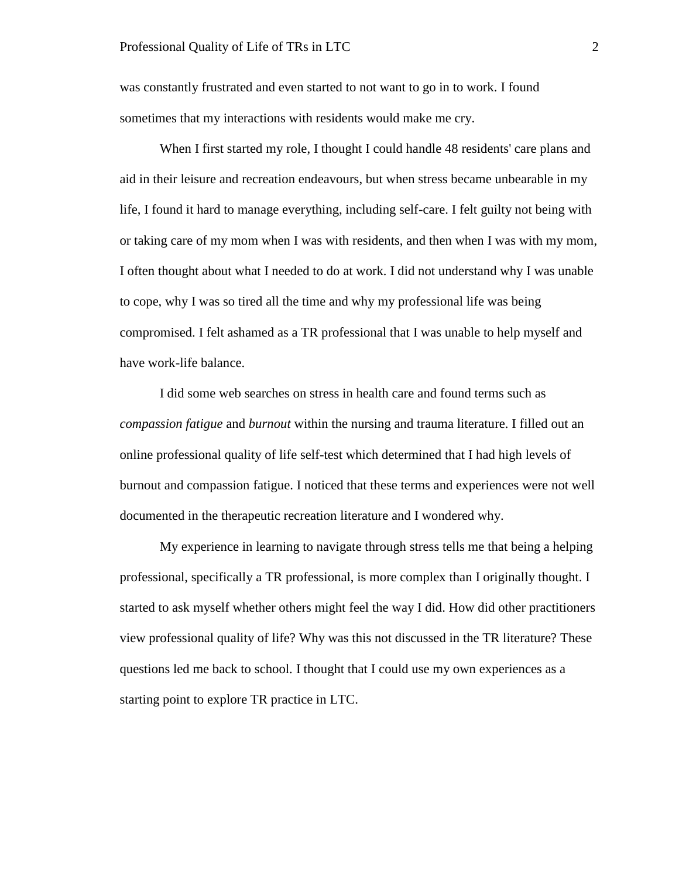was constantly frustrated and even started to not want to go in to work. I found sometimes that my interactions with residents would make me cry.

When I first started my role, I thought I could handle 48 residents' care plans and aid in their leisure and recreation endeavours, but when stress became unbearable in my life, I found it hard to manage everything, including self-care. I felt guilty not being with or taking care of my mom when I was with residents, and then when I was with my mom, I often thought about what I needed to do at work. I did not understand why I was unable to cope, why I was so tired all the time and why my professional life was being compromised. I felt ashamed as a TR professional that I was unable to help myself and have work-life balance.

I did some web searches on stress in health care and found terms such as *compassion fatigue* and *burnout* within the nursing and trauma literature. I filled out an online professional quality of life self-test which determined that I had high levels of burnout and compassion fatigue. I noticed that these terms and experiences were not well documented in the therapeutic recreation literature and I wondered why.

My experience in learning to navigate through stress tells me that being a helping professional, specifically a TR professional, is more complex than I originally thought. I started to ask myself whether others might feel the way I did. How did other practitioners view professional quality of life? Why was this not discussed in the TR literature? These questions led me back to school. I thought that I could use my own experiences as a starting point to explore TR practice in LTC.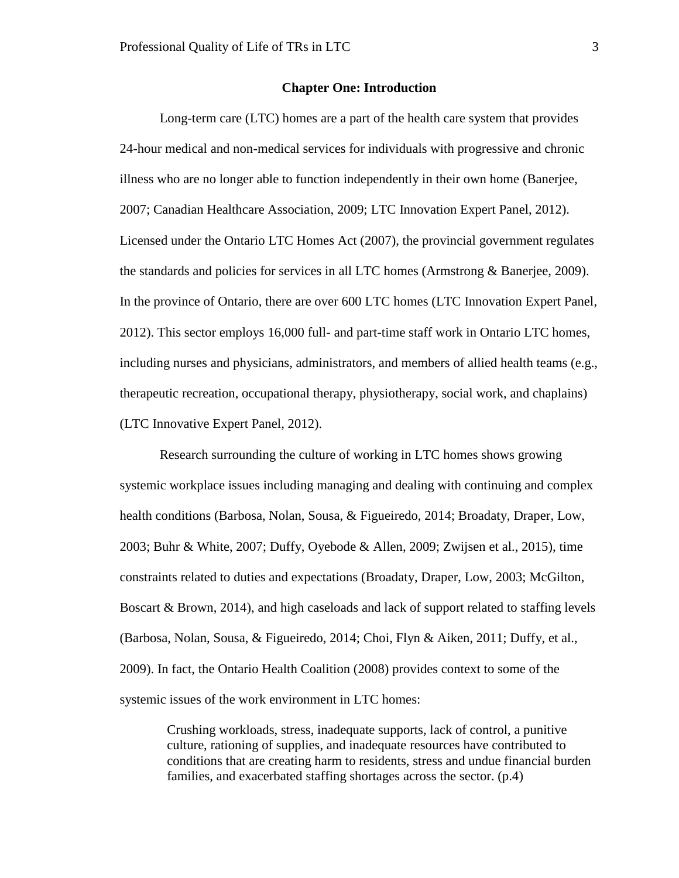## **Chapter One: Introduction**

<span id="page-8-0"></span>Long-term care (LTC) homes are a part of the health care system that provides 24-hour medical and non-medical services for individuals with progressive and chronic illness who are no longer able to function independently in their own home (Banerjee, 2007; Canadian Healthcare Association, 2009; LTC Innovation Expert Panel, 2012). Licensed under the Ontario LTC Homes Act (2007), the provincial government regulates the standards and policies for services in all LTC homes (Armstrong & Banerjee, 2009). In the province of Ontario, there are over 600 LTC homes (LTC Innovation Expert Panel, 2012). This sector employs 16,000 full- and part-time staff work in Ontario LTC homes, including nurses and physicians, administrators, and members of allied health teams (e.g., therapeutic recreation, occupational therapy, physiotherapy, social work, and chaplains) (LTC Innovative Expert Panel, 2012).

Research surrounding the culture of working in LTC homes shows growing systemic workplace issues including managing and dealing with continuing and complex health conditions (Barbosa, Nolan, Sousa, & Figueiredo, 2014; Broadaty, Draper, Low, 2003; Buhr & White, 2007; Duffy, Oyebode & Allen, 2009; Zwijsen et al., 2015), time constraints related to duties and expectations (Broadaty, Draper, Low, 2003; McGilton, Boscart & Brown, 2014), and high caseloads and lack of support related to staffing levels (Barbosa, Nolan, Sousa, & Figueiredo, 2014; Choi, Flyn & Aiken, 2011; Duffy, et al., 2009). In fact, the Ontario Health Coalition (2008) provides context to some of the systemic issues of the work environment in LTC homes:

Crushing workloads, stress, inadequate supports, lack of control, a punitive culture, rationing of supplies, and inadequate resources have contributed to conditions that are creating harm to residents, stress and undue financial burden families, and exacerbated staffing shortages across the sector. (p.4)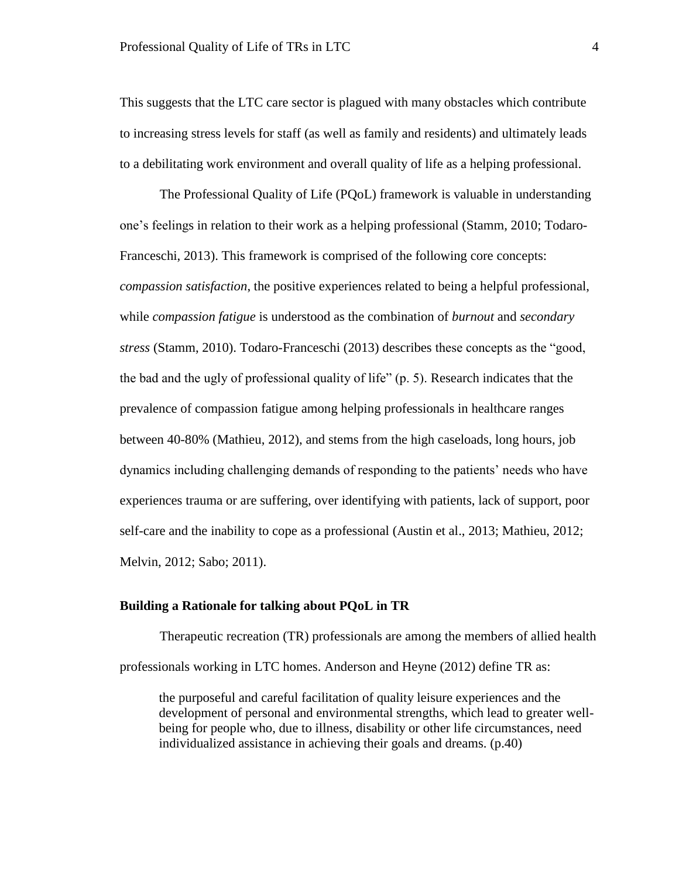This suggests that the LTC care sector is plagued with many obstacles which contribute to increasing stress levels for staff (as well as family and residents) and ultimately leads to a debilitating work environment and overall quality of life as a helping professional.

The Professional Quality of Life (PQoL) framework is valuable in understanding one's feelings in relation to their work as a helping professional (Stamm, 2010; Todaro-Franceschi, 2013). This framework is comprised of the following core concepts: *compassion satisfaction*, the positive experiences related to being a helpful professional, while *compassion fatigue* is understood as the combination of *burnout* and *secondary stress* (Stamm, 2010). Todaro-Franceschi (2013) describes these concepts as the "good, the bad and the ugly of professional quality of life" (p. 5). Research indicates that the prevalence of compassion fatigue among helping professionals in healthcare ranges between 40-80% (Mathieu, 2012), and stems from the high caseloads, long hours, job dynamics including challenging demands of responding to the patients' needs who have experiences trauma or are suffering, over identifying with patients, lack of support, poor self-care and the inability to cope as a professional (Austin et al., 2013; Mathieu, 2012; Melvin, 2012; Sabo; 2011).

## <span id="page-9-0"></span>**Building a Rationale for talking about PQoL in TR**

Therapeutic recreation (TR) professionals are among the members of allied health professionals working in LTC homes. Anderson and Heyne (2012) define TR as:

the purposeful and careful facilitation of quality leisure experiences and the development of personal and environmental strengths, which lead to greater wellbeing for people who, due to illness, disability or other life circumstances, need individualized assistance in achieving their goals and dreams. (p.40)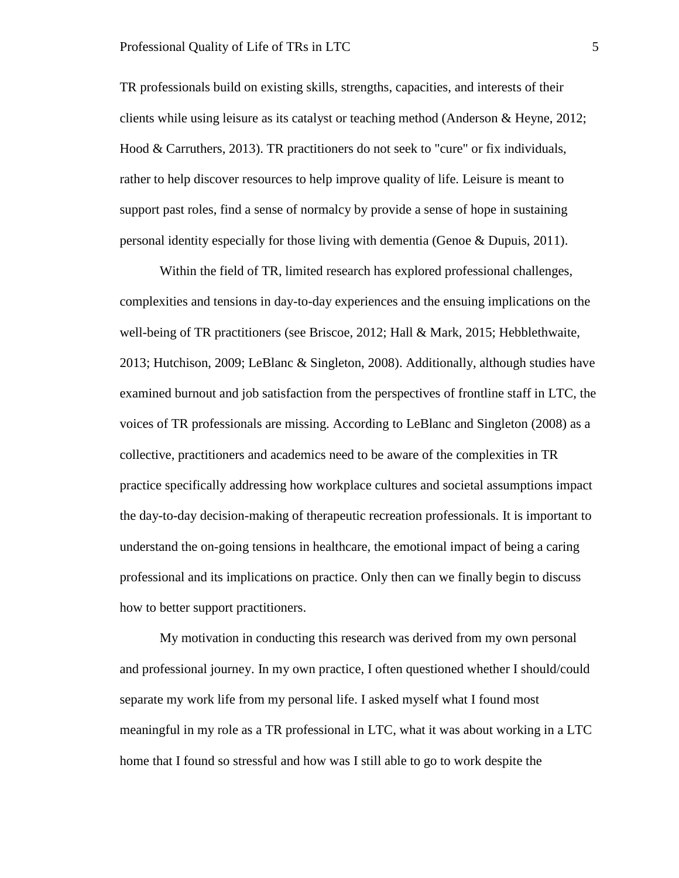TR professionals build on existing skills, strengths, capacities, and interests of their clients while using leisure as its catalyst or teaching method (Anderson & Heyne, 2012; Hood & Carruthers, 2013). TR practitioners do not seek to "cure" or fix individuals, rather to help discover resources to help improve quality of life. Leisure is meant to support past roles, find a sense of normalcy by provide a sense of hope in sustaining personal identity especially for those living with dementia (Genoe & Dupuis, 2011).

Within the field of TR, limited research has explored professional challenges, complexities and tensions in day-to-day experiences and the ensuing implications on the well-being of TR practitioners (see Briscoe, 2012; Hall & Mark, 2015; Hebblethwaite, 2013; Hutchison, 2009; LeBlanc & Singleton, 2008). Additionally, although studies have examined burnout and job satisfaction from the perspectives of frontline staff in LTC, the voices of TR professionals are missing. According to LeBlanc and Singleton (2008) as a collective, practitioners and academics need to be aware of the complexities in TR practice specifically addressing how workplace cultures and societal assumptions impact the day-to-day decision-making of therapeutic recreation professionals. It is important to understand the on-going tensions in healthcare, the emotional impact of being a caring professional and its implications on practice. Only then can we finally begin to discuss how to better support practitioners.

My motivation in conducting this research was derived from my own personal and professional journey. In my own practice, I often questioned whether I should/could separate my work life from my personal life. I asked myself what I found most meaningful in my role as a TR professional in LTC, what it was about working in a LTC home that I found so stressful and how was I still able to go to work despite the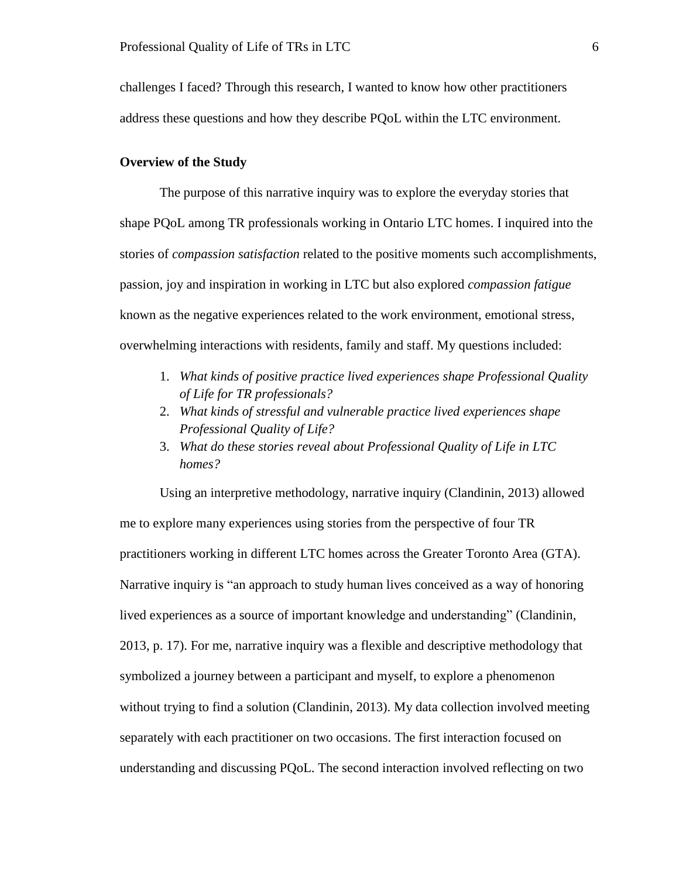challenges I faced? Through this research, I wanted to know how other practitioners address these questions and how they describe PQoL within the LTC environment.

## <span id="page-11-0"></span>**Overview of the Study**

The purpose of this narrative inquiry was to explore the everyday stories that shape PQoL among TR professionals working in Ontario LTC homes. I inquired into the stories of *compassion satisfaction* related to the positive moments such accomplishments, passion, joy and inspiration in working in LTC but also explored *compassion fatigue* known as the negative experiences related to the work environment, emotional stress, overwhelming interactions with residents, family and staff. My questions included:

- 1. *What kinds of positive practice lived experiences shape Professional Quality of Life for TR professionals?*
- 2. *What kinds of stressful and vulnerable practice lived experiences shape Professional Quality of Life?*
- 3. *What do these stories reveal about Professional Quality of Life in LTC homes?*

Using an interpretive methodology, narrative inquiry (Clandinin, 2013) allowed me to explore many experiences using stories from the perspective of four TR practitioners working in different LTC homes across the Greater Toronto Area (GTA). Narrative inquiry is "an approach to study human lives conceived as a way of honoring lived experiences as a source of important knowledge and understanding" (Clandinin, 2013, p. 17). For me, narrative inquiry was a flexible and descriptive methodology that symbolized a journey between a participant and myself, to explore a phenomenon without trying to find a solution (Clandinin, 2013). My data collection involved meeting separately with each practitioner on two occasions. The first interaction focused on understanding and discussing PQoL. The second interaction involved reflecting on two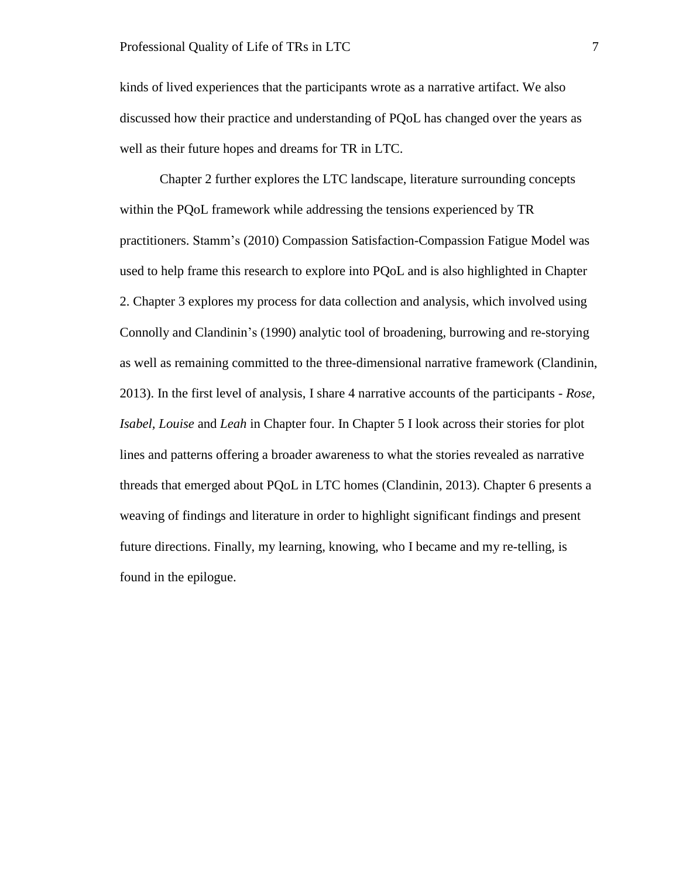kinds of lived experiences that the participants wrote as a narrative artifact. We also discussed how their practice and understanding of PQoL has changed over the years as well as their future hopes and dreams for TR in LTC.

Chapter 2 further explores the LTC landscape, literature surrounding concepts within the PQoL framework while addressing the tensions experienced by TR practitioners. Stamm's (2010) Compassion Satisfaction-Compassion Fatigue Model was used to help frame this research to explore into PQoL and is also highlighted in Chapter 2. Chapter 3 explores my process for data collection and analysis, which involved using Connolly and Clandinin's (1990) analytic tool of broadening, burrowing and re-storying as well as remaining committed to the three-dimensional narrative framework (Clandinin, 2013). In the first level of analysis, I share 4 narrative accounts of the participants - *Rose, Isabel, Louise* and *Leah* in Chapter four. In Chapter 5 I look across their stories for plot lines and patterns offering a broader awareness to what the stories revealed as narrative threads that emerged about PQoL in LTC homes (Clandinin, 2013). Chapter 6 presents a weaving of findings and literature in order to highlight significant findings and present future directions. Finally, my learning, knowing, who I became and my re-telling, is found in the epilogue.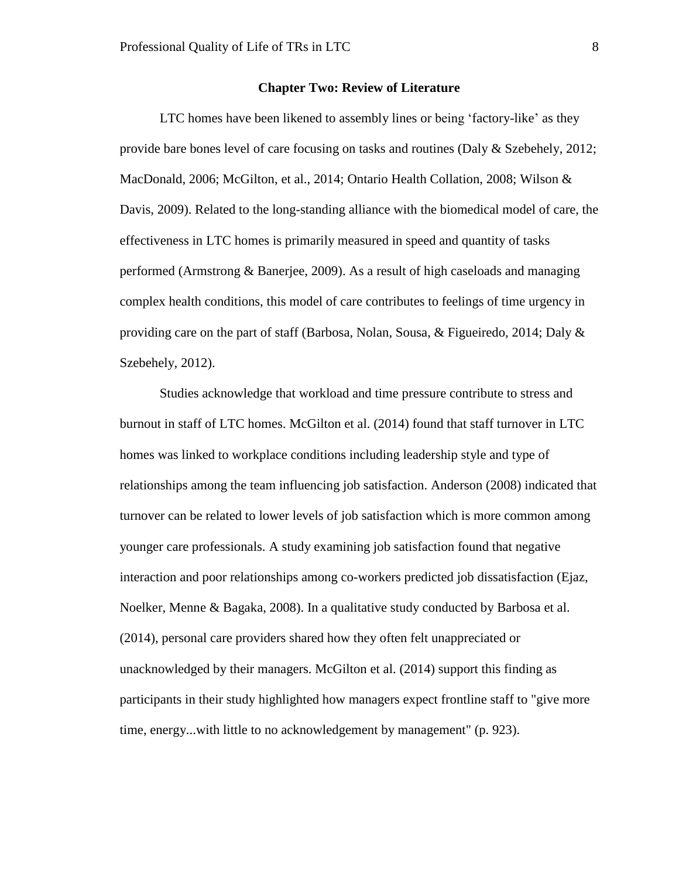## **Chapter Two: Review of Literature**

<span id="page-13-0"></span>LTC homes have been likened to assembly lines or being 'factory-like' as they provide bare bones level of care focusing on tasks and routines (Daly & Szebehely, 2012; MacDonald, 2006; McGilton, et al., 2014; Ontario Health Collation, 2008; Wilson & Davis, 2009). Related to the long-standing alliance with the biomedical model of care, the effectiveness in LTC homes is primarily measured in speed and quantity of tasks performed (Armstrong & Banerjee, 2009). As a result of high caseloads and managing complex health conditions, this model of care contributes to feelings of time urgency in providing care on the part of staff (Barbosa, Nolan, Sousa,  $\&$  Figueiredo, 2014; Daly  $\&$ Szebehely, 2012).

Studies acknowledge that workload and time pressure contribute to stress and burnout in staff of LTC homes. McGilton et al. (2014) found that staff turnover in LTC homes was linked to workplace conditions including leadership style and type of relationships among the team influencing job satisfaction. Anderson (2008) indicated that turnover can be related to lower levels of job satisfaction which is more common among younger care professionals. A study examining job satisfaction found that negative interaction and poor relationships among co-workers predicted job dissatisfaction (Ejaz, Noelker, Menne & Bagaka, 2008). In a qualitative study conducted by Barbosa et al. (2014), personal care providers shared how they often felt unappreciated or unacknowledged by their managers. McGilton et al. (2014) support this finding as participants in their study highlighted how managers expect frontline staff to "give more time, energy...with little to no acknowledgement by management" (p. 923).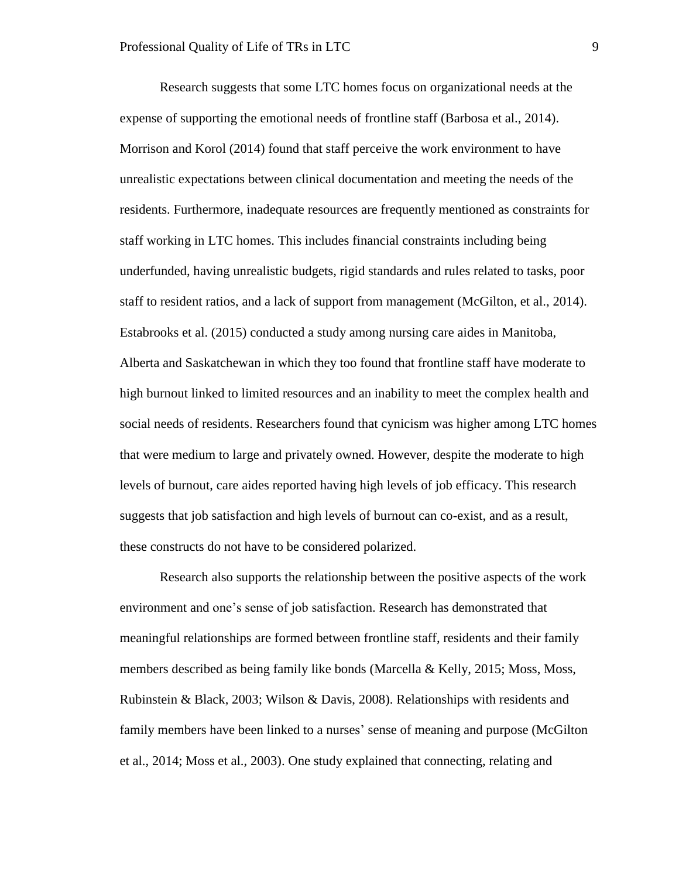Research suggests that some LTC homes focus on organizational needs at the expense of supporting the emotional needs of frontline staff (Barbosa et al., 2014). Morrison and Korol (2014) found that staff perceive the work environment to have unrealistic expectations between clinical documentation and meeting the needs of the residents. Furthermore, inadequate resources are frequently mentioned as constraints for staff working in LTC homes. This includes financial constraints including being underfunded, having unrealistic budgets, rigid standards and rules related to tasks, poor staff to resident ratios, and a lack of support from management (McGilton, et al., 2014). Estabrooks et al. (2015) conducted a study among nursing care aides in Manitoba, Alberta and Saskatchewan in which they too found that frontline staff have moderate to high burnout linked to limited resources and an inability to meet the complex health and social needs of residents. Researchers found that cynicism was higher among LTC homes that were medium to large and privately owned. However, despite the moderate to high levels of burnout, care aides reported having high levels of job efficacy. This research suggests that job satisfaction and high levels of burnout can co-exist, and as a result, these constructs do not have to be considered polarized.

Research also supports the relationship between the positive aspects of the work environment and one's sense of job satisfaction. Research has demonstrated that meaningful relationships are formed between frontline staff, residents and their family members described as being family like bonds (Marcella & Kelly, 2015; Moss, Moss, Rubinstein & Black, 2003; Wilson & Davis, 2008). Relationships with residents and family members have been linked to a nurses' sense of meaning and purpose (McGilton et al., 2014; Moss et al., 2003). One study explained that connecting, relating and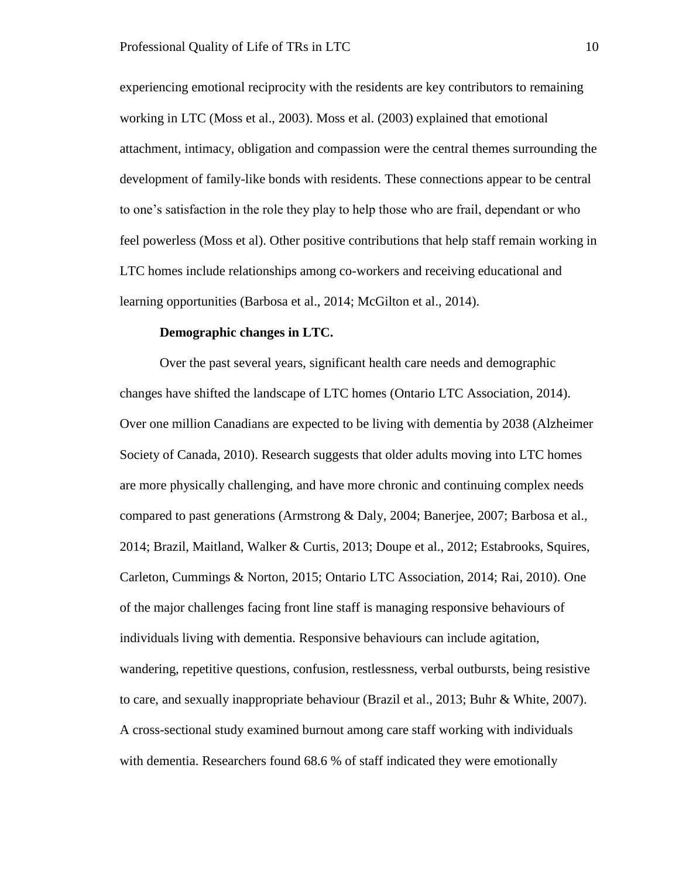experiencing emotional reciprocity with the residents are key contributors to remaining working in LTC (Moss et al., 2003). Moss et al. (2003) explained that emotional attachment, intimacy, obligation and compassion were the central themes surrounding the development of family-like bonds with residents. These connections appear to be central to one's satisfaction in the role they play to help those who are frail, dependant or who feel powerless (Moss et al). Other positive contributions that help staff remain working in LTC homes include relationships among co-workers and receiving educational and learning opportunities (Barbosa et al., 2014; McGilton et al., 2014).

## **Demographic changes in LTC.**

<span id="page-15-0"></span>Over the past several years, significant health care needs and demographic changes have shifted the landscape of LTC homes (Ontario LTC Association, 2014). Over one million Canadians are expected to be living with dementia by 2038 (Alzheimer Society of Canada, 2010). Research suggests that older adults moving into LTC homes are more physically challenging, and have more chronic and continuing complex needs compared to past generations (Armstrong & Daly, 2004; Banerjee, 2007; Barbosa et al., 2014; Brazil, Maitland, Walker & Curtis, 2013; Doupe et al., 2012; Estabrooks, Squires, Carleton, Cummings & Norton, 2015; Ontario LTC Association, 2014; Rai, 2010). One of the major challenges facing front line staff is managing responsive behaviours of individuals living with dementia. Responsive behaviours can include agitation, wandering, repetitive questions, confusion, restlessness, verbal outbursts, being resistive to care, and sexually inappropriate behaviour (Brazil et al., 2013; Buhr & White, 2007). A cross-sectional study examined burnout among care staff working with individuals with dementia. Researchers found 68.6 % of staff indicated they were emotionally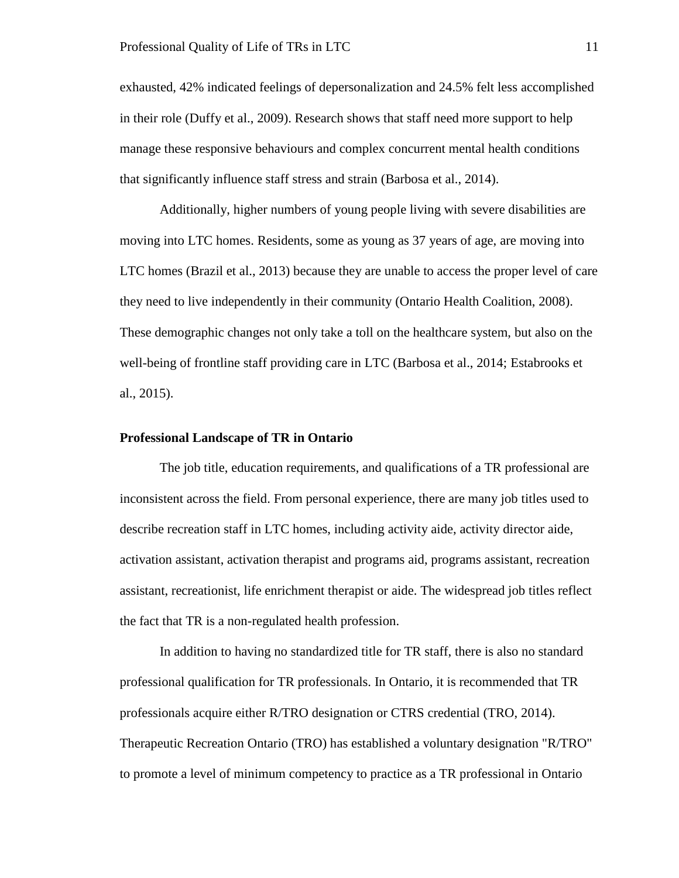exhausted, 42% indicated feelings of depersonalization and 24.5% felt less accomplished in their role (Duffy et al., 2009). Research shows that staff need more support to help manage these responsive behaviours and complex concurrent mental health conditions that significantly influence staff stress and strain (Barbosa et al., 2014).

Additionally, higher numbers of young people living with severe disabilities are moving into LTC homes. Residents, some as young as 37 years of age, are moving into LTC homes (Brazil et al., 2013) because they are unable to access the proper level of care they need to live independently in their community (Ontario Health Coalition, 2008). These demographic changes not only take a toll on the healthcare system, but also on the well-being of frontline staff providing care in LTC (Barbosa et al., 2014; Estabrooks et al., 2015).

### <span id="page-16-0"></span>**Professional Landscape of TR in Ontario**

The job title, education requirements, and qualifications of a TR professional are inconsistent across the field. From personal experience, there are many job titles used to describe recreation staff in LTC homes, including activity aide, activity director aide, activation assistant, activation therapist and programs aid, programs assistant, recreation assistant, recreationist, life enrichment therapist or aide. The widespread job titles reflect the fact that TR is a non-regulated health profession.

In addition to having no standardized title for TR staff, there is also no standard professional qualification for TR professionals. In Ontario, it is recommended that TR professionals acquire either R/TRO designation or CTRS credential (TRO, 2014). Therapeutic Recreation Ontario (TRO) has established a voluntary designation "R/TRO" to promote a level of minimum competency to practice as a TR professional in Ontario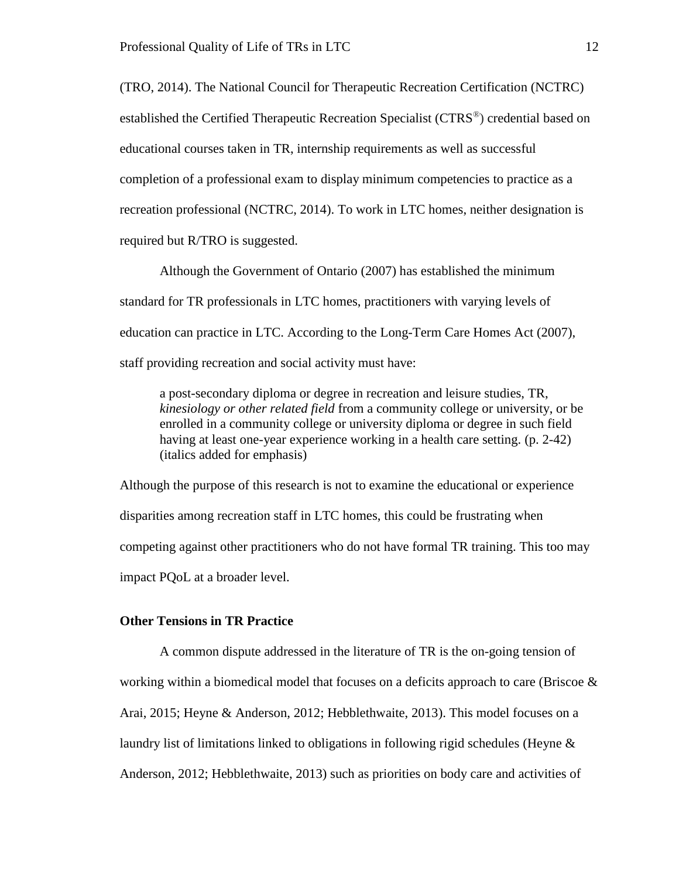(TRO, 2014). The National Council for Therapeutic Recreation Certification (NCTRC) established the Certified Therapeutic Recreation Specialist (CTRS®) credential based on educational courses taken in TR, internship requirements as well as successful completion of a professional exam to display minimum competencies to practice as a recreation professional (NCTRC, 2014). To work in LTC homes, neither designation is required but R/TRO is suggested.

Although the Government of Ontario (2007) has established the minimum standard for TR professionals in LTC homes, practitioners with varying levels of education can practice in LTC. According to the Long-Term Care Homes Act (2007), staff providing recreation and social activity must have:

a post-secondary diploma or degree in recreation and leisure studies, TR, *kinesiology or other related field* from a community college or university, or be enrolled in a community college or university diploma or degree in such field having at least one-year experience working in a health care setting. (p. 2-42) (italics added for emphasis)

Although the purpose of this research is not to examine the educational or experience disparities among recreation staff in LTC homes, this could be frustrating when competing against other practitioners who do not have formal TR training. This too may impact PQoL at a broader level.

## <span id="page-17-0"></span>**Other Tensions in TR Practice**

A common dispute addressed in the literature of TR is the on-going tension of working within a biomedical model that focuses on a deficits approach to care (Briscoe & Arai, 2015; Heyne & Anderson, 2012; Hebblethwaite, 2013). This model focuses on a laundry list of limitations linked to obligations in following rigid schedules (Heyne & Anderson, 2012; Hebblethwaite, 2013) such as priorities on body care and activities of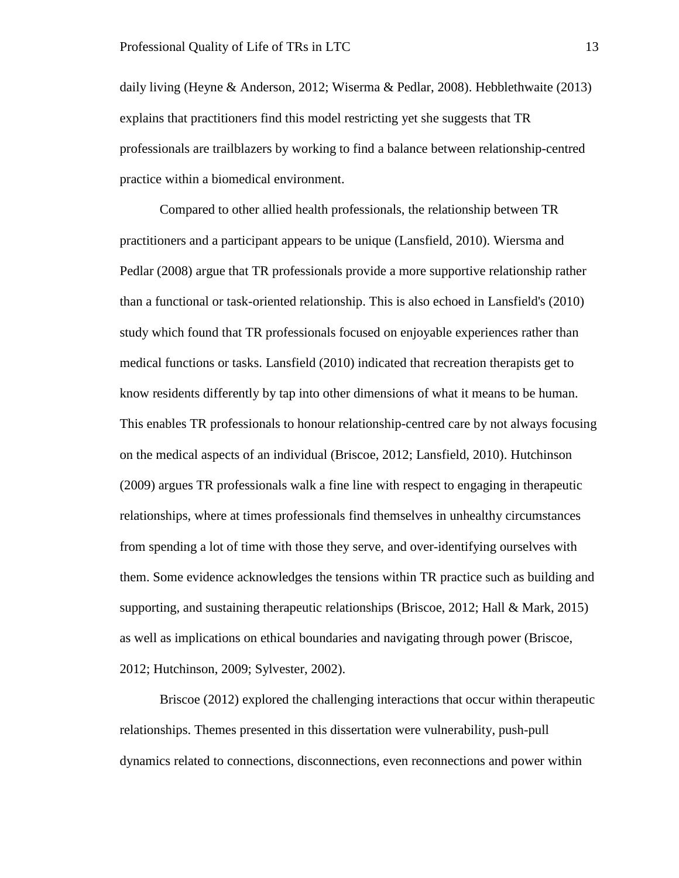daily living (Heyne & Anderson, 2012; Wiserma & Pedlar, 2008). Hebblethwaite (2013) explains that practitioners find this model restricting yet she suggests that TR professionals are trailblazers by working to find a balance between relationship-centred practice within a biomedical environment.

Compared to other allied health professionals, the relationship between TR practitioners and a participant appears to be unique (Lansfield, 2010). Wiersma and Pedlar (2008) argue that TR professionals provide a more supportive relationship rather than a functional or task-oriented relationship. This is also echoed in Lansfield's (2010) study which found that TR professionals focused on enjoyable experiences rather than medical functions or tasks. Lansfield (2010) indicated that recreation therapists get to know residents differently by tap into other dimensions of what it means to be human. This enables TR professionals to honour relationship-centred care by not always focusing on the medical aspects of an individual (Briscoe, 2012; Lansfield, 2010). Hutchinson (2009) argues TR professionals walk a fine line with respect to engaging in therapeutic relationships, where at times professionals find themselves in unhealthy circumstances from spending a lot of time with those they serve, and over-identifying ourselves with them. Some evidence acknowledges the tensions within TR practice such as building and supporting, and sustaining therapeutic relationships (Briscoe, 2012; Hall & Mark, 2015) as well as implications on ethical boundaries and navigating through power (Briscoe, 2012; Hutchinson, 2009; Sylvester, 2002).

Briscoe (2012) explored the challenging interactions that occur within therapeutic relationships. Themes presented in this dissertation were vulnerability, push-pull dynamics related to connections, disconnections, even reconnections and power within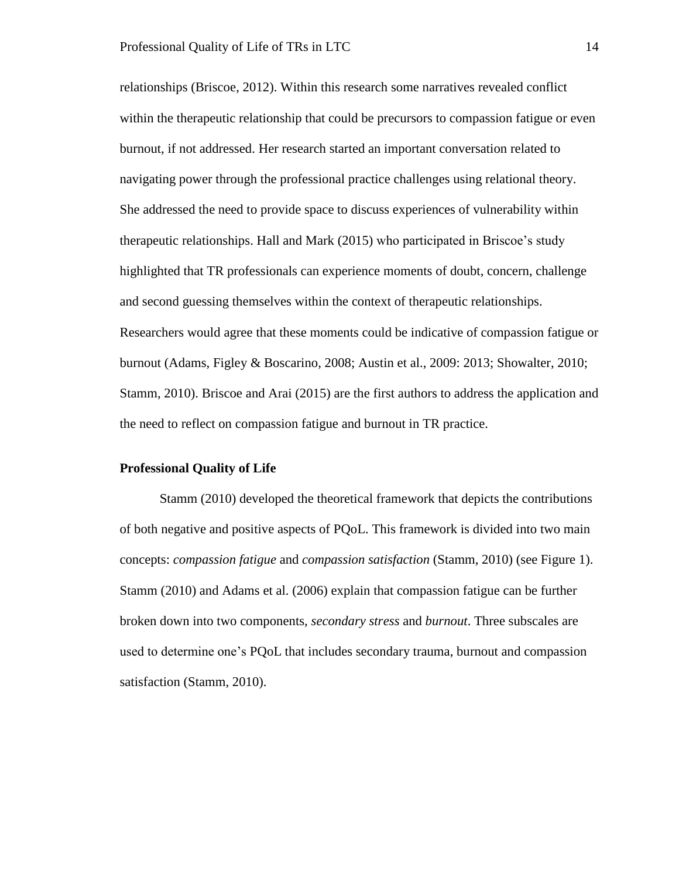relationships (Briscoe, 2012). Within this research some narratives revealed conflict within the therapeutic relationship that could be precursors to compassion fatigue or even burnout, if not addressed. Her research started an important conversation related to navigating power through the professional practice challenges using relational theory. She addressed the need to provide space to discuss experiences of vulnerability within therapeutic relationships. Hall and Mark (2015) who participated in Briscoe's study highlighted that TR professionals can experience moments of doubt, concern, challenge and second guessing themselves within the context of therapeutic relationships. Researchers would agree that these moments could be indicative of compassion fatigue or burnout (Adams, Figley & Boscarino, 2008; Austin et al., 2009: 2013; Showalter, 2010; Stamm, 2010). Briscoe and Arai (2015) are the first authors to address the application and the need to reflect on compassion fatigue and burnout in TR practice.

#### <span id="page-19-0"></span>**Professional Quality of Life**

Stamm (2010) developed the theoretical framework that depicts the contributions of both negative and positive aspects of PQoL. This framework is divided into two main concepts: *compassion fatigue* and *compassion satisfaction* (Stamm, 2010) (see Figure 1). Stamm (2010) and Adams et al. (2006) explain that compassion fatigue can be further broken down into two components, *secondary stress* and *burnout*. Three subscales are used to determine one's PQoL that includes secondary trauma, burnout and compassion satisfaction (Stamm, 2010).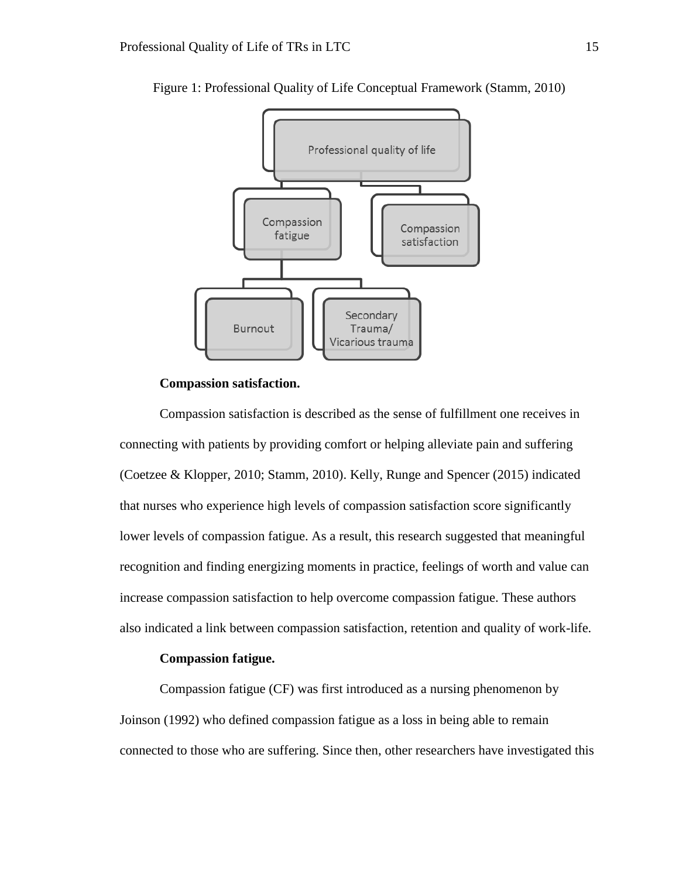

Figure 1: Professional Quality of Life Conceptual Framework (Stamm, 2010)

#### **Compassion satisfaction.**

<span id="page-20-0"></span>Compassion satisfaction is described as the sense of fulfillment one receives in connecting with patients by providing comfort or helping alleviate pain and suffering (Coetzee & Klopper, 2010; Stamm, 2010). Kelly, Runge and Spencer (2015) indicated that nurses who experience high levels of compassion satisfaction score significantly lower levels of compassion fatigue. As a result, this research suggested that meaningful recognition and finding energizing moments in practice, feelings of worth and value can increase compassion satisfaction to help overcome compassion fatigue. These authors also indicated a link between compassion satisfaction, retention and quality of work-life.

# **Compassion fatigue.**

<span id="page-20-1"></span>Compassion fatigue (CF) was first introduced as a nursing phenomenon by Joinson (1992) who defined compassion fatigue as a loss in being able to remain connected to those who are suffering. Since then, other researchers have investigated this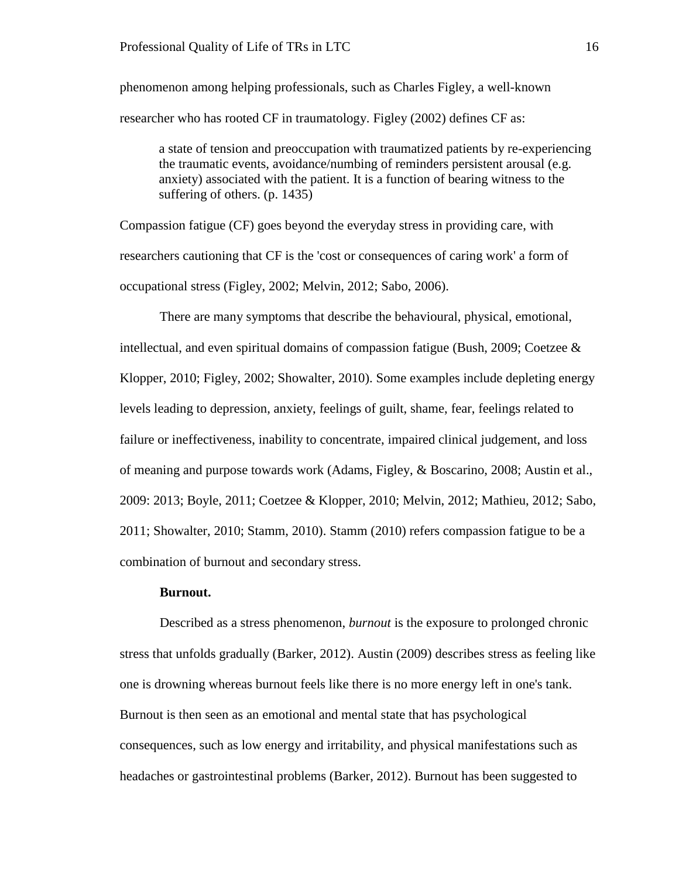phenomenon among helping professionals, such as Charles Figley, a well-known researcher who has rooted CF in traumatology. Figley (2002) defines CF as:

a state of tension and preoccupation with traumatized patients by re-experiencing the traumatic events, avoidance/numbing of reminders persistent arousal (e.g. anxiety) associated with the patient. It is a function of bearing witness to the suffering of others. (p. 1435)

Compassion fatigue (CF) goes beyond the everyday stress in providing care, with researchers cautioning that CF is the 'cost or consequences of caring work' a form of occupational stress (Figley, 2002; Melvin, 2012; Sabo, 2006).

There are many symptoms that describe the behavioural, physical, emotional, intellectual, and even spiritual domains of compassion fatigue (Bush, 2009; Coetzee & Klopper, 2010; Figley, 2002; Showalter, 2010). Some examples include depleting energy levels leading to depression, anxiety, feelings of guilt, shame, fear, feelings related to failure or ineffectiveness, inability to concentrate, impaired clinical judgement, and loss of meaning and purpose towards work (Adams, Figley, & Boscarino, 2008; Austin et al., 2009: 2013; Boyle, 2011; Coetzee & Klopper, 2010; Melvin, 2012; Mathieu, 2012; Sabo, 2011; Showalter, 2010; Stamm, 2010). Stamm (2010) refers compassion fatigue to be a combination of burnout and secondary stress.

## **Burnout.**

<span id="page-21-0"></span>Described as a stress phenomenon, *burnout* is the exposure to prolonged chronic stress that unfolds gradually (Barker, 2012). Austin (2009) describes stress as feeling like one is drowning whereas burnout feels like there is no more energy left in one's tank. Burnout is then seen as an emotional and mental state that has psychological consequences, such as low energy and irritability, and physical manifestations such as headaches or gastrointestinal problems (Barker, 2012). Burnout has been suggested to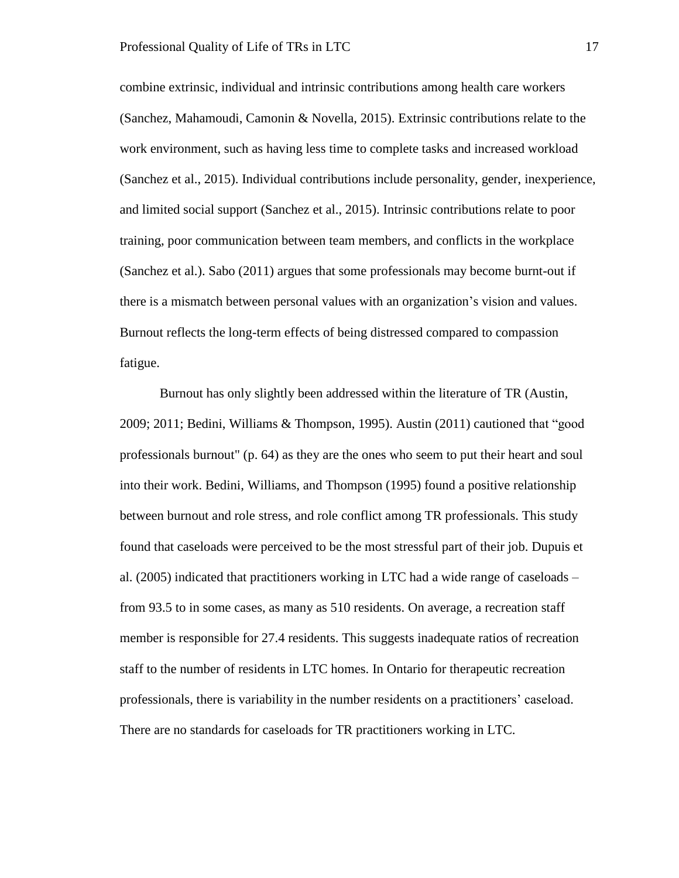combine extrinsic, individual and intrinsic contributions among health care workers (Sanchez, Mahamoudi, Camonin & Novella, 2015). Extrinsic contributions relate to the work environment, such as having less time to complete tasks and increased workload (Sanchez et al., 2015). Individual contributions include personality, gender, inexperience, and limited social support (Sanchez et al., 2015). Intrinsic contributions relate to poor training, poor communication between team members, and conflicts in the workplace (Sanchez et al.). Sabo (2011) argues that some professionals may become burnt-out if there is a mismatch between personal values with an organization's vision and values. Burnout reflects the long-term effects of being distressed compared to compassion fatigue.

Burnout has only slightly been addressed within the literature of TR (Austin, 2009; 2011; Bedini, Williams & Thompson, 1995). Austin (2011) cautioned that "good professionals burnout" (p. 64) as they are the ones who seem to put their heart and soul into their work. Bedini, Williams, and Thompson (1995) found a positive relationship between burnout and role stress, and role conflict among TR professionals. This study found that caseloads were perceived to be the most stressful part of their job. Dupuis et al. (2005) indicated that practitioners working in LTC had a wide range of caseloads – from 93.5 to in some cases, as many as 510 residents. On average, a recreation staff member is responsible for 27.4 residents. This suggests inadequate ratios of recreation staff to the number of residents in LTC homes. In Ontario for therapeutic recreation professionals, there is variability in the number residents on a practitioners' caseload. There are no standards for caseloads for TR practitioners working in LTC.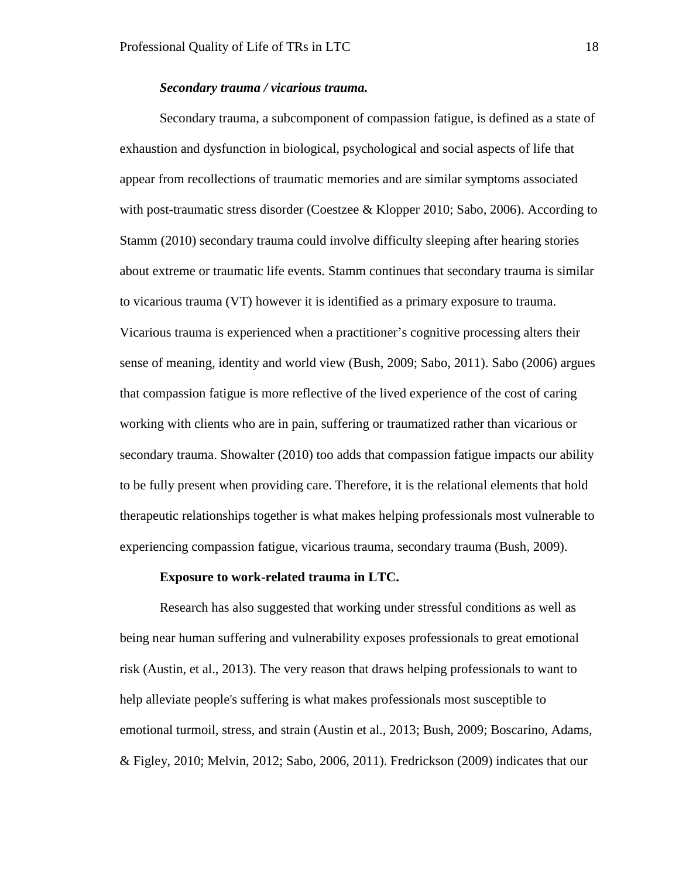## *Secondary trauma / vicarious trauma.*

Secondary trauma, a subcomponent of compassion fatigue, is defined as a state of exhaustion and dysfunction in biological, psychological and social aspects of life that appear from recollections of traumatic memories and are similar symptoms associated with post-traumatic stress disorder (Coestzee & Klopper 2010; Sabo, 2006). According to Stamm (2010) secondary trauma could involve difficulty sleeping after hearing stories about extreme or traumatic life events. Stamm continues that secondary trauma is similar to vicarious trauma (VT) however it is identified as a primary exposure to trauma. Vicarious trauma is experienced when a practitioner's cognitive processing alters their sense of meaning, identity and world view (Bush, 2009; Sabo, 2011). Sabo (2006) argues that compassion fatigue is more reflective of the lived experience of the cost of caring working with clients who are in pain, suffering or traumatized rather than vicarious or secondary trauma. Showalter (2010) too adds that compassion fatigue impacts our ability to be fully present when providing care. Therefore, it is the relational elements that hold therapeutic relationships together is what makes helping professionals most vulnerable to experiencing compassion fatigue, vicarious trauma, secondary trauma (Bush, 2009).

#### **Exposure to work-related trauma in LTC.**

<span id="page-23-0"></span>Research has also suggested that working under stressful conditions as well as being near human suffering and vulnerability exposes professionals to great emotional risk (Austin, et al., 2013). The very reason that draws helping professionals to want to help alleviate people's suffering is what makes professionals most susceptible to emotional turmoil, stress, and strain (Austin et al., 2013; Bush, 2009; Boscarino, Adams, & Figley, 2010; Melvin, 2012; Sabo, 2006, 2011). Fredrickson (2009) indicates that our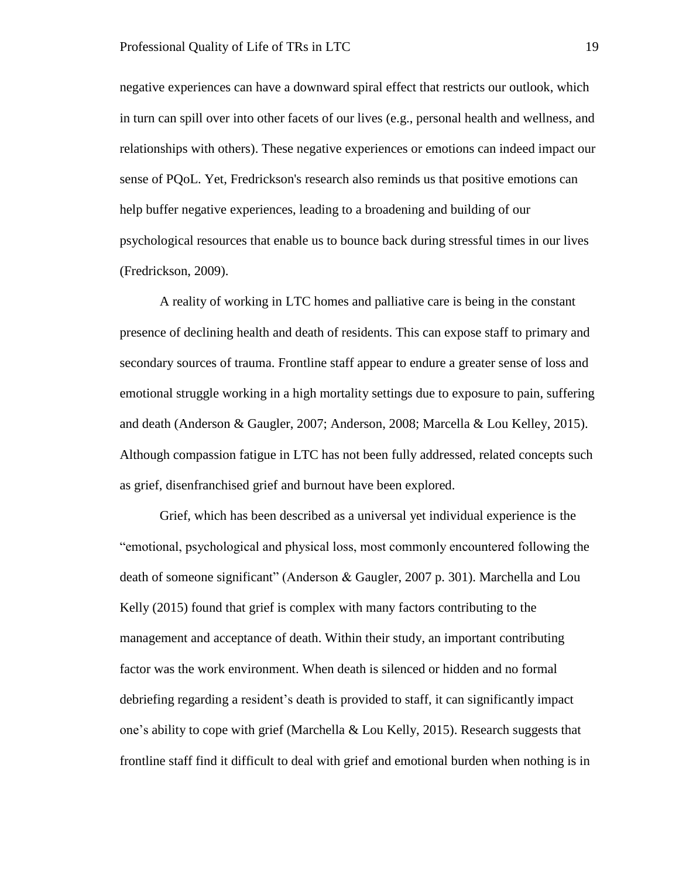negative experiences can have a downward spiral effect that restricts our outlook, which in turn can spill over into other facets of our lives (e.g., personal health and wellness, and relationships with others). These negative experiences or emotions can indeed impact our sense of PQoL. Yet, Fredrickson's research also reminds us that positive emotions can help buffer negative experiences, leading to a broadening and building of our psychological resources that enable us to bounce back during stressful times in our lives (Fredrickson, 2009).

A reality of working in LTC homes and palliative care is being in the constant presence of declining health and death of residents. This can expose staff to primary and secondary sources of trauma. Frontline staff appear to endure a greater sense of loss and emotional struggle working in a high mortality settings due to exposure to pain, suffering and death (Anderson & Gaugler, 2007; Anderson, 2008; Marcella & Lou Kelley, 2015). Although compassion fatigue in LTC has not been fully addressed, related concepts such as grief, disenfranchised grief and burnout have been explored.

Grief, which has been described as a universal yet individual experience is the "emotional, psychological and physical loss, most commonly encountered following the death of someone significant" (Anderson & Gaugler, 2007 p. 301). Marchella and Lou Kelly (2015) found that grief is complex with many factors contributing to the management and acceptance of death. Within their study, an important contributing factor was the work environment. When death is silenced or hidden and no formal debriefing regarding a resident's death is provided to staff, it can significantly impact one's ability to cope with grief (Marchella & Lou Kelly, 2015). Research suggests that frontline staff find it difficult to deal with grief and emotional burden when nothing is in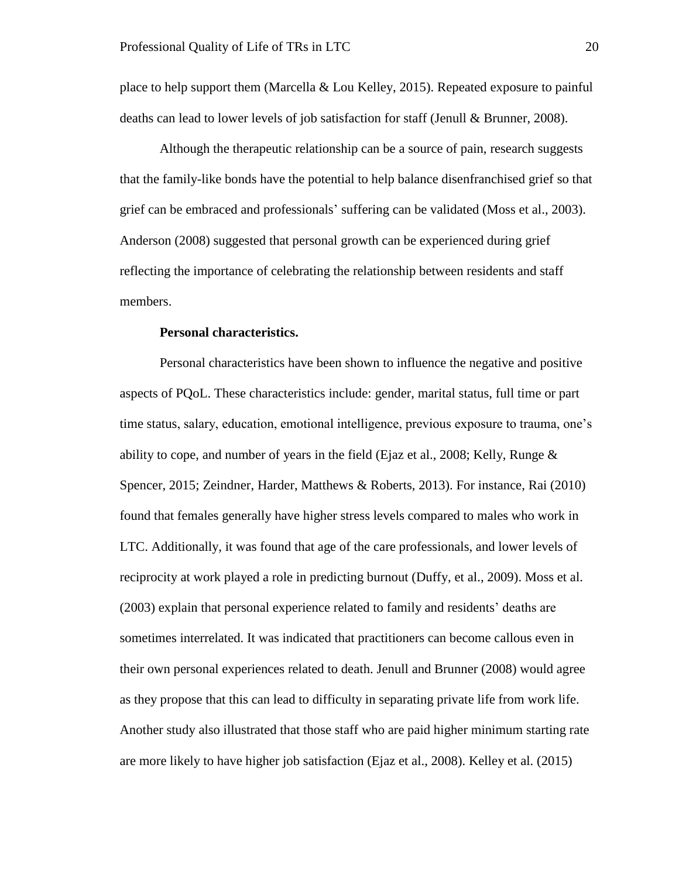place to help support them (Marcella & Lou Kelley, 2015). Repeated exposure to painful deaths can lead to lower levels of job satisfaction for staff (Jenull & Brunner, 2008).

Although the therapeutic relationship can be a source of pain, research suggests that the family-like bonds have the potential to help balance disenfranchised grief so that grief can be embraced and professionals' suffering can be validated (Moss et al., 2003). Anderson (2008) suggested that personal growth can be experienced during grief reflecting the importance of celebrating the relationship between residents and staff members.

## **Personal characteristics.**

<span id="page-25-0"></span>Personal characteristics have been shown to influence the negative and positive aspects of PQoL. These characteristics include: gender, marital status, full time or part time status, salary, education, emotional intelligence, previous exposure to trauma, one's ability to cope, and number of years in the field (Ejaz et al., 2008; Kelly, Runge  $\&$ Spencer, 2015; Zeindner, Harder, Matthews & Roberts, 2013). For instance, Rai (2010) found that females generally have higher stress levels compared to males who work in LTC. Additionally, it was found that age of the care professionals, and lower levels of reciprocity at work played a role in predicting burnout (Duffy, et al., 2009). Moss et al. (2003) explain that personal experience related to family and residents' deaths are sometimes interrelated. It was indicated that practitioners can become callous even in their own personal experiences related to death. Jenull and Brunner (2008) would agree as they propose that this can lead to difficulty in separating private life from work life. Another study also illustrated that those staff who are paid higher minimum starting rate are more likely to have higher job satisfaction (Ejaz et al., 2008). Kelley et al. (2015)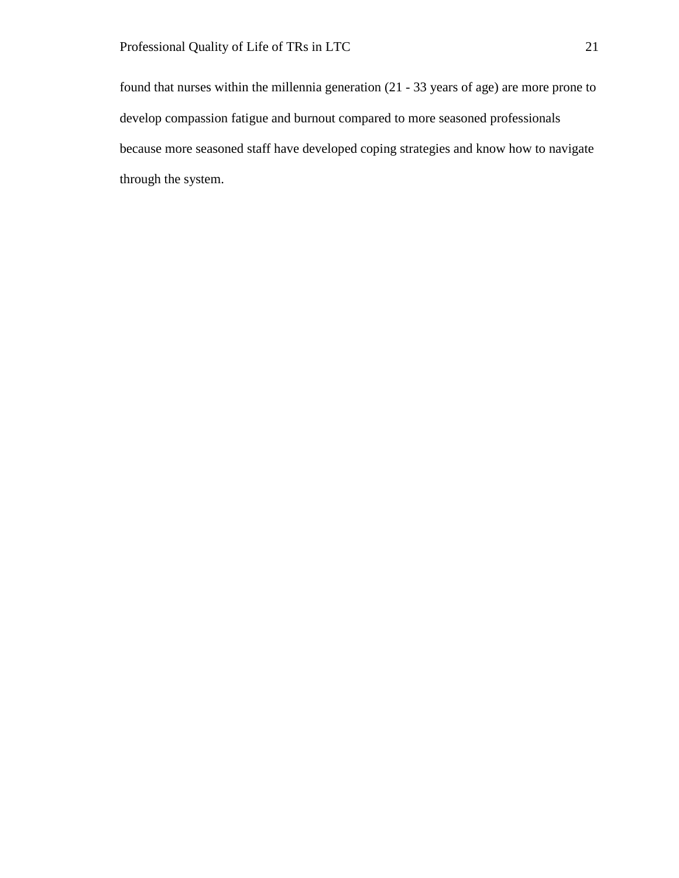found that nurses within the millennia generation (21 - 33 years of age) are more prone to develop compassion fatigue and burnout compared to more seasoned professionals because more seasoned staff have developed coping strategies and know how to navigate through the system.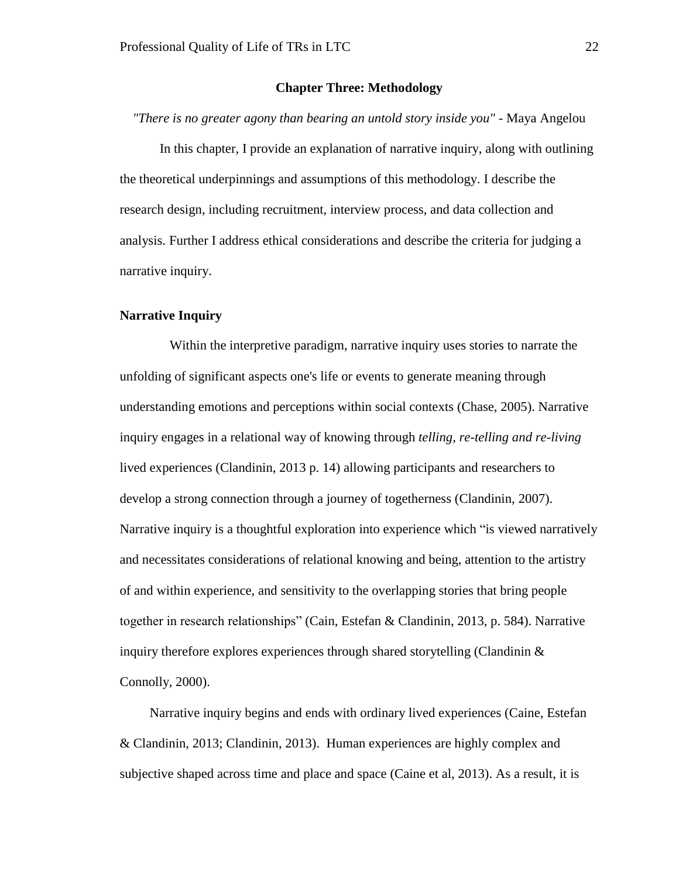## **Chapter Three: Methodology**

<span id="page-27-0"></span>*"There is no greater agony than bearing an untold story inside you"* - Maya Angelou

In this chapter, I provide an explanation of narrative inquiry, along with outlining the theoretical underpinnings and assumptions of this methodology. I describe the research design, including recruitment, interview process, and data collection and analysis. Further I address ethical considerations and describe the criteria for judging a narrative inquiry.

## <span id="page-27-1"></span>**Narrative Inquiry**

 Within the interpretive paradigm, narrative inquiry uses stories to narrate the unfolding of significant aspects one's life or events to generate meaning through understanding emotions and perceptions within social contexts (Chase, 2005). Narrative inquiry engages in a relational way of knowing through *telling, re-telling and re-living* lived experiences (Clandinin, 2013 p. 14) allowing participants and researchers to develop a strong connection through a journey of togetherness (Clandinin, 2007). Narrative inquiry is a thoughtful exploration into experience which "is viewed narratively and necessitates considerations of relational knowing and being, attention to the artistry of and within experience, and sensitivity to the overlapping stories that bring people together in research relationships" (Cain, Estefan & Clandinin, 2013, p. 584). Narrative inquiry therefore explores experiences through shared storytelling (Clandinin  $\&$ Connolly, 2000).

 Narrative inquiry begins and ends with ordinary lived experiences (Caine, Estefan & Clandinin, 2013; Clandinin, 2013). Human experiences are highly complex and subjective shaped across time and place and space (Caine et al, 2013). As a result, it is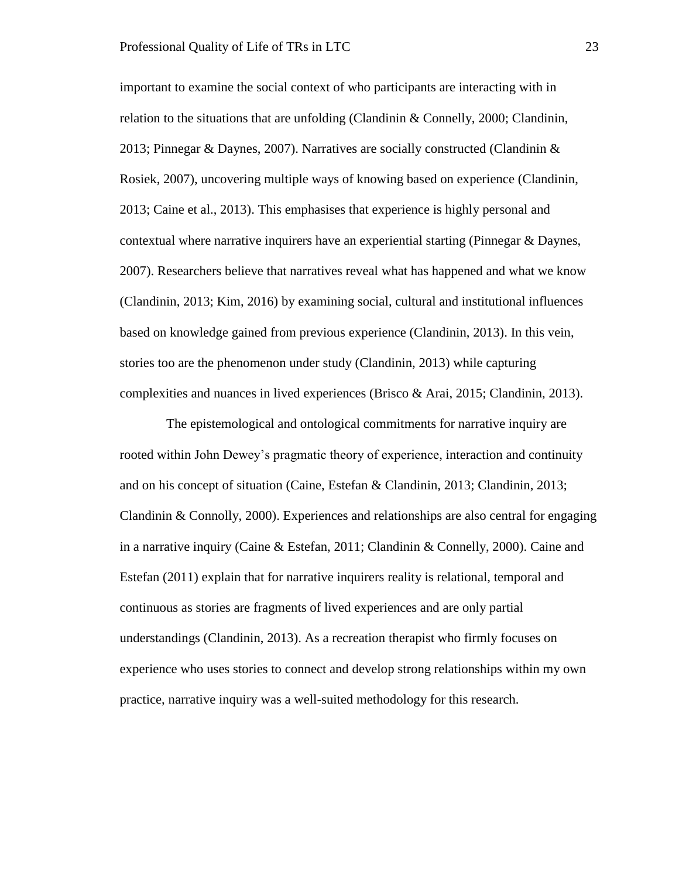important to examine the social context of who participants are interacting with in relation to the situations that are unfolding (Clandinin & Connelly, 2000; Clandinin, 2013; Pinnegar & Daynes, 2007). Narratives are socially constructed (Clandinin & Rosiek, 2007), uncovering multiple ways of knowing based on experience (Clandinin, 2013; Caine et al., 2013). This emphasises that experience is highly personal and contextual where narrative inquirers have an experiential starting (Pinnegar & Daynes, 2007). Researchers believe that narratives reveal what has happened and what we know (Clandinin, 2013; Kim, 2016) by examining social, cultural and institutional influences based on knowledge gained from previous experience (Clandinin, 2013). In this vein, stories too are the phenomenon under study (Clandinin, 2013) while capturing complexities and nuances in lived experiences (Brisco & Arai, 2015; Clandinin, 2013).

 The epistemological and ontological commitments for narrative inquiry are rooted within John Dewey's pragmatic theory of experience, interaction and continuity and on his concept of situation (Caine, Estefan & Clandinin, 2013; Clandinin, 2013; Clandinin & Connolly, 2000). Experiences and relationships are also central for engaging in a narrative inquiry (Caine & Estefan, 2011; Clandinin & Connelly, 2000). Caine and Estefan (2011) explain that for narrative inquirers reality is relational, temporal and continuous as stories are fragments of lived experiences and are only partial understandings (Clandinin, 2013). As a recreation therapist who firmly focuses on experience who uses stories to connect and develop strong relationships within my own practice, narrative inquiry was a well-suited methodology for this research.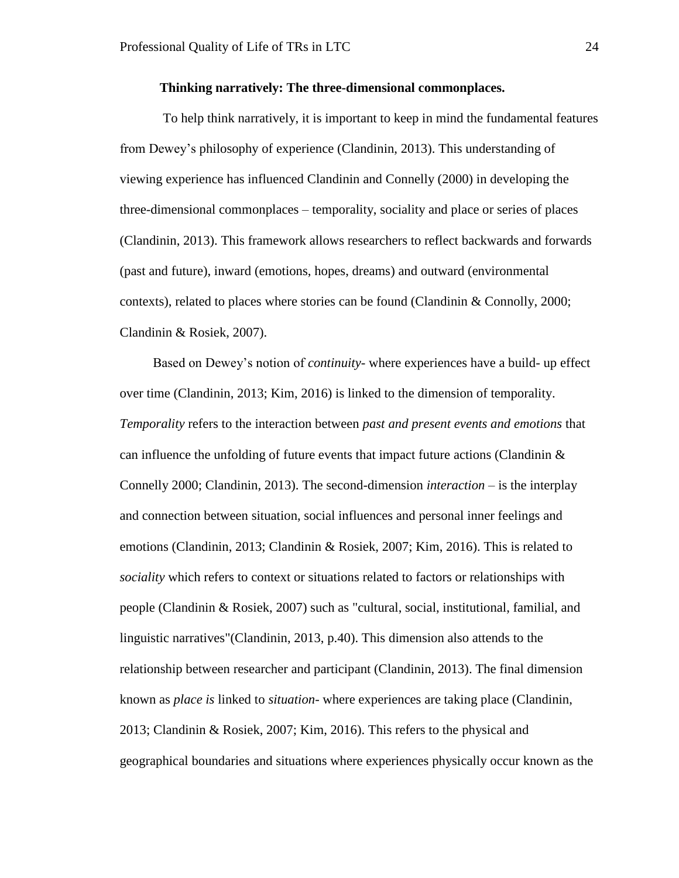## **Thinking narratively: The three-dimensional commonplaces.**

<span id="page-29-0"></span> To help think narratively, it is important to keep in mind the fundamental features from Dewey's philosophy of experience (Clandinin, 2013). This understanding of viewing experience has influenced Clandinin and Connelly (2000) in developing the three-dimensional commonplaces – temporality, sociality and place or series of places (Clandinin, 2013). This framework allows researchers to reflect backwards and forwards (past and future), inward (emotions, hopes, dreams) and outward (environmental contexts), related to places where stories can be found (Clandinin & Connolly, 2000; Clandinin & Rosiek, 2007).

 Based on Dewey's notion of *continuity-* where experiences have a build- up effect over time (Clandinin, 2013; Kim, 2016) is linked to the dimension of temporality. *Temporality* refers to the interaction between *past and present events and emotions* that can influence the unfolding of future events that impact future actions (Clandinin  $\&$ Connelly 2000; Clandinin, 2013). The second-dimension *interaction* – is the interplay and connection between situation, social influences and personal inner feelings and emotions (Clandinin, 2013; Clandinin & Rosiek, 2007; Kim, 2016). This is related to *sociality* which refers to context or situations related to factors or relationships with people (Clandinin & Rosiek, 2007) such as "cultural, social, institutional, familial, and linguistic narratives"(Clandinin, 2013, p.40). This dimension also attends to the relationship between researcher and participant (Clandinin, 2013). The final dimension known as *place is* linked to *situation*- where experiences are taking place (Clandinin, 2013; Clandinin & Rosiek, 2007; Kim, 2016). This refers to the physical and geographical boundaries and situations where experiences physically occur known as the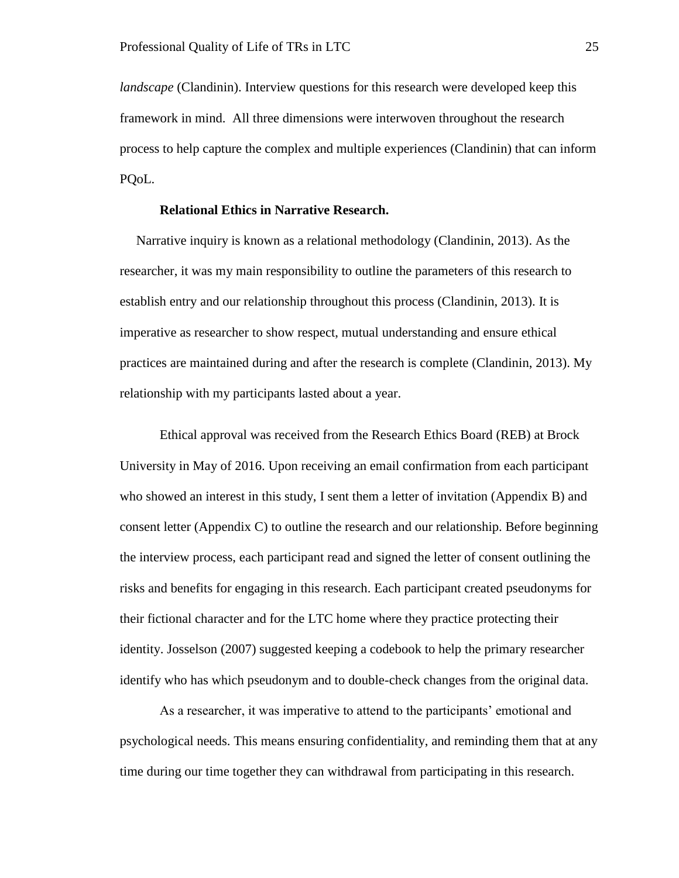*landscape* (Clandinin). Interview questions for this research were developed keep this framework in mind. All three dimensions were interwoven throughout the research process to help capture the complex and multiple experiences (Clandinin) that can inform PQoL.

# **Relational Ethics in Narrative Research.**

<span id="page-30-0"></span> Narrative inquiry is known as a relational methodology (Clandinin, 2013). As the researcher, it was my main responsibility to outline the parameters of this research to establish entry and our relationship throughout this process (Clandinin, 2013). It is imperative as researcher to show respect, mutual understanding and ensure ethical practices are maintained during and after the research is complete (Clandinin, 2013). My relationship with my participants lasted about a year.

Ethical approval was received from the Research Ethics Board (REB) at Brock University in May of 2016. Upon receiving an email confirmation from each participant who showed an interest in this study, I sent them a letter of invitation (Appendix B) and consent letter (Appendix C) to outline the research and our relationship. Before beginning the interview process, each participant read and signed the letter of consent outlining the risks and benefits for engaging in this research. Each participant created pseudonyms for their fictional character and for the LTC home where they practice protecting their identity. Josselson (2007) suggested keeping a codebook to help the primary researcher identify who has which pseudonym and to double-check changes from the original data.

As a researcher, it was imperative to attend to the participants' emotional and psychological needs. This means ensuring confidentiality, and reminding them that at any time during our time together they can withdrawal from participating in this research.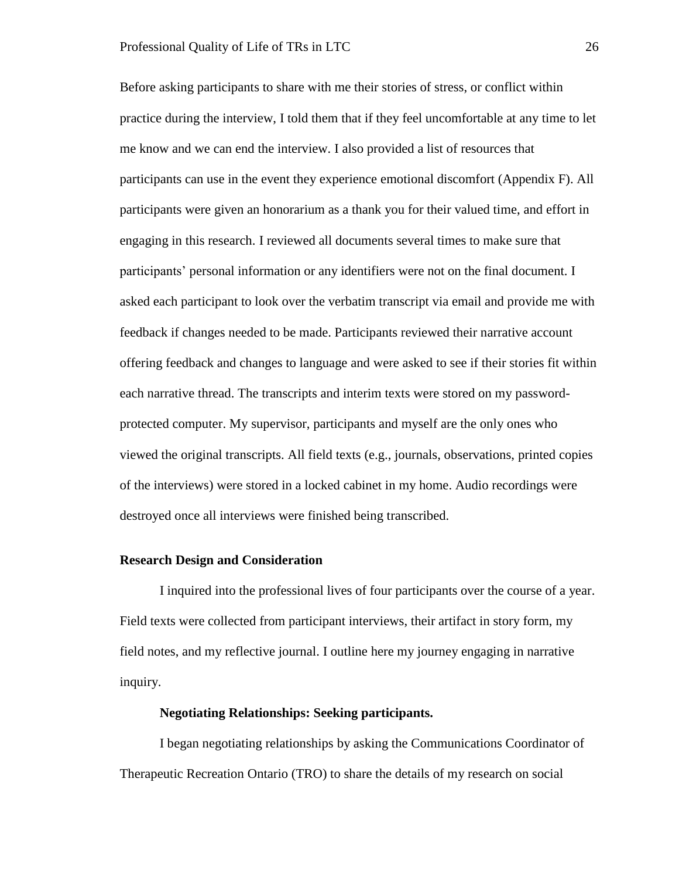Before asking participants to share with me their stories of stress, or conflict within practice during the interview, I told them that if they feel uncomfortable at any time to let me know and we can end the interview. I also provided a list of resources that participants can use in the event they experience emotional discomfort (Appendix F). All participants were given an honorarium as a thank you for their valued time, and effort in engaging in this research. I reviewed all documents several times to make sure that participants' personal information or any identifiers were not on the final document. I asked each participant to look over the verbatim transcript via email and provide me with feedback if changes needed to be made. Participants reviewed their narrative account offering feedback and changes to language and were asked to see if their stories fit within each narrative thread. The transcripts and interim texts were stored on my passwordprotected computer. My supervisor, participants and myself are the only ones who viewed the original transcripts. All field texts (e.g., journals, observations, printed copies of the interviews) were stored in a locked cabinet in my home. Audio recordings were destroyed once all interviews were finished being transcribed.

## <span id="page-31-0"></span>**Research Design and Consideration**

I inquired into the professional lives of four participants over the course of a year. Field texts were collected from participant interviews, their artifact in story form, my field notes, and my reflective journal. I outline here my journey engaging in narrative inquiry.

# **Negotiating Relationships: Seeking participants.**

<span id="page-31-1"></span>I began negotiating relationships by asking the Communications Coordinator of Therapeutic Recreation Ontario (TRO) to share the details of my research on social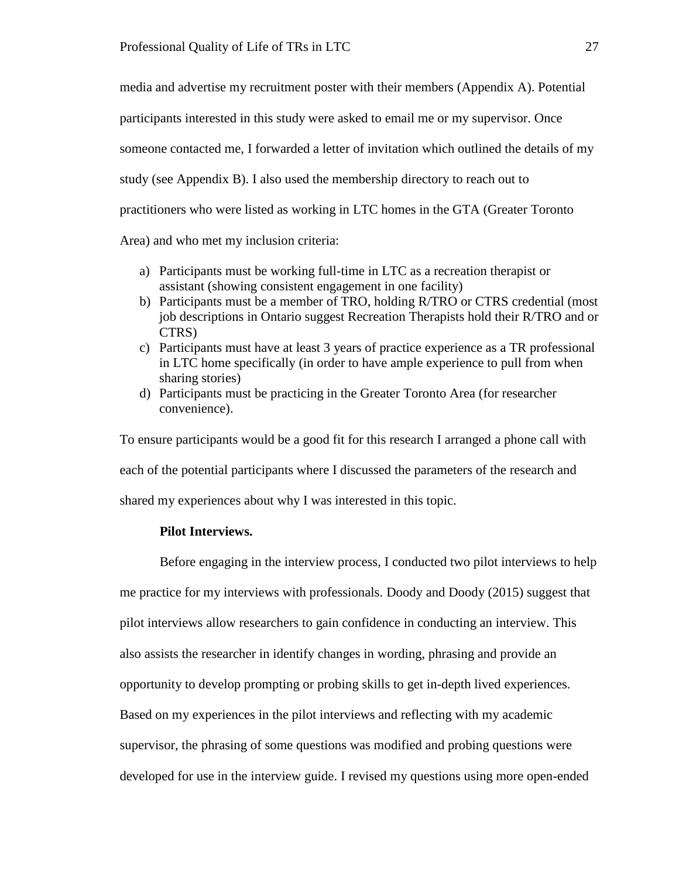media and advertise my recruitment poster with their members (Appendix A). Potential participants interested in this study were asked to email me or my supervisor. Once someone contacted me, I forwarded a letter of invitation which outlined the details of my study (see Appendix B). I also used the membership directory to reach out to practitioners who were listed as working in LTC homes in the GTA (Greater Toronto Area) and who met my inclusion criteria:

- a) Participants must be working full-time in LTC as a recreation therapist or assistant (showing consistent engagement in one facility)
- b) Participants must be a member of TRO, holding R/TRO or CTRS credential (most job descriptions in Ontario suggest Recreation Therapists hold their R/TRO and or CTRS)
- c) Participants must have at least 3 years of practice experience as a TR professional in LTC home specifically (in order to have ample experience to pull from when sharing stories)
- d) Participants must be practicing in the Greater Toronto Area (for researcher convenience).

To ensure participants would be a good fit for this research I arranged a phone call with each of the potential participants where I discussed the parameters of the research and shared my experiences about why I was interested in this topic.

# **Pilot Interviews.**

<span id="page-32-0"></span>Before engaging in the interview process, I conducted two pilot interviews to help me practice for my interviews with professionals. Doody and Doody (2015) suggest that pilot interviews allow researchers to gain confidence in conducting an interview. This also assists the researcher in identify changes in wording, phrasing and provide an opportunity to develop prompting or probing skills to get in-depth lived experiences. Based on my experiences in the pilot interviews and reflecting with my academic supervisor, the phrasing of some questions was modified and probing questions were developed for use in the interview guide. I revised my questions using more open-ended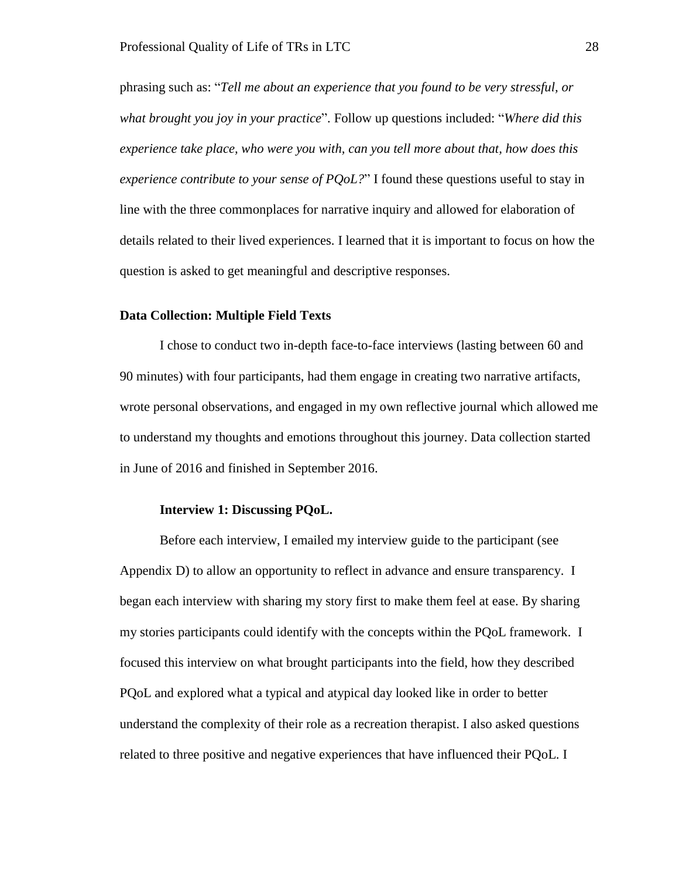phrasing such as: "*Tell me about an experience that you found to be very stressful, or what brought you joy in your practice*". Follow up questions included: "*Where did this experience take place, who were you with, can you tell more about that, how does this experience contribute to your sense of PQoL?*" I found these questions useful to stay in line with the three commonplaces for narrative inquiry and allowed for elaboration of details related to their lived experiences. I learned that it is important to focus on how the question is asked to get meaningful and descriptive responses.

## <span id="page-33-0"></span>**Data Collection: Multiple Field Texts**

I chose to conduct two in-depth face-to-face interviews (lasting between 60 and 90 minutes) with four participants, had them engage in creating two narrative artifacts, wrote personal observations, and engaged in my own reflective journal which allowed me to understand my thoughts and emotions throughout this journey. Data collection started in June of 2016 and finished in September 2016.

## **Interview 1: Discussing PQoL.**

<span id="page-33-1"></span>Before each interview, I emailed my interview guide to the participant (see Appendix D) to allow an opportunity to reflect in advance and ensure transparency. I began each interview with sharing my story first to make them feel at ease. By sharing my stories participants could identify with the concepts within the PQoL framework. I focused this interview on what brought participants into the field, how they described PQoL and explored what a typical and atypical day looked like in order to better understand the complexity of their role as a recreation therapist. I also asked questions related to three positive and negative experiences that have influenced their PQoL. I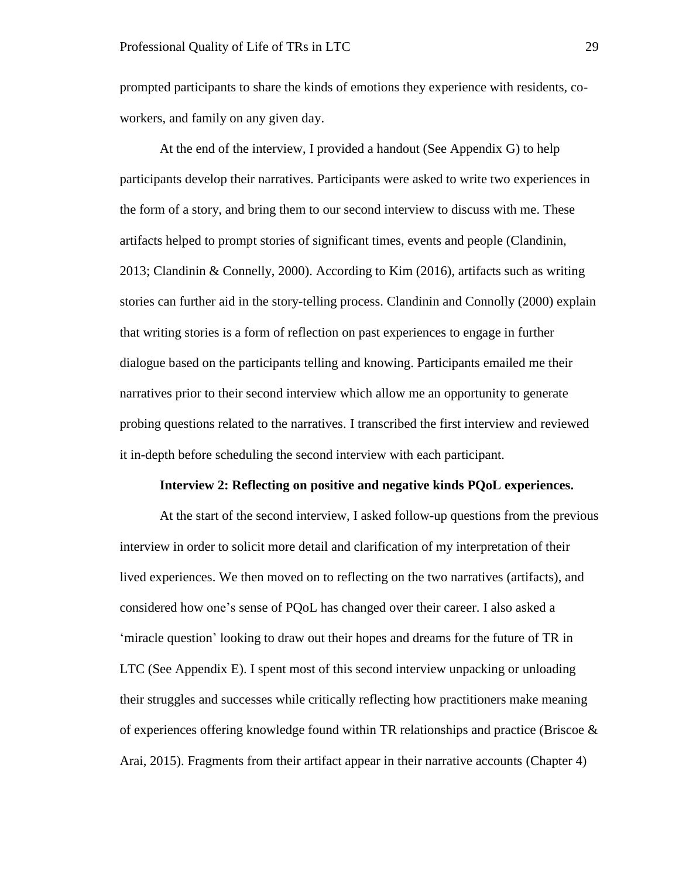prompted participants to share the kinds of emotions they experience with residents, coworkers, and family on any given day.

At the end of the interview, I provided a handout (See Appendix G) to help participants develop their narratives. Participants were asked to write two experiences in the form of a story, and bring them to our second interview to discuss with me. These artifacts helped to prompt stories of significant times, events and people (Clandinin, 2013; Clandinin & Connelly, 2000). According to Kim (2016), artifacts such as writing stories can further aid in the story-telling process. Clandinin and Connolly (2000) explain that writing stories is a form of reflection on past experiences to engage in further dialogue based on the participants telling and knowing. Participants emailed me their narratives prior to their second interview which allow me an opportunity to generate probing questions related to the narratives. I transcribed the first interview and reviewed it in-depth before scheduling the second interview with each participant.

## **Interview 2: Reflecting on positive and negative kinds PQoL experiences.**

<span id="page-34-0"></span>At the start of the second interview, I asked follow-up questions from the previous interview in order to solicit more detail and clarification of my interpretation of their lived experiences. We then moved on to reflecting on the two narratives (artifacts), and considered how one's sense of PQoL has changed over their career. I also asked a 'miracle question' looking to draw out their hopes and dreams for the future of TR in LTC (See Appendix E). I spent most of this second interview unpacking or unloading their struggles and successes while critically reflecting how practitioners make meaning of experiences offering knowledge found within TR relationships and practice (Briscoe  $\&$ Arai, 2015). Fragments from their artifact appear in their narrative accounts (Chapter 4)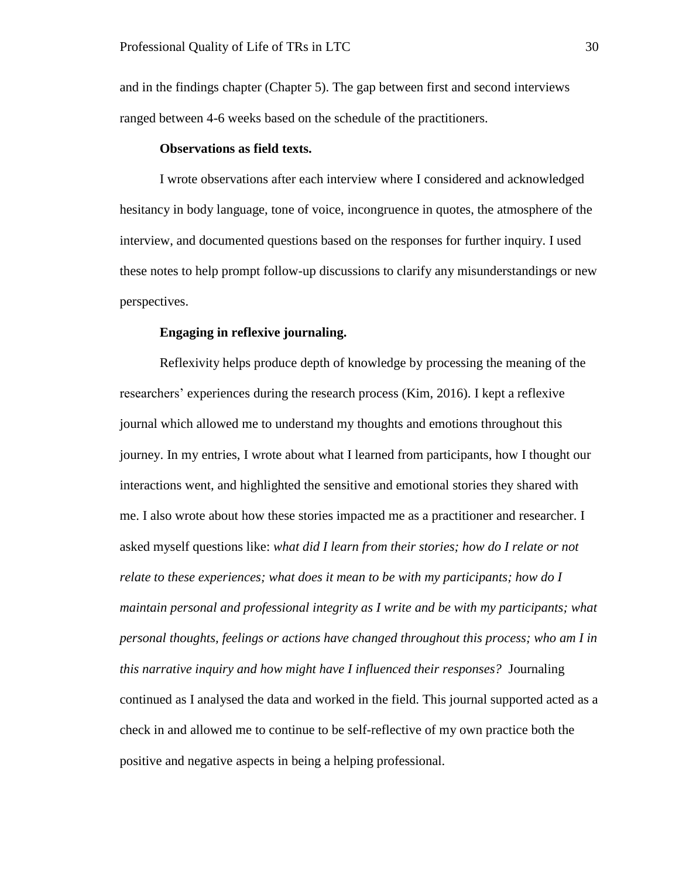and in the findings chapter (Chapter 5). The gap between first and second interviews ranged between 4-6 weeks based on the schedule of the practitioners.

## **Observations as field texts.**

<span id="page-35-0"></span>I wrote observations after each interview where I considered and acknowledged hesitancy in body language, tone of voice, incongruence in quotes, the atmosphere of the interview, and documented questions based on the responses for further inquiry. I used these notes to help prompt follow-up discussions to clarify any misunderstandings or new perspectives.

## **Engaging in reflexive journaling.**

<span id="page-35-1"></span>Reflexivity helps produce depth of knowledge by processing the meaning of the researchers' experiences during the research process (Kim, 2016). I kept a reflexive journal which allowed me to understand my thoughts and emotions throughout this journey. In my entries, I wrote about what I learned from participants, how I thought our interactions went, and highlighted the sensitive and emotional stories they shared with me. I also wrote about how these stories impacted me as a practitioner and researcher. I asked myself questions like: *what did I learn from their stories; how do I relate or not relate to these experiences; what does it mean to be with my participants; how do I maintain personal and professional integrity as I write and be with my participants; what personal thoughts, feelings or actions have changed throughout this process; who am I in this narrative inquiry and how might have I influenced their responses?* Journaling continued as I analysed the data and worked in the field. This journal supported acted as a check in and allowed me to continue to be self-reflective of my own practice both the positive and negative aspects in being a helping professional.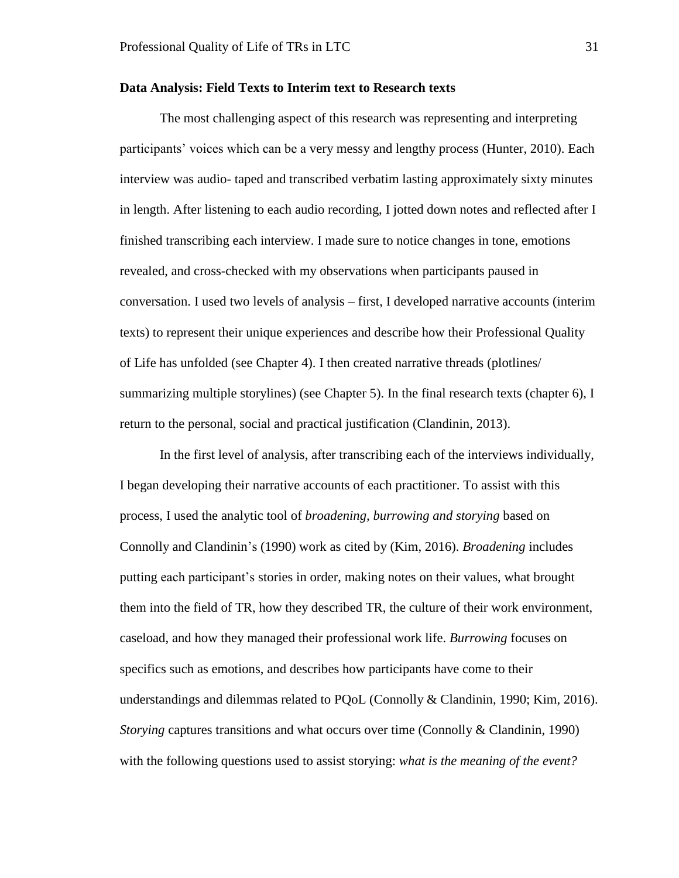#### **Data Analysis: Field Texts to Interim text to Research texts**

The most challenging aspect of this research was representing and interpreting participants' voices which can be a very messy and lengthy process (Hunter, 2010). Each interview was audio- taped and transcribed verbatim lasting approximately sixty minutes in length. After listening to each audio recording, I jotted down notes and reflected after I finished transcribing each interview. I made sure to notice changes in tone, emotions revealed, and cross-checked with my observations when participants paused in conversation. I used two levels of analysis – first, I developed narrative accounts (interim texts) to represent their unique experiences and describe how their Professional Quality of Life has unfolded (see Chapter 4). I then created narrative threads (plotlines/ summarizing multiple storylines) (see Chapter 5). In the final research texts (chapter 6), I return to the personal, social and practical justification (Clandinin, 2013).

In the first level of analysis, after transcribing each of the interviews individually, I began developing their narrative accounts of each practitioner. To assist with this process, I used the analytic tool of *broadening, burrowing and storying* based on Connolly and Clandinin's (1990) work as cited by (Kim, 2016). *Broadening* includes putting each participant's stories in order, making notes on their values, what brought them into the field of TR, how they described TR, the culture of their work environment, caseload, and how they managed their professional work life. *Burrowing* focuses on specifics such as emotions, and describes how participants have come to their understandings and dilemmas related to PQoL (Connolly & Clandinin, 1990; Kim, 2016). *Storying* captures transitions and what occurs over time (Connolly & Clandinin, 1990) with the following questions used to assist storying: *what is the meaning of the event?*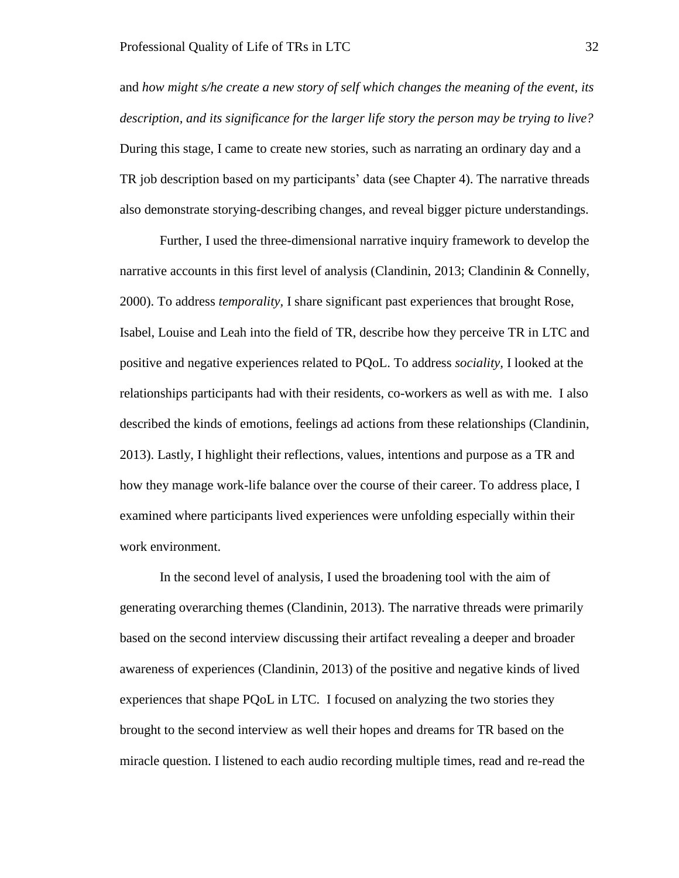and *how might s/he create a new story of self which changes the meaning of the event, its description, and its significance for the larger life story the person may be trying to live?*  During this stage, I came to create new stories, such as narrating an ordinary day and a TR job description based on my participants' data (see Chapter 4). The narrative threads also demonstrate storying-describing changes, and reveal bigger picture understandings.

Further, I used the three-dimensional narrative inquiry framework to develop the narrative accounts in this first level of analysis (Clandinin, 2013; Clandinin & Connelly, 2000). To address *temporality,* I share significant past experiences that brought Rose, Isabel, Louise and Leah into the field of TR, describe how they perceive TR in LTC and positive and negative experiences related to PQoL. To address *sociality,* I looked at the relationships participants had with their residents, co-workers as well as with me. I also described the kinds of emotions, feelings ad actions from these relationships (Clandinin, 2013). Lastly, I highlight their reflections, values, intentions and purpose as a TR and how they manage work-life balance over the course of their career. To address place, I examined where participants lived experiences were unfolding especially within their work environment.

In the second level of analysis, I used the broadening tool with the aim of generating overarching themes (Clandinin, 2013). The narrative threads were primarily based on the second interview discussing their artifact revealing a deeper and broader awareness of experiences (Clandinin, 2013) of the positive and negative kinds of lived experiences that shape PQoL in LTC. I focused on analyzing the two stories they brought to the second interview as well their hopes and dreams for TR based on the miracle question. I listened to each audio recording multiple times, read and re-read the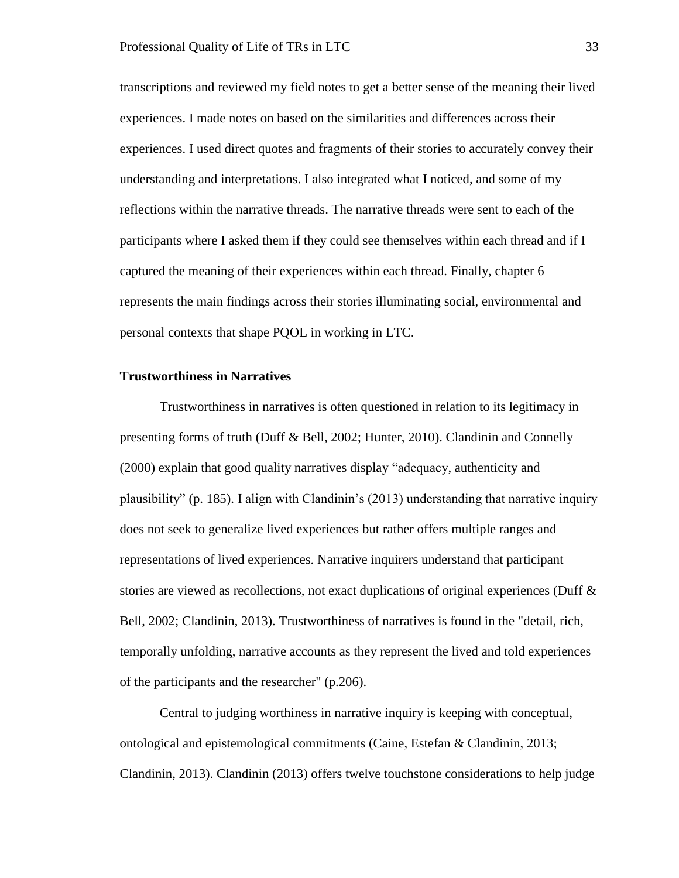transcriptions and reviewed my field notes to get a better sense of the meaning their lived experiences. I made notes on based on the similarities and differences across their experiences. I used direct quotes and fragments of their stories to accurately convey their understanding and interpretations. I also integrated what I noticed, and some of my reflections within the narrative threads. The narrative threads were sent to each of the participants where I asked them if they could see themselves within each thread and if I captured the meaning of their experiences within each thread. Finally, chapter 6 represents the main findings across their stories illuminating social, environmental and personal contexts that shape PQOL in working in LTC.

#### **Trustworthiness in Narratives**

Trustworthiness in narratives is often questioned in relation to its legitimacy in presenting forms of truth (Duff & Bell, 2002; Hunter, 2010). Clandinin and Connelly (2000) explain that good quality narratives display "adequacy, authenticity and plausibility" (p. 185). I align with Clandinin's (2013) understanding that narrative inquiry does not seek to generalize lived experiences but rather offers multiple ranges and representations of lived experiences. Narrative inquirers understand that participant stories are viewed as recollections, not exact duplications of original experiences (Duff & Bell, 2002; Clandinin, 2013). Trustworthiness of narratives is found in the "detail, rich, temporally unfolding, narrative accounts as they represent the lived and told experiences of the participants and the researcher" (p.206).

Central to judging worthiness in narrative inquiry is keeping with conceptual, ontological and epistemological commitments (Caine, Estefan & Clandinin, 2013; Clandinin, 2013). Clandinin (2013) offers twelve touchstone considerations to help judge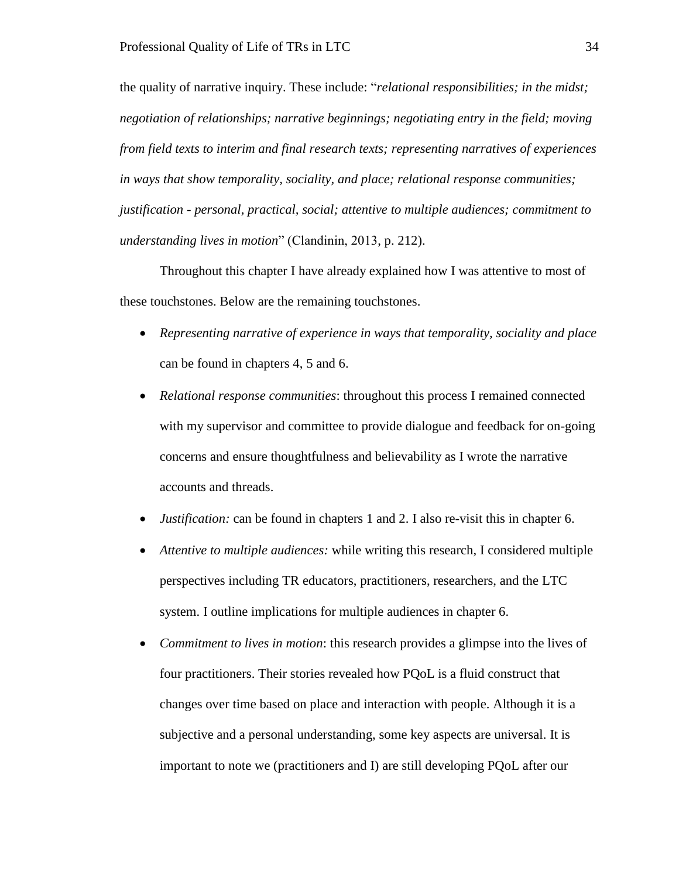the quality of narrative inquiry. These include: "*relational responsibilities; in the midst; negotiation of relationships; narrative beginnings; negotiating entry in the field; moving from field texts to interim and final research texts; representing narratives of experiences in ways that show temporality, sociality, and place; relational response communities; justification - personal, practical, social; attentive to multiple audiences; commitment to understanding lives in motion*" (Clandinin, 2013, p. 212).

Throughout this chapter I have already explained how I was attentive to most of these touchstones. Below are the remaining touchstones.

- *Representing narrative of experience in ways that temporality, sociality and place* can be found in chapters 4, 5 and 6.
- *Relational response communities*: throughout this process I remained connected with my supervisor and committee to provide dialogue and feedback for on-going concerns and ensure thoughtfulness and believability as I wrote the narrative accounts and threads.
- *Justification:* can be found in chapters 1 and 2. I also re-visit this in chapter 6.
- *Attentive to multiple audiences:* while writing this research, I considered multiple perspectives including TR educators, practitioners, researchers, and the LTC system. I outline implications for multiple audiences in chapter 6.
- *Commitment to lives in motion*: this research provides a glimpse into the lives of four practitioners. Their stories revealed how PQoL is a fluid construct that changes over time based on place and interaction with people. Although it is a subjective and a personal understanding, some key aspects are universal. It is important to note we (practitioners and I) are still developing PQoL after our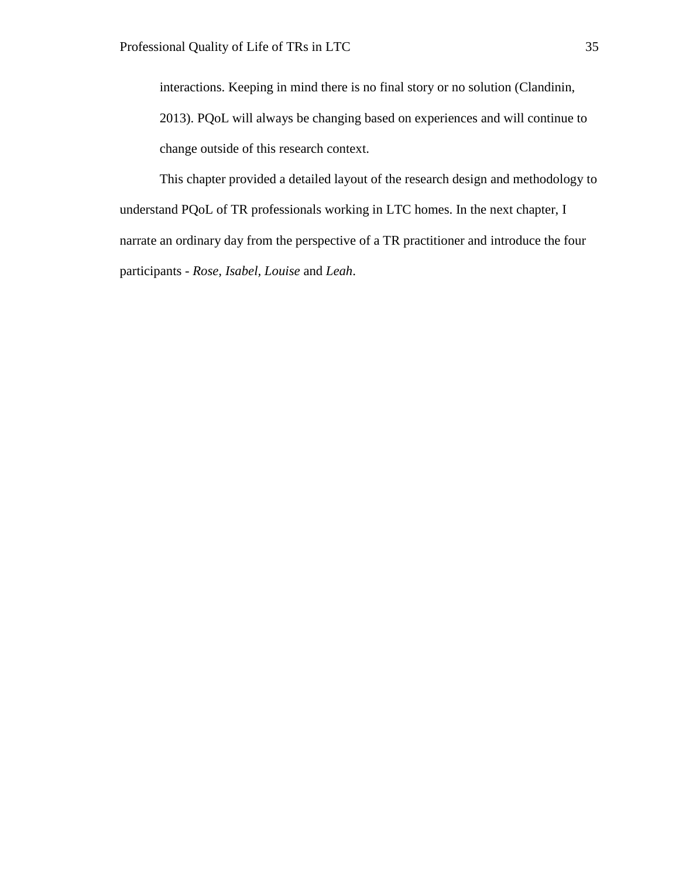interactions. Keeping in mind there is no final story or no solution (Clandinin, 2013). PQoL will always be changing based on experiences and will continue to change outside of this research context.

This chapter provided a detailed layout of the research design and methodology to understand PQoL of TR professionals working in LTC homes. In the next chapter, I narrate an ordinary day from the perspective of a TR practitioner and introduce the four participants - *Rose, Isabel, Louise* and *Leah*.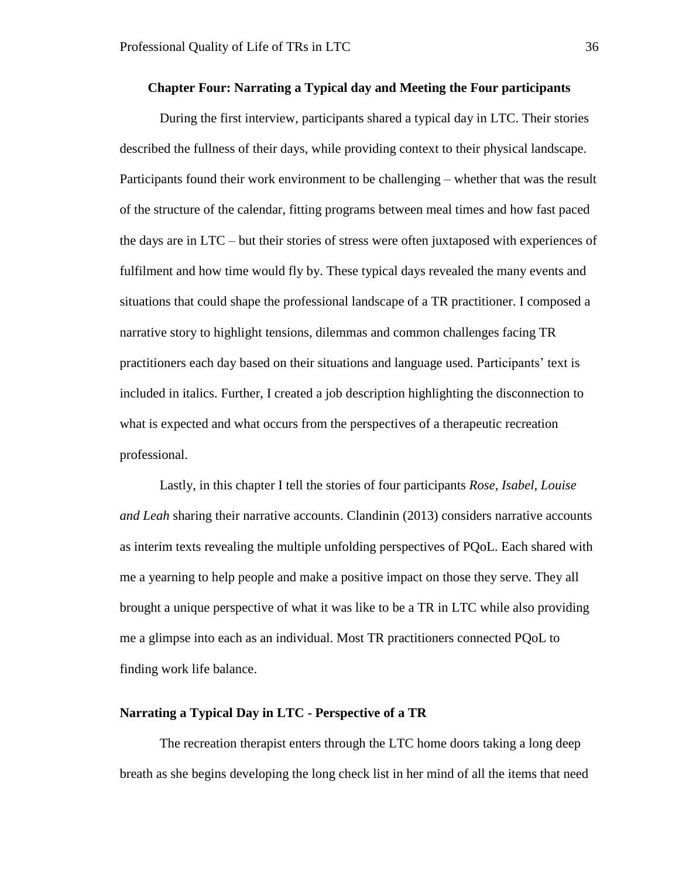#### **Chapter Four: Narrating a Typical day and Meeting the Four participants**

During the first interview, participants shared a typical day in LTC. Their stories described the fullness of their days, while providing context to their physical landscape. Participants found their work environment to be challenging – whether that was the result of the structure of the calendar, fitting programs between meal times and how fast paced the days are in LTC – but their stories of stress were often juxtaposed with experiences of fulfilment and how time would fly by. These typical days revealed the many events and situations that could shape the professional landscape of a TR practitioner. I composed a narrative story to highlight tensions, dilemmas and common challenges facing TR practitioners each day based on their situations and language used. Participants' text is included in italics. Further, I created a job description highlighting the disconnection to what is expected and what occurs from the perspectives of a therapeutic recreation professional.

Lastly, in this chapter I tell the stories of four participants *Rose, Isabel, Louise and Leah* sharing their narrative accounts. Clandinin (2013) considers narrative accounts as interim texts revealing the multiple unfolding perspectives of PQoL. Each shared with me a yearning to help people and make a positive impact on those they serve. They all brought a unique perspective of what it was like to be a TR in LTC while also providing me a glimpse into each as an individual. Most TR practitioners connected PQoL to finding work life balance.

# **Narrating a Typical Day in LTC - Perspective of a TR**

The recreation therapist enters through the LTC home doors taking a long deep breath as she begins developing the long check list in her mind of all the items that need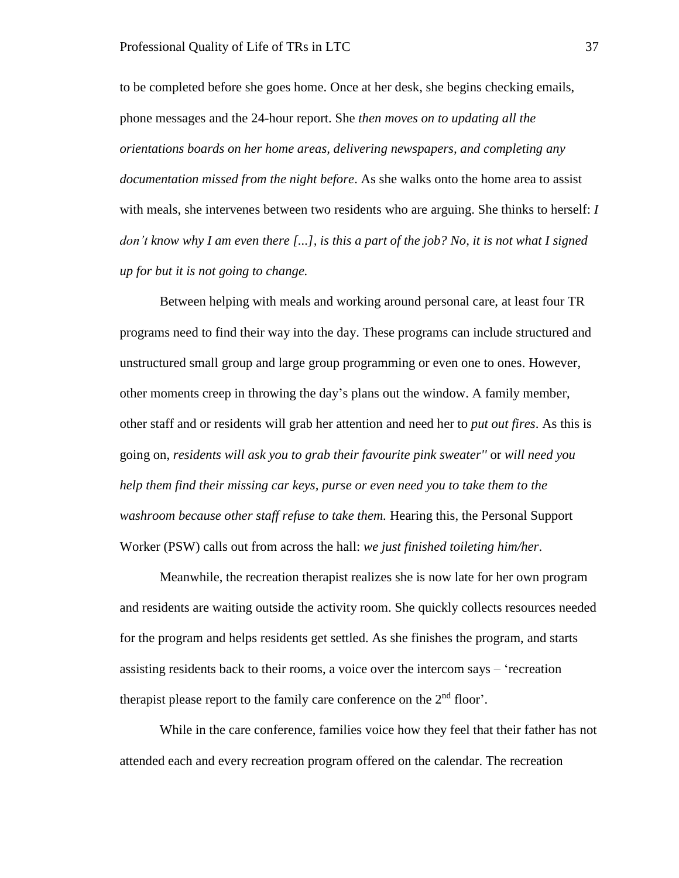to be completed before she goes home. Once at her desk, she begins checking emails, phone messages and the 24-hour report. She *then moves on to updating all the orientations boards on her home areas, delivering newspapers, and completing any documentation missed from the night before*. As she walks onto the home area to assist with meals, she intervenes between two residents who are arguing. She thinks to herself: *I don't know why I am even there [...], is this a part of the job? No, it is not what I signed up for but it is not going to change.*

Between helping with meals and working around personal care, at least four TR programs need to find their way into the day. These programs can include structured and unstructured small group and large group programming or even one to ones. However, other moments creep in throwing the day's plans out the window. A family member, other staff and or residents will grab her attention and need her to *put out fires*. As this is going on, *residents will ask you to grab their favourite pink sweater''* or *will need you help them find their missing car keys, purse or even need you to take them to the washroom because other staff refuse to take them.* Hearing this, the Personal Support Worker (PSW) calls out from across the hall: *we just finished toileting him/her*.

Meanwhile, the recreation therapist realizes she is now late for her own program and residents are waiting outside the activity room. She quickly collects resources needed for the program and helps residents get settled. As she finishes the program, and starts assisting residents back to their rooms, a voice over the intercom says – 'recreation therapist please report to the family care conference on the  $2<sup>nd</sup>$  floor'.

While in the care conference, families voice how they feel that their father has not attended each and every recreation program offered on the calendar. The recreation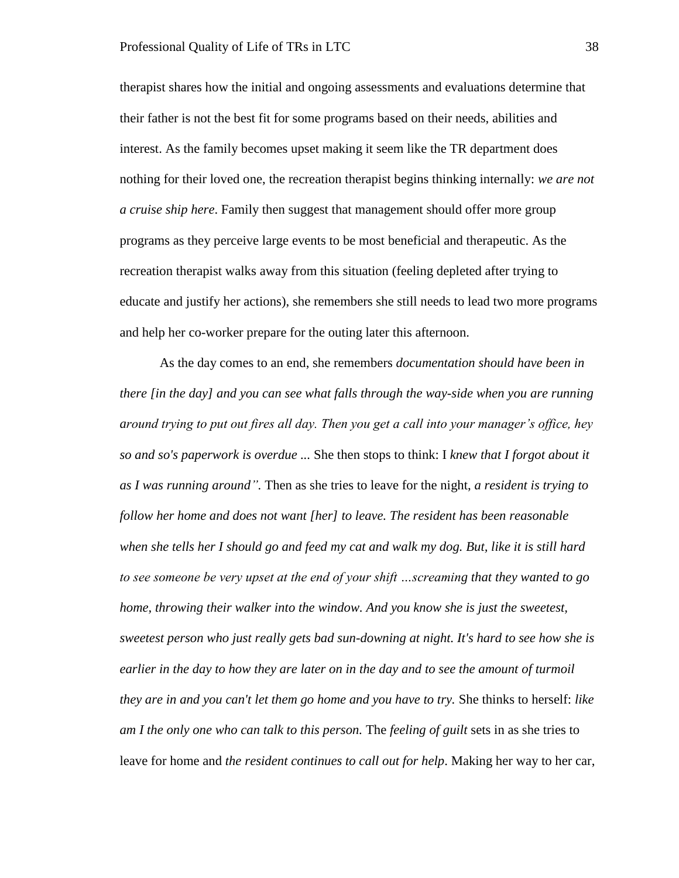therapist shares how the initial and ongoing assessments and evaluations determine that their father is not the best fit for some programs based on their needs, abilities and interest. As the family becomes upset making it seem like the TR department does nothing for their loved one, the recreation therapist begins thinking internally: *we are not a cruise ship here*. Family then suggest that management should offer more group programs as they perceive large events to be most beneficial and therapeutic. As the recreation therapist walks away from this situation (feeling depleted after trying to educate and justify her actions), she remembers she still needs to lead two more programs and help her co-worker prepare for the outing later this afternoon.

As the day comes to an end, she remembers *documentation should have been in there [in the day] and you can see what falls through the way-side when you are running around trying to put out fires all day. Then you get a call into your manager's office, hey so and so's paperwork is overdue ...* She then stops to think: I *knew that I forgot about it as I was running around".* Then as she tries to leave for the night, *a resident is trying to follow her home and does not want [her] to leave. The resident has been reasonable when she tells her I should go and feed my cat and walk my dog. But, like it is still hard to see someone be very upset at the end of your shift …screaming that they wanted to go home, throwing their walker into the window. And you know she is just the sweetest, sweetest person who just really gets bad sun-downing at night. It's hard to see how she is earlier in the day to how they are later on in the day and to see the amount of turmoil they are in and you can't let them go home and you have to try.* She thinks to herself: *like am I the only one who can talk to this person.* The *feeling of guilt* sets in as she tries to leave for home and *the resident continues to call out for help*. Making her way to her car,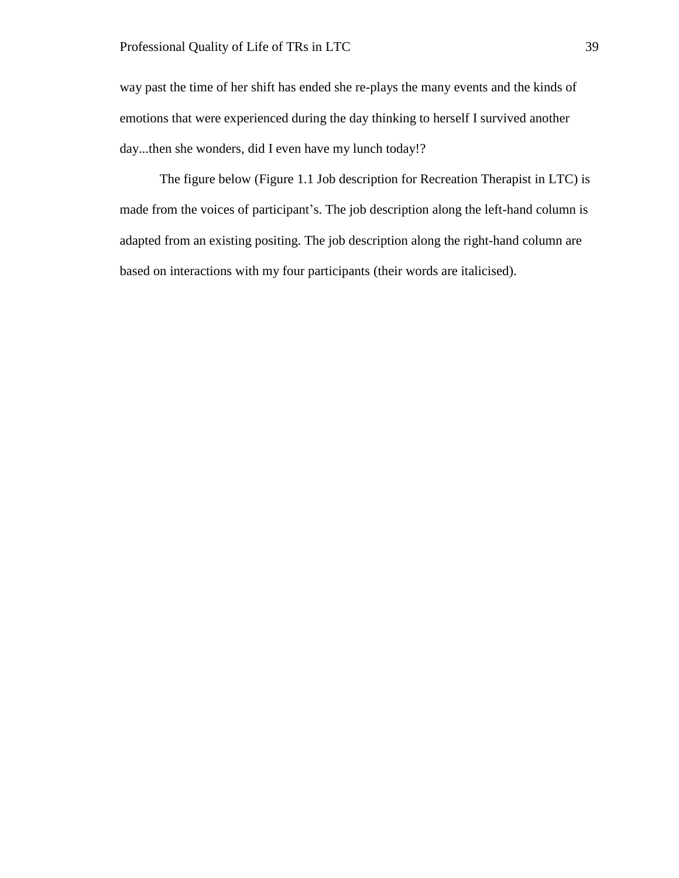way past the time of her shift has ended she re-plays the many events and the kinds of emotions that were experienced during the day thinking to herself I survived another day...then she wonders, did I even have my lunch today!?

The figure below (Figure 1.1 Job description for Recreation Therapist in LTC) is made from the voices of participant's. The job description along the left-hand column is adapted from an existing positing. The job description along the right-hand column are based on interactions with my four participants (their words are italicised).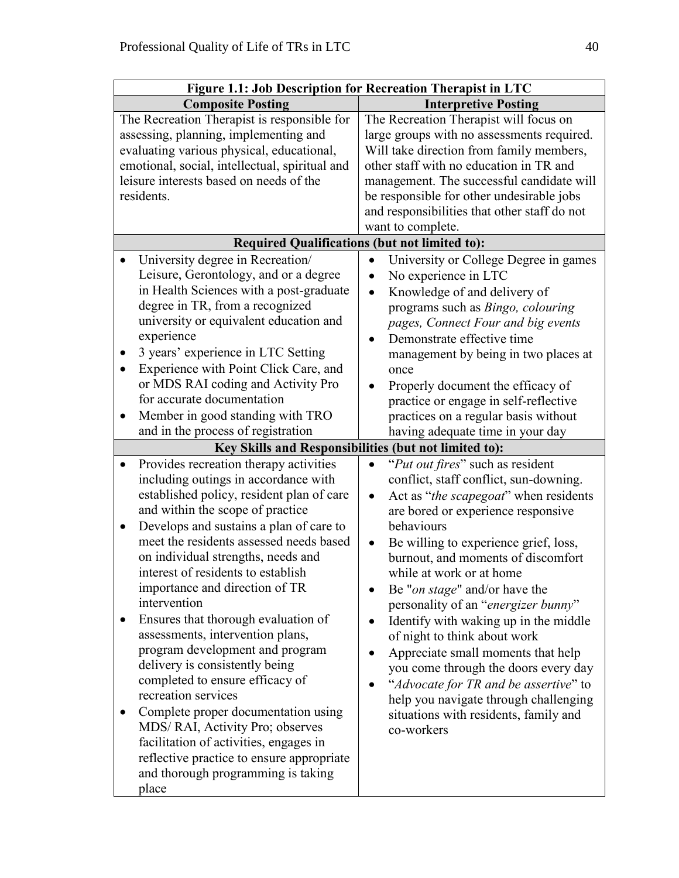| Figure 1.1: Job Description for Recreation Therapist in LTC                                                                                                                                                                                                                                                                                                                                                                                                                                                    |                                                                                                                                                                                                                                                                                                                                                                                                           |
|----------------------------------------------------------------------------------------------------------------------------------------------------------------------------------------------------------------------------------------------------------------------------------------------------------------------------------------------------------------------------------------------------------------------------------------------------------------------------------------------------------------|-----------------------------------------------------------------------------------------------------------------------------------------------------------------------------------------------------------------------------------------------------------------------------------------------------------------------------------------------------------------------------------------------------------|
| <b>Composite Posting</b>                                                                                                                                                                                                                                                                                                                                                                                                                                                                                       | <b>Interpretive Posting</b>                                                                                                                                                                                                                                                                                                                                                                               |
| The Recreation Therapist is responsible for                                                                                                                                                                                                                                                                                                                                                                                                                                                                    | The Recreation Therapist will focus on                                                                                                                                                                                                                                                                                                                                                                    |
| assessing, planning, implementing and                                                                                                                                                                                                                                                                                                                                                                                                                                                                          | large groups with no assessments required.                                                                                                                                                                                                                                                                                                                                                                |
| evaluating various physical, educational,                                                                                                                                                                                                                                                                                                                                                                                                                                                                      | Will take direction from family members,                                                                                                                                                                                                                                                                                                                                                                  |
| emotional, social, intellectual, spiritual and                                                                                                                                                                                                                                                                                                                                                                                                                                                                 | other staff with no education in TR and                                                                                                                                                                                                                                                                                                                                                                   |
| leisure interests based on needs of the                                                                                                                                                                                                                                                                                                                                                                                                                                                                        | management. The successful candidate will                                                                                                                                                                                                                                                                                                                                                                 |
| residents.                                                                                                                                                                                                                                                                                                                                                                                                                                                                                                     | be responsible for other undesirable jobs                                                                                                                                                                                                                                                                                                                                                                 |
|                                                                                                                                                                                                                                                                                                                                                                                                                                                                                                                | and responsibilities that other staff do not                                                                                                                                                                                                                                                                                                                                                              |
|                                                                                                                                                                                                                                                                                                                                                                                                                                                                                                                | want to complete.                                                                                                                                                                                                                                                                                                                                                                                         |
| <b>Required Qualifications (but not limited to):</b>                                                                                                                                                                                                                                                                                                                                                                                                                                                           |                                                                                                                                                                                                                                                                                                                                                                                                           |
| University degree in Recreation/<br>Leisure, Gerontology, and or a degree<br>in Health Sciences with a post-graduate<br>degree in TR, from a recognized<br>university or equivalent education and<br>experience<br>3 years' experience in LTC Setting<br>Experience with Point Click Care, and<br>or MDS RAI coding and Activity Pro<br>for accurate documentation                                                                                                                                             | University or College Degree in games<br>$\bullet$<br>No experience in LTC<br>Knowledge of and delivery of<br>$\bullet$<br>programs such as <i>Bingo</i> , colouring<br>pages, Connect Four and big events<br>Demonstrate effective time<br>management by being in two places at<br>once<br>Properly document the efficacy of                                                                             |
|                                                                                                                                                                                                                                                                                                                                                                                                                                                                                                                | practice or engage in self-reflective                                                                                                                                                                                                                                                                                                                                                                     |
| Member in good standing with TRO<br>$\bullet$                                                                                                                                                                                                                                                                                                                                                                                                                                                                  | practices on a regular basis without                                                                                                                                                                                                                                                                                                                                                                      |
| and in the process of registration                                                                                                                                                                                                                                                                                                                                                                                                                                                                             | having adequate time in your day                                                                                                                                                                                                                                                                                                                                                                          |
| Key Skills and Responsibilities (but not limited to):                                                                                                                                                                                                                                                                                                                                                                                                                                                          |                                                                                                                                                                                                                                                                                                                                                                                                           |
| Provides recreation therapy activities<br>$\bullet$<br>including outings in accordance with<br>established policy, resident plan of care<br>and within the scope of practice<br>Develops and sustains a plan of care to<br>$\bullet$<br>meet the residents assessed needs based<br>on individual strengths, needs and                                                                                                                                                                                          | "Put out fires" such as resident<br>conflict, staff conflict, sun-downing.<br>Act as " <i>the scapegoat</i> " when residents<br>$\bullet$<br>are bored or experience responsive<br>behaviours<br>Be willing to experience grief, loss,<br>$\bullet$<br>burnout, and moments of discomfort                                                                                                                 |
| interest of residents to establish<br>importance and direction of TR<br>intervention<br>Ensures that thorough evaluation of<br>assessments, intervention plans,<br>program development and program<br>delivery is consistently being<br>completed to ensure efficacy of<br>recreation services<br>Complete proper documentation using<br>MDS/RAI, Activity Pro; observes<br>facilitation of activities, engages in<br>reflective practice to ensure appropriate<br>and thorough programming is taking<br>place | while at work or at home<br>Be " <i>on stage</i> " and/or have the<br>personality of an "energizer bunny"<br>Identify with waking up in the middle<br>of night to think about work<br>Appreciate small moments that help<br>you come through the doors every day<br>"Advocate for TR and be assertive" to<br>help you navigate through challenging<br>situations with residents, family and<br>co-workers |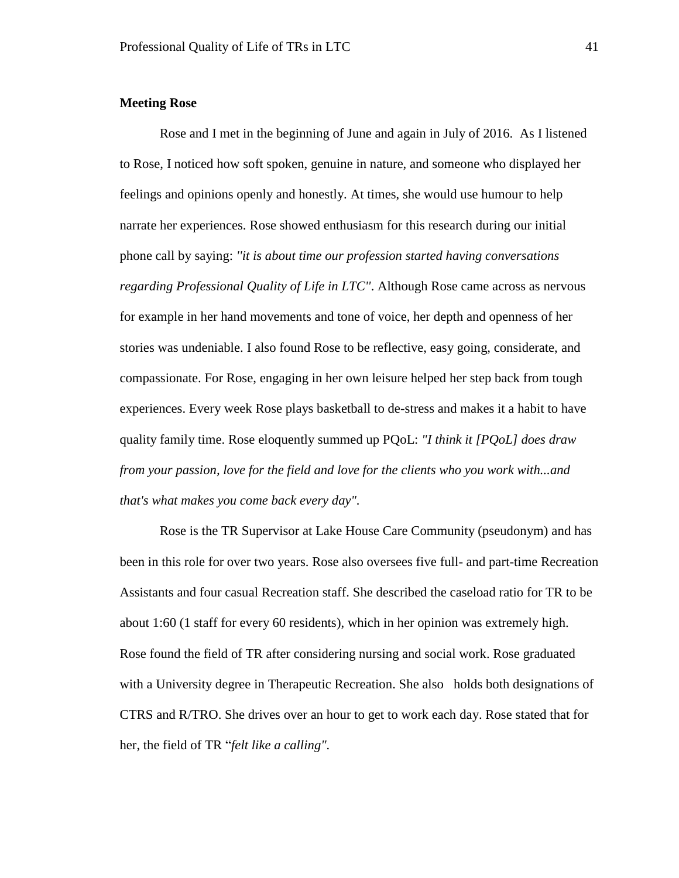## **Meeting Rose**

Rose and I met in the beginning of June and again in July of 2016. As I listened to Rose, I noticed how soft spoken, genuine in nature, and someone who displayed her feelings and opinions openly and honestly. At times, she would use humour to help narrate her experiences. Rose showed enthusiasm for this research during our initial phone call by saying: *''it is about time our profession started having conversations regarding Professional Quality of Life in LTC''*. Although Rose came across as nervous for example in her hand movements and tone of voice, her depth and openness of her stories was undeniable. I also found Rose to be reflective, easy going, considerate, and compassionate. For Rose, engaging in her own leisure helped her step back from tough experiences. Every week Rose plays basketball to de-stress and makes it a habit to have quality family time. Rose eloquently summed up PQoL: *"I think it [PQoL] does draw from your passion, love for the field and love for the clients who you work with...and that's what makes you come back every day".*

Rose is the TR Supervisor at Lake House Care Community (pseudonym) and has been in this role for over two years. Rose also oversees five full- and part-time Recreation Assistants and four casual Recreation staff. She described the caseload ratio for TR to be about 1:60 (1 staff for every 60 residents), which in her opinion was extremely high. Rose found the field of TR after considering nursing and social work. Rose graduated with a University degree in Therapeutic Recreation. She also holds both designations of CTRS and R/TRO. She drives over an hour to get to work each day. Rose stated that for her, the field of TR "*felt like a calling".*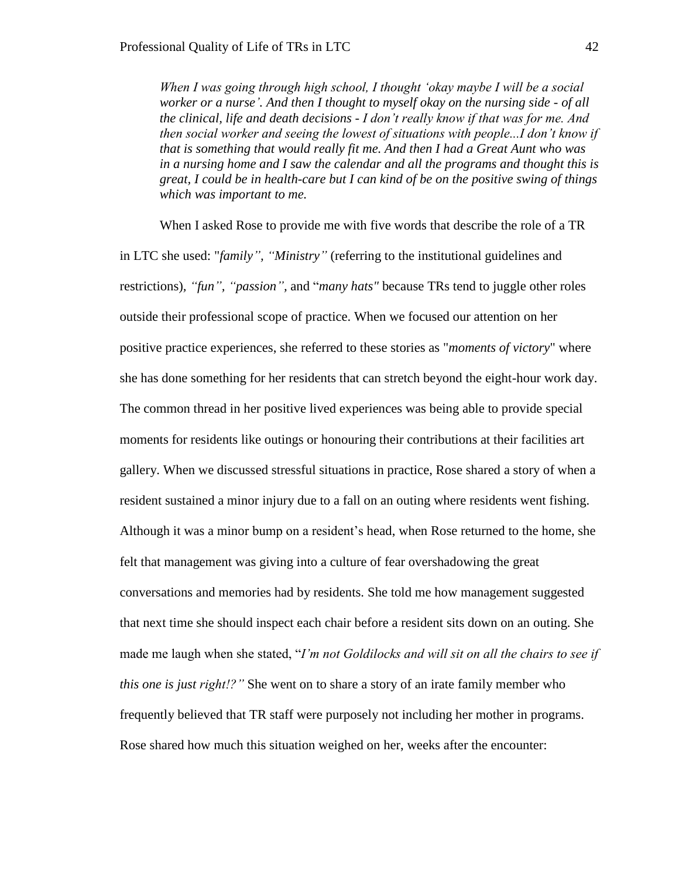*When I was going through high school, I thought 'okay maybe I will be a social worker or a nurse'. And then I thought to myself okay on the nursing side - of all the clinical, life and death decisions - I don't really know if that was for me. And then social worker and seeing the lowest of situations with people...I don't know if that is something that would really fit me. And then I had a Great Aunt who was in a nursing home and I saw the calendar and all the programs and thought this is great, I could be in health-care but I can kind of be on the positive swing of things which was important to me.* 

When I asked Rose to provide me with five words that describe the role of a TR in LTC she used: "*family", "Ministry"* (referring to the institutional guidelines and restrictions)*, "fun", "passion",* and "*many hats"* because TRs tend to juggle other roles outside their professional scope of practice. When we focused our attention on her positive practice experiences, she referred to these stories as "*moments of victory*" where she has done something for her residents that can stretch beyond the eight-hour work day. The common thread in her positive lived experiences was being able to provide special moments for residents like outings or honouring their contributions at their facilities art gallery. When we discussed stressful situations in practice, Rose shared a story of when a resident sustained a minor injury due to a fall on an outing where residents went fishing. Although it was a minor bump on a resident's head, when Rose returned to the home, she felt that management was giving into a culture of fear overshadowing the great conversations and memories had by residents. She told me how management suggested that next time she should inspect each chair before a resident sits down on an outing. She made me laugh when she stated, "*I'm not Goldilocks and will sit on all the chairs to see if this one is just right!?"* She went on to share a story of an irate family member who frequently believed that TR staff were purposely not including her mother in programs. Rose shared how much this situation weighed on her, weeks after the encounter: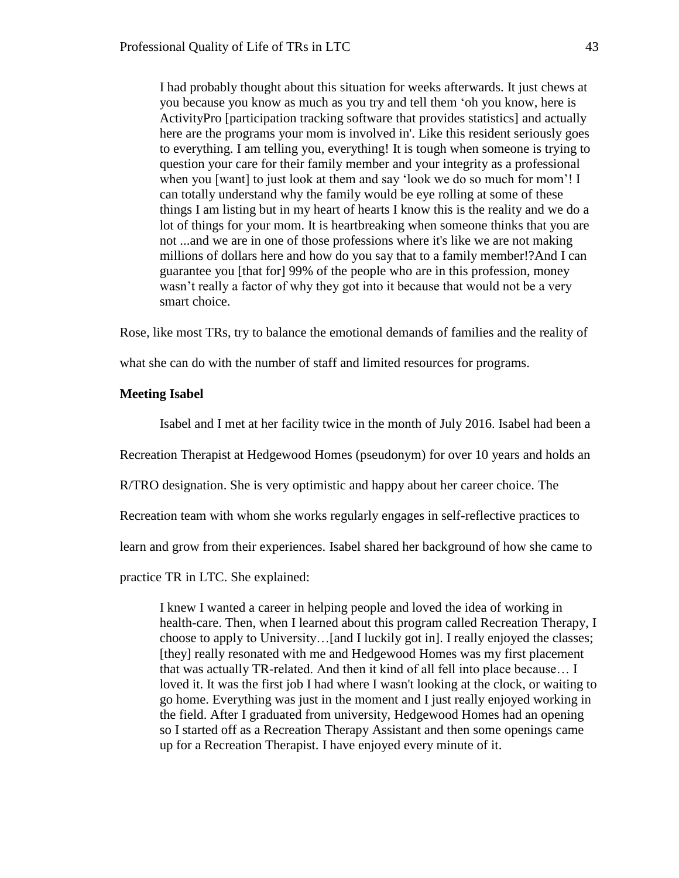I had probably thought about this situation for weeks afterwards. It just chews at you because you know as much as you try and tell them 'oh you know, here is ActivityPro [participation tracking software that provides statistics] and actually here are the programs your mom is involved in'. Like this resident seriously goes to everything. I am telling you, everything! It is tough when someone is trying to question your care for their family member and your integrity as a professional when you [want] to just look at them and say 'look we do so much for mom'! I can totally understand why the family would be eye rolling at some of these things I am listing but in my heart of hearts I know this is the reality and we do a lot of things for your mom. It is heartbreaking when someone thinks that you are not ...and we are in one of those professions where it's like we are not making millions of dollars here and how do you say that to a family member!?And I can guarantee you [that for] 99% of the people who are in this profession, money wasn't really a factor of why they got into it because that would not be a very smart choice.

Rose, like most TRs, try to balance the emotional demands of families and the reality of

what she can do with the number of staff and limited resources for programs.

## **Meeting Isabel**

Isabel and I met at her facility twice in the month of July 2016. Isabel had been a

Recreation Therapist at Hedgewood Homes (pseudonym) for over 10 years and holds an

R/TRO designation. She is very optimistic and happy about her career choice. The

Recreation team with whom she works regularly engages in self-reflective practices to

learn and grow from their experiences. Isabel shared her background of how she came to

practice TR in LTC. She explained:

I knew I wanted a career in helping people and loved the idea of working in health-care. Then, when I learned about this program called Recreation Therapy, I choose to apply to University…[and I luckily got in]. I really enjoyed the classes; [they] really resonated with me and Hedgewood Homes was my first placement that was actually TR-related. And then it kind of all fell into place because… I loved it. It was the first job I had where I wasn't looking at the clock, or waiting to go home. Everything was just in the moment and I just really enjoyed working in the field. After I graduated from university, Hedgewood Homes had an opening so I started off as a Recreation Therapy Assistant and then some openings came up for a Recreation Therapist. I have enjoyed every minute of it.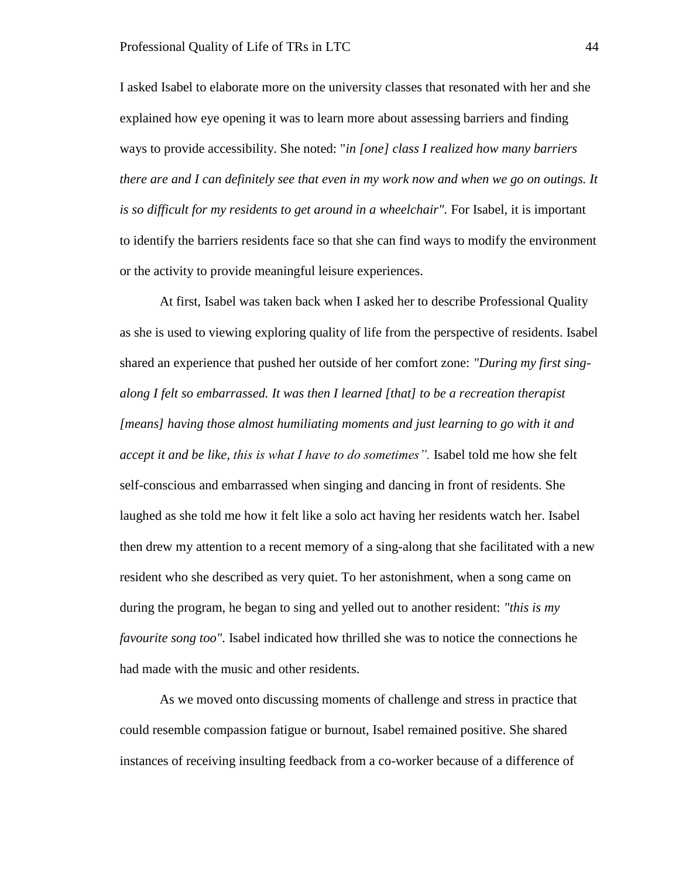I asked Isabel to elaborate more on the university classes that resonated with her and she explained how eye opening it was to learn more about assessing barriers and finding ways to provide accessibility. She noted: "*in [one] class I realized how many barriers there are and I can definitely see that even in my work now and when we go on outings. It*  is so difficult for my residents to get around in a wheelchair". For Isabel, it is important to identify the barriers residents face so that she can find ways to modify the environment or the activity to provide meaningful leisure experiences.

At first, Isabel was taken back when I asked her to describe Professional Quality as she is used to viewing exploring quality of life from the perspective of residents. Isabel shared an experience that pushed her outside of her comfort zone: *"During my first singalong I felt so embarrassed. It was then I learned [that] to be a recreation therapist [means] having those almost humiliating moments and just learning to go with it and accept it and be like, this is what I have to do sometimes".* Isabel told me how she felt self-conscious and embarrassed when singing and dancing in front of residents. She laughed as she told me how it felt like a solo act having her residents watch her. Isabel then drew my attention to a recent memory of a sing-along that she facilitated with a new resident who she described as very quiet. To her astonishment, when a song came on during the program, he began to sing and yelled out to another resident: *"this is my favourite song too".* Isabel indicated how thrilled she was to notice the connections he had made with the music and other residents.

As we moved onto discussing moments of challenge and stress in practice that could resemble compassion fatigue or burnout, Isabel remained positive. She shared instances of receiving insulting feedback from a co-worker because of a difference of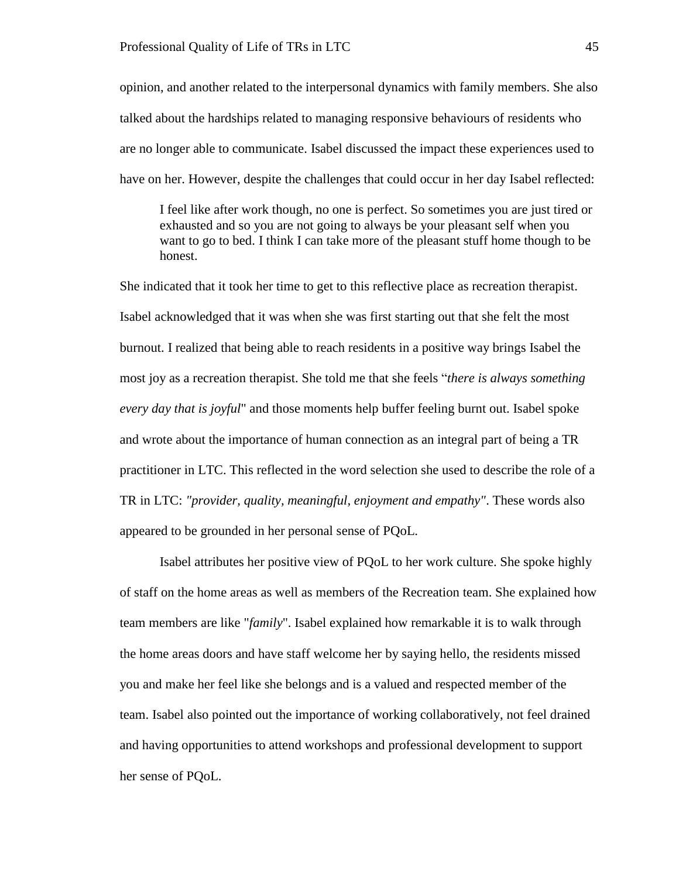opinion, and another related to the interpersonal dynamics with family members. She also talked about the hardships related to managing responsive behaviours of residents who are no longer able to communicate. Isabel discussed the impact these experiences used to have on her. However, despite the challenges that could occur in her day Isabel reflected:

I feel like after work though, no one is perfect. So sometimes you are just tired or exhausted and so you are not going to always be your pleasant self when you want to go to bed. I think I can take more of the pleasant stuff home though to be honest.

She indicated that it took her time to get to this reflective place as recreation therapist. Isabel acknowledged that it was when she was first starting out that she felt the most burnout. I realized that being able to reach residents in a positive way brings Isabel the most joy as a recreation therapist. She told me that she feels "*there is always something every day that is joyful*" and those moments help buffer feeling burnt out. Isabel spoke and wrote about the importance of human connection as an integral part of being a TR practitioner in LTC. This reflected in the word selection she used to describe the role of a TR in LTC: *"provider, quality, meaningful, enjoyment and empathy"*. These words also appeared to be grounded in her personal sense of PQoL.

Isabel attributes her positive view of PQoL to her work culture. She spoke highly of staff on the home areas as well as members of the Recreation team. She explained how team members are like "*family*". Isabel explained how remarkable it is to walk through the home areas doors and have staff welcome her by saying hello, the residents missed you and make her feel like she belongs and is a valued and respected member of the team. Isabel also pointed out the importance of working collaboratively, not feel drained and having opportunities to attend workshops and professional development to support her sense of PQoL.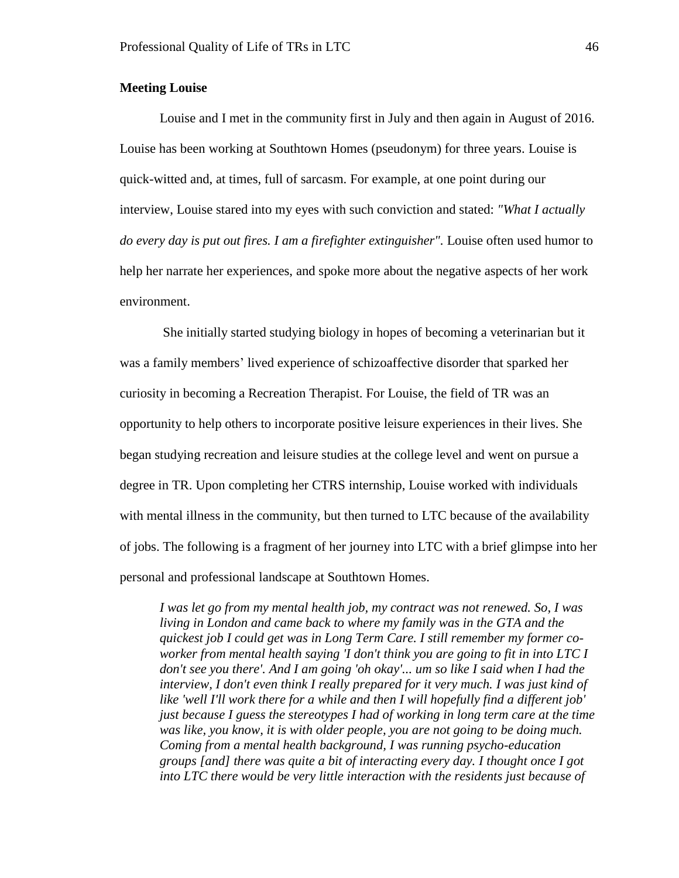# **Meeting Louise**

Louise and I met in the community first in July and then again in August of 2016. Louise has been working at Southtown Homes (pseudonym) for three years. Louise is quick-witted and, at times, full of sarcasm. For example, at one point during our interview, Louise stared into my eyes with such conviction and stated: *"What I actually do every day is put out fires. I am a firefighter extinguisher".* Louise often used humor to help her narrate her experiences, and spoke more about the negative aspects of her work environment.

She initially started studying biology in hopes of becoming a veterinarian but it was a family members' lived experience of schizoaffective disorder that sparked her curiosity in becoming a Recreation Therapist. For Louise, the field of TR was an opportunity to help others to incorporate positive leisure experiences in their lives. She began studying recreation and leisure studies at the college level and went on pursue a degree in TR. Upon completing her CTRS internship, Louise worked with individuals with mental illness in the community, but then turned to LTC because of the availability of jobs. The following is a fragment of her journey into LTC with a brief glimpse into her personal and professional landscape at Southtown Homes.

*I was let go from my mental health job, my contract was not renewed. So, I was living in London and came back to where my family was in the GTA and the quickest job I could get was in Long Term Care. I still remember my former coworker from mental health saying 'I don't think you are going to fit in into LTC I don't see you there'. And I am going 'oh okay'... um so like I said when I had the interview, I don't even think I really prepared for it very much. I was just kind of like 'well I'll work there for a while and then I will hopefully find a different job' just because I guess the stereotypes I had of working in long term care at the time was like, you know, it is with older people, you are not going to be doing much. Coming from a mental health background, I was running psycho-education groups [and] there was quite a bit of interacting every day. I thought once I got into LTC there would be very little interaction with the residents just because of*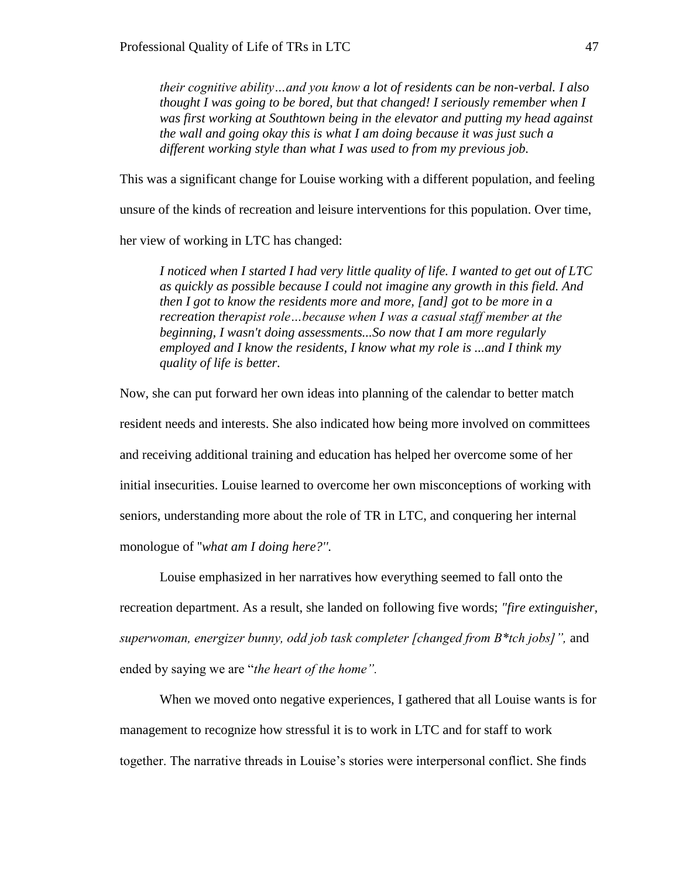*their cognitive ability…and you know a lot of residents can be non-verbal. I also thought I was going to be bored, but that changed! I seriously remember when I was first working at Southtown being in the elevator and putting my head against the wall and going okay this is what I am doing because it was just such a different working style than what I was used to from my previous job.* 

This was a significant change for Louise working with a different population, and feeling unsure of the kinds of recreation and leisure interventions for this population. Over time,

her view of working in LTC has changed:

*I noticed when I started I had very little quality of life. I wanted to get out of LTC as quickly as possible because I could not imagine any growth in this field. And then I got to know the residents more and more, [and] got to be more in a recreation therapist role…because when I was a casual staff member at the beginning, I wasn't doing assessments...So now that I am more regularly employed and I know the residents, I know what my role is ...and I think my quality of life is better.* 

Now, she can put forward her own ideas into planning of the calendar to better match resident needs and interests. She also indicated how being more involved on committees and receiving additional training and education has helped her overcome some of her initial insecurities. Louise learned to overcome her own misconceptions of working with seniors, understanding more about the role of TR in LTC, and conquering her internal monologue of ''*what am I doing here?''.*

Louise emphasized in her narratives how everything seemed to fall onto the recreation department. As a result, she landed on following five words; *"fire extinguisher, superwoman, energizer bunny, odd job task completer [changed from B\*tch jobs]",* and ended by saying we are "*the heart of the home".*

When we moved onto negative experiences, I gathered that all Louise wants is for management to recognize how stressful it is to work in LTC and for staff to work together. The narrative threads in Louise's stories were interpersonal conflict. She finds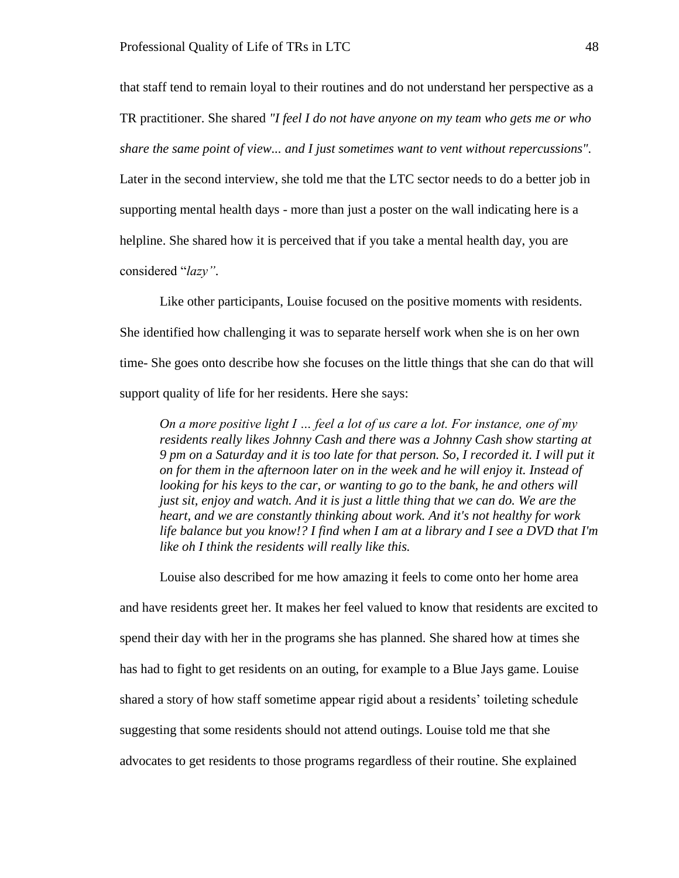that staff tend to remain loyal to their routines and do not understand her perspective as a TR practitioner. She shared *"I feel I do not have anyone on my team who gets me or who share the same point of view... and I just sometimes want to vent without repercussions".*  Later in the second interview, she told me that the LTC sector needs to do a better job in supporting mental health days - more than just a poster on the wall indicating here is a helpline. She shared how it is perceived that if you take a mental health day, you are

considered "*lazy"*.

Like other participants, Louise focused on the positive moments with residents. She identified how challenging it was to separate herself work when she is on her own time- She goes onto describe how she focuses on the little things that she can do that will support quality of life for her residents. Here she says:

*On a more positive light I … feel a lot of us care a lot. For instance, one of my residents really likes Johnny Cash and there was a Johnny Cash show starting at 9 pm on a Saturday and it is too late for that person. So, I recorded it. I will put it on for them in the afternoon later on in the week and he will enjoy it. Instead of looking for his keys to the car, or wanting to go to the bank, he and others will just sit, enjoy and watch. And it is just a little thing that we can do. We are the heart, and we are constantly thinking about work. And it's not healthy for work life balance but you know!? I find when I am at a library and I see a DVD that I'm like oh I think the residents will really like this.* 

Louise also described for me how amazing it feels to come onto her home area and have residents greet her. It makes her feel valued to know that residents are excited to spend their day with her in the programs she has planned. She shared how at times she has had to fight to get residents on an outing, for example to a Blue Jays game. Louise shared a story of how staff sometime appear rigid about a residents' toileting schedule suggesting that some residents should not attend outings. Louise told me that she advocates to get residents to those programs regardless of their routine. She explained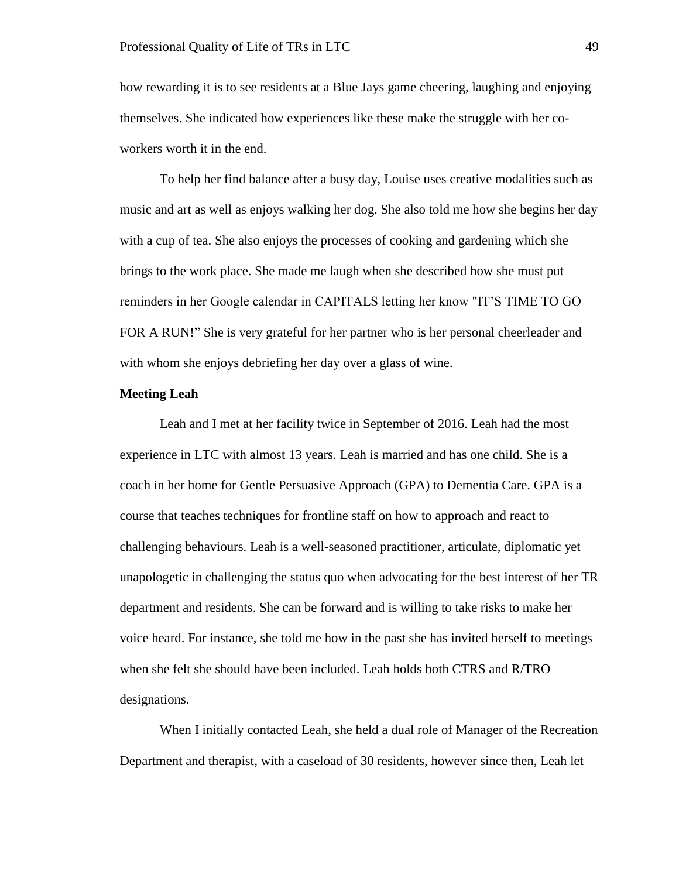how rewarding it is to see residents at a Blue Jays game cheering, laughing and enjoying themselves. She indicated how experiences like these make the struggle with her coworkers worth it in the end.

To help her find balance after a busy day, Louise uses creative modalities such as music and art as well as enjoys walking her dog. She also told me how she begins her day with a cup of tea. She also enjoys the processes of cooking and gardening which she brings to the work place. She made me laugh when she described how she must put reminders in her Google calendar in CAPITALS letting her know "IT'S TIME TO GO FOR A RUN!" She is very grateful for her partner who is her personal cheerleader and with whom she enjoys debriefing her day over a glass of wine.

#### **Meeting Leah**

Leah and I met at her facility twice in September of 2016. Leah had the most experience in LTC with almost 13 years. Leah is married and has one child. She is a coach in her home for Gentle Persuasive Approach (GPA) to Dementia Care. GPA is a course that teaches techniques for frontline staff on how to approach and react to challenging behaviours. Leah is a well-seasoned practitioner, articulate, diplomatic yet unapologetic in challenging the status quo when advocating for the best interest of her TR department and residents. She can be forward and is willing to take risks to make her voice heard. For instance, she told me how in the past she has invited herself to meetings when she felt she should have been included. Leah holds both CTRS and R/TRO designations.

When I initially contacted Leah, she held a dual role of Manager of the Recreation Department and therapist, with a caseload of 30 residents, however since then, Leah let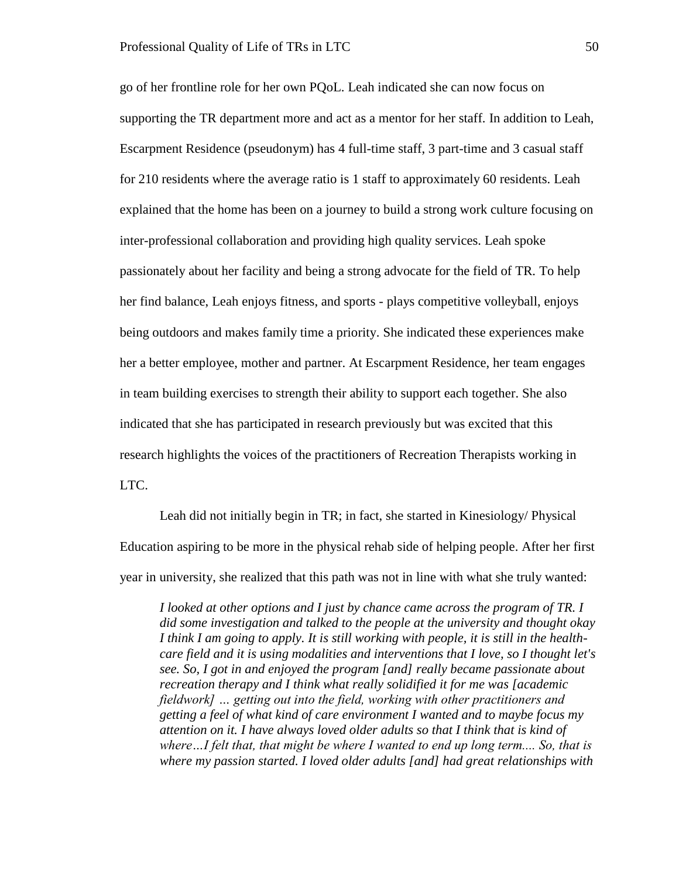go of her frontline role for her own PQoL. Leah indicated she can now focus on supporting the TR department more and act as a mentor for her staff. In addition to Leah, Escarpment Residence (pseudonym) has 4 full-time staff, 3 part-time and 3 casual staff for 210 residents where the average ratio is 1 staff to approximately 60 residents. Leah explained that the home has been on a journey to build a strong work culture focusing on inter-professional collaboration and providing high quality services. Leah spoke passionately about her facility and being a strong advocate for the field of TR. To help her find balance, Leah enjoys fitness, and sports - plays competitive volleyball, enjoys being outdoors and makes family time a priority. She indicated these experiences make her a better employee, mother and partner. At Escarpment Residence, her team engages in team building exercises to strength their ability to support each together. She also indicated that she has participated in research previously but was excited that this research highlights the voices of the practitioners of Recreation Therapists working in LTC.

Leah did not initially begin in TR; in fact, she started in Kinesiology/ Physical Education aspiring to be more in the physical rehab side of helping people. After her first year in university, she realized that this path was not in line with what she truly wanted:

*I looked at other options and I just by chance came across the program of TR. I did some investigation and talked to the people at the university and thought okay I think I am going to apply. It is still working with people, it is still in the healthcare field and it is using modalities and interventions that I love, so I thought let's see. So, I got in and enjoyed the program [and] really became passionate about recreation therapy and I think what really solidified it for me was [academic fieldwork] … getting out into the field, working with other practitioners and getting a feel of what kind of care environment I wanted and to maybe focus my attention on it. I have always loved older adults so that I think that is kind of where…I felt that, that might be where I wanted to end up long term.... So, that is where my passion started. I loved older adults [and] had great relationships with*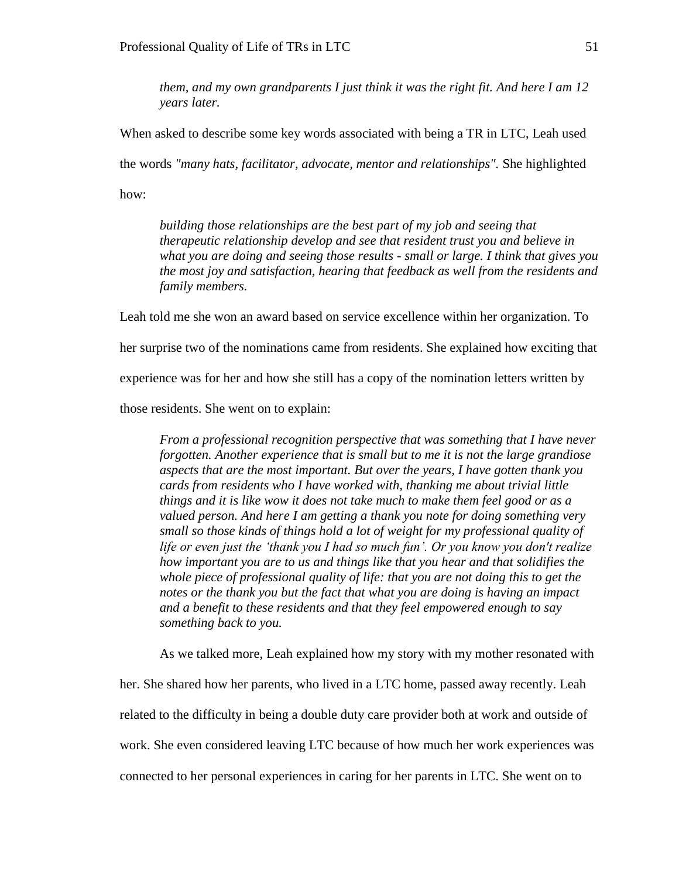*them, and my own grandparents I just think it was the right fit. And here I am 12 years later.* 

When asked to describe some key words associated with being a TR in LTC, Leah used the words *"many hats, facilitator, advocate, mentor and relationships".* She highlighted how:

*building those relationships are the best part of my job and seeing that therapeutic relationship develop and see that resident trust you and believe in what you are doing and seeing those results - small or large. I think that gives you the most joy and satisfaction, hearing that feedback as well from the residents and family members.*

Leah told me she won an award based on service excellence within her organization. To

her surprise two of the nominations came from residents. She explained how exciting that

experience was for her and how she still has a copy of the nomination letters written by

those residents. She went on to explain:

*From a professional recognition perspective that was something that I have never forgotten. Another experience that is small but to me it is not the large grandiose aspects that are the most important. But over the years, I have gotten thank you cards from residents who I have worked with, thanking me about trivial little things and it is like wow it does not take much to make them feel good or as a valued person. And here I am getting a thank you note for doing something very small so those kinds of things hold a lot of weight for my professional quality of life or even just the 'thank you I had so much fun'. Or you know you don't realize how important you are to us and things like that you hear and that solidifies the whole piece of professional quality of life: that you are not doing this to get the notes or the thank you but the fact that what you are doing is having an impact and a benefit to these residents and that they feel empowered enough to say something back to you.*

As we talked more, Leah explained how my story with my mother resonated with

her. She shared how her parents, who lived in a LTC home, passed away recently. Leah related to the difficulty in being a double duty care provider both at work and outside of work. She even considered leaving LTC because of how much her work experiences was connected to her personal experiences in caring for her parents in LTC. She went on to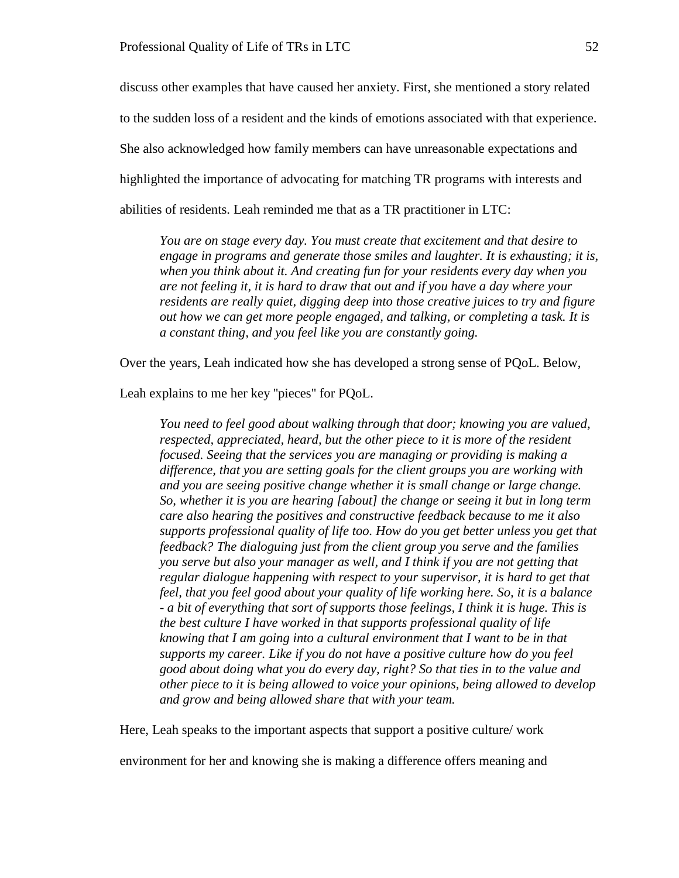discuss other examples that have caused her anxiety. First, she mentioned a story related to the sudden loss of a resident and the kinds of emotions associated with that experience. She also acknowledged how family members can have unreasonable expectations and highlighted the importance of advocating for matching TR programs with interests and abilities of residents. Leah reminded me that as a TR practitioner in LTC:

*You are on stage every day. You must create that excitement and that desire to engage in programs and generate those smiles and laughter. It is exhausting; it is, when you think about it. And creating fun for your residents every day when you are not feeling it, it is hard to draw that out and if you have a day where your residents are really quiet, digging deep into those creative juices to try and figure out how we can get more people engaged, and talking, or completing a task. It is a constant thing, and you feel like you are constantly going.* 

Over the years, Leah indicated how she has developed a strong sense of PQoL. Below,

Leah explains to me her key ''pieces'' for PQoL.

*You need to feel good about walking through that door; knowing you are valued, respected, appreciated, heard, but the other piece to it is more of the resident focused. Seeing that the services you are managing or providing is making a difference, that you are setting goals for the client groups you are working with and you are seeing positive change whether it is small change or large change. So, whether it is you are hearing [about] the change or seeing it but in long term care also hearing the positives and constructive feedback because to me it also supports professional quality of life too. How do you get better unless you get that feedback? The dialoguing just from the client group you serve and the families you serve but also your manager as well, and I think if you are not getting that regular dialogue happening with respect to your supervisor, it is hard to get that feel, that you feel good about your quality of life working here. So, it is a balance - a bit of everything that sort of supports those feelings, I think it is huge. This is the best culture I have worked in that supports professional quality of life knowing that I am going into a cultural environment that I want to be in that supports my career. Like if you do not have a positive culture how do you feel good about doing what you do every day, right? So that ties in to the value and other piece to it is being allowed to voice your opinions, being allowed to develop and grow and being allowed share that with your team.* 

Here, Leah speaks to the important aspects that support a positive culture/ work

environment for her and knowing she is making a difference offers meaning and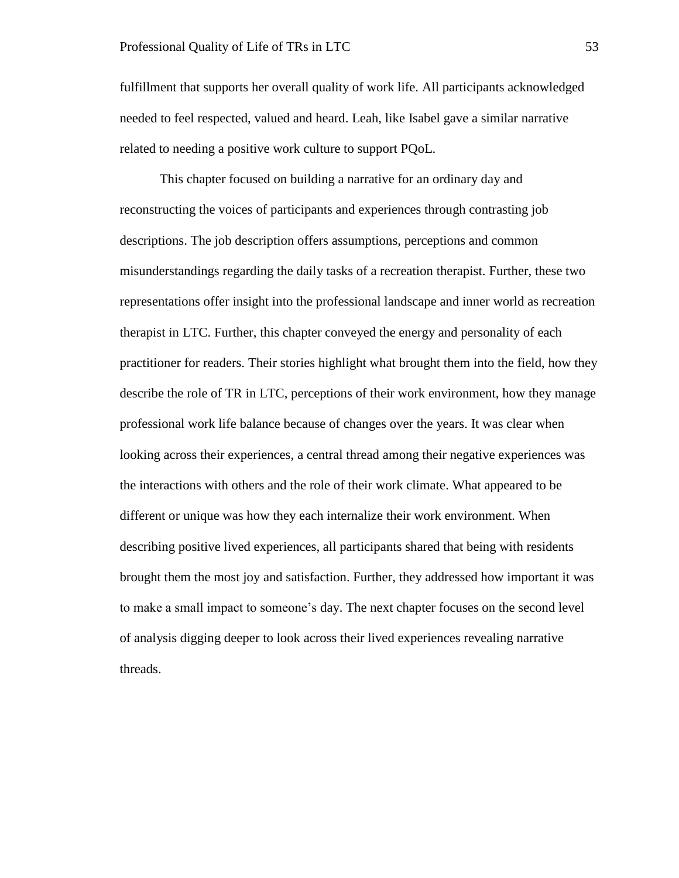fulfillment that supports her overall quality of work life. All participants acknowledged needed to feel respected, valued and heard. Leah, like Isabel gave a similar narrative related to needing a positive work culture to support PQoL.

This chapter focused on building a narrative for an ordinary day and reconstructing the voices of participants and experiences through contrasting job descriptions. The job description offers assumptions, perceptions and common misunderstandings regarding the daily tasks of a recreation therapist. Further, these two representations offer insight into the professional landscape and inner world as recreation therapist in LTC. Further, this chapter conveyed the energy and personality of each practitioner for readers. Their stories highlight what brought them into the field, how they describe the role of TR in LTC, perceptions of their work environment, how they manage professional work life balance because of changes over the years. It was clear when looking across their experiences, a central thread among their negative experiences was the interactions with others and the role of their work climate. What appeared to be different or unique was how they each internalize their work environment. When describing positive lived experiences, all participants shared that being with residents brought them the most joy and satisfaction. Further, they addressed how important it was to make a small impact to someone's day. The next chapter focuses on the second level of analysis digging deeper to look across their lived experiences revealing narrative threads.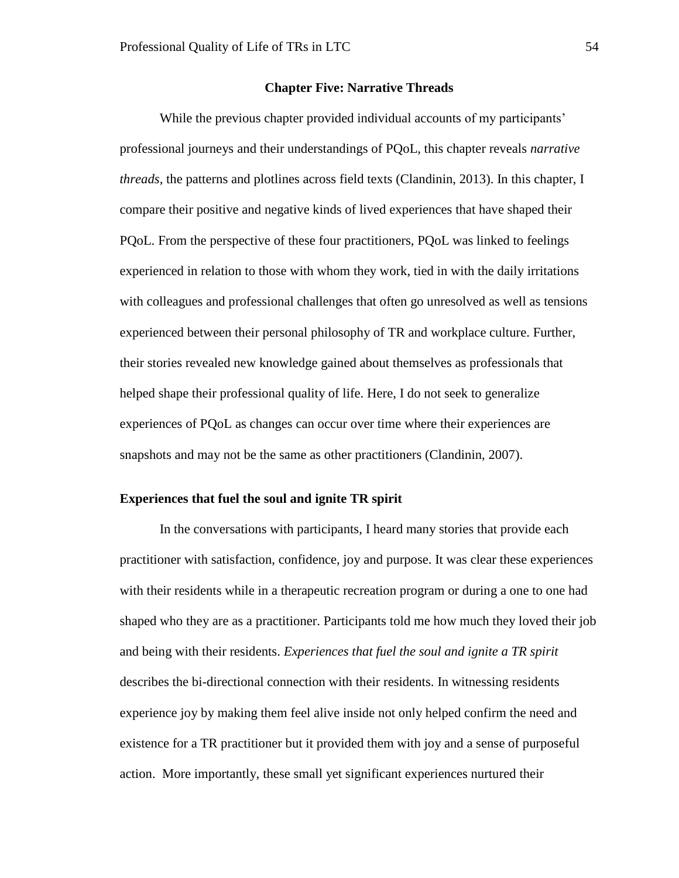#### **Chapter Five: Narrative Threads**

While the previous chapter provided individual accounts of my participants' professional journeys and their understandings of PQoL, this chapter reveals *narrative threads*, the patterns and plotlines across field texts (Clandinin, 2013). In this chapter, I compare their positive and negative kinds of lived experiences that have shaped their PQoL. From the perspective of these four practitioners, PQoL was linked to feelings experienced in relation to those with whom they work, tied in with the daily irritations with colleagues and professional challenges that often go unresolved as well as tensions experienced between their personal philosophy of TR and workplace culture. Further, their stories revealed new knowledge gained about themselves as professionals that helped shape their professional quality of life. Here, I do not seek to generalize experiences of PQoL as changes can occur over time where their experiences are snapshots and may not be the same as other practitioners (Clandinin, 2007).

### **Experiences that fuel the soul and ignite TR spirit**

In the conversations with participants, I heard many stories that provide each practitioner with satisfaction, confidence, joy and purpose. It was clear these experiences with their residents while in a therapeutic recreation program or during a one to one had shaped who they are as a practitioner. Participants told me how much they loved their job and being with their residents. *Experiences that fuel the soul and ignite a TR spirit*  describes the bi-directional connection with their residents. In witnessing residents experience joy by making them feel alive inside not only helped confirm the need and existence for a TR practitioner but it provided them with joy and a sense of purposeful action. More importantly, these small yet significant experiences nurtured their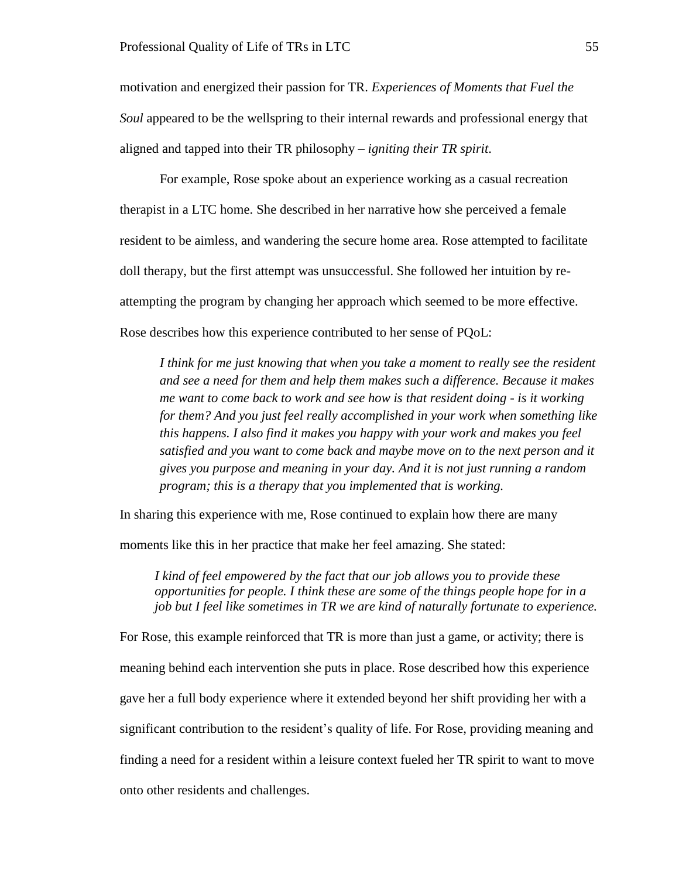motivation and energized their passion for TR. *Experiences of Moments that Fuel the Soul* appeared to be the wellspring to their internal rewards and professional energy that aligned and tapped into their TR philosophy – *igniting their TR spirit*.

For example, Rose spoke about an experience working as a casual recreation therapist in a LTC home. She described in her narrative how she perceived a female resident to be aimless, and wandering the secure home area. Rose attempted to facilitate doll therapy, but the first attempt was unsuccessful. She followed her intuition by reattempting the program by changing her approach which seemed to be more effective. Rose describes how this experience contributed to her sense of PQoL:

*I think for me just knowing that when you take a moment to really see the resident and see a need for them and help them makes such a difference. Because it makes me want to come back to work and see how is that resident doing - is it working for them? And you just feel really accomplished in your work when something like this happens. I also find it makes you happy with your work and makes you feel satisfied and you want to come back and maybe move on to the next person and it gives you purpose and meaning in your day. And it is not just running a random program; this is a therapy that you implemented that is working.* 

In sharing this experience with me, Rose continued to explain how there are many

moments like this in her practice that make her feel amazing. She stated:

*I kind of feel empowered by the fact that our job allows you to provide these opportunities for people. I think these are some of the things people hope for in a job but I feel like sometimes in TR we are kind of naturally fortunate to experience.*

For Rose, this example reinforced that TR is more than just a game, or activity; there is meaning behind each intervention she puts in place. Rose described how this experience gave her a full body experience where it extended beyond her shift providing her with a significant contribution to the resident's quality of life. For Rose, providing meaning and finding a need for a resident within a leisure context fueled her TR spirit to want to move onto other residents and challenges.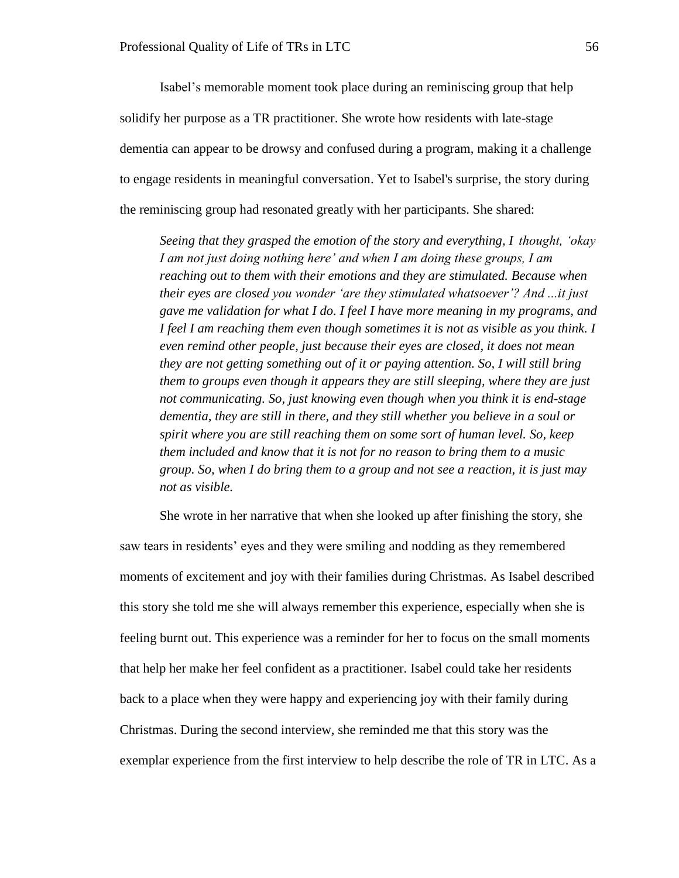Isabel's memorable moment took place during an reminiscing group that help solidify her purpose as a TR practitioner. She wrote how residents with late-stage dementia can appear to be drowsy and confused during a program, making it a challenge to engage residents in meaningful conversation. Yet to Isabel's surprise, the story during the reminiscing group had resonated greatly with her participants. She shared:

*Seeing that they grasped the emotion of the story and everything, I thought, 'okay I am not just doing nothing here' and when I am doing these groups, I am reaching out to them with their emotions and they are stimulated. Because when their eyes are closed you wonder 'are they stimulated whatsoever'? And ...it just gave me validation for what I do. I feel I have more meaning in my programs, and I feel I am reaching them even though sometimes it is not as visible as you think. I even remind other people, just because their eyes are closed, it does not mean they are not getting something out of it or paying attention. So, I will still bring them to groups even though it appears they are still sleeping, where they are just not communicating. So, just knowing even though when you think it is end-stage dementia, they are still in there, and they still whether you believe in a soul or spirit where you are still reaching them on some sort of human level. So, keep them included and know that it is not for no reason to bring them to a music group. So, when I do bring them to a group and not see a reaction, it is just may not as visible.* 

She wrote in her narrative that when she looked up after finishing the story, she saw tears in residents' eyes and they were smiling and nodding as they remembered moments of excitement and joy with their families during Christmas. As Isabel described this story she told me she will always remember this experience, especially when she is feeling burnt out. This experience was a reminder for her to focus on the small moments that help her make her feel confident as a practitioner. Isabel could take her residents back to a place when they were happy and experiencing joy with their family during Christmas. During the second interview, she reminded me that this story was the exemplar experience from the first interview to help describe the role of TR in LTC. As a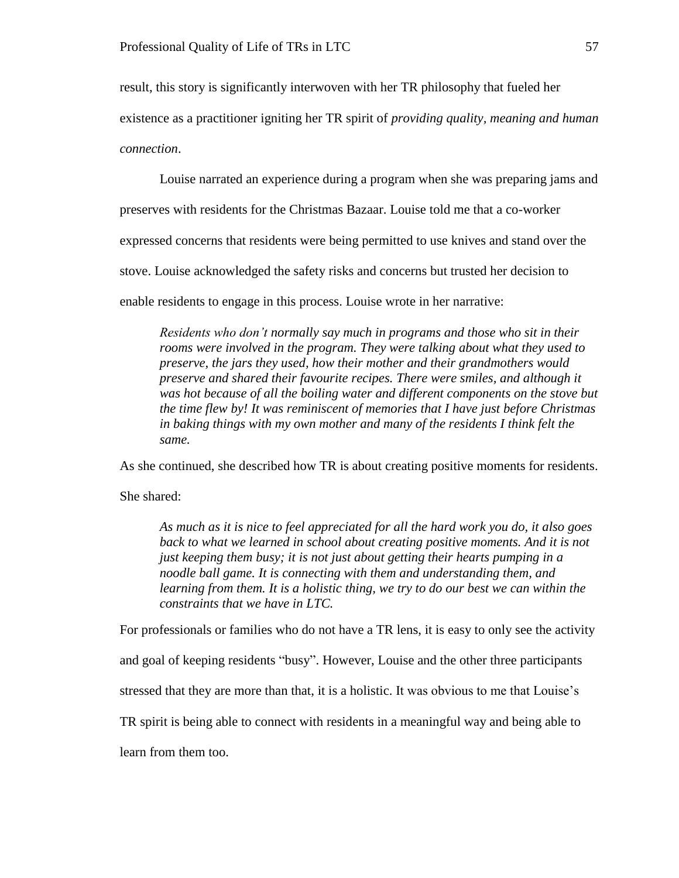result, this story is significantly interwoven with her TR philosophy that fueled her

existence as a practitioner igniting her TR spirit of *providing quality, meaning and human* 

# *connection*.

Louise narrated an experience during a program when she was preparing jams and

preserves with residents for the Christmas Bazaar. Louise told me that a co-worker

expressed concerns that residents were being permitted to use knives and stand over the

stove. Louise acknowledged the safety risks and concerns but trusted her decision to

enable residents to engage in this process. Louise wrote in her narrative:

*Residents who don't normally say much in programs and those who sit in their rooms were involved in the program. They were talking about what they used to preserve, the jars they used, how their mother and their grandmothers would preserve and shared their favourite recipes. There were smiles, and although it was hot because of all the boiling water and different components on the stove but the time flew by! It was reminiscent of memories that I have just before Christmas in baking things with my own mother and many of the residents I think felt the same.*

As she continued, she described how TR is about creating positive moments for residents.

She shared:

*As much as it is nice to feel appreciated for all the hard work you do, it also goes back to what we learned in school about creating positive moments. And it is not just keeping them busy; it is not just about getting their hearts pumping in a noodle ball game. It is connecting with them and understanding them, and learning from them. It is a holistic thing, we try to do our best we can within the constraints that we have in LTC.* 

For professionals or families who do not have a TR lens, it is easy to only see the activity

and goal of keeping residents "busy". However, Louise and the other three participants

stressed that they are more than that, it is a holistic. It was obvious to me that Louise's

TR spirit is being able to connect with residents in a meaningful way and being able to

learn from them too.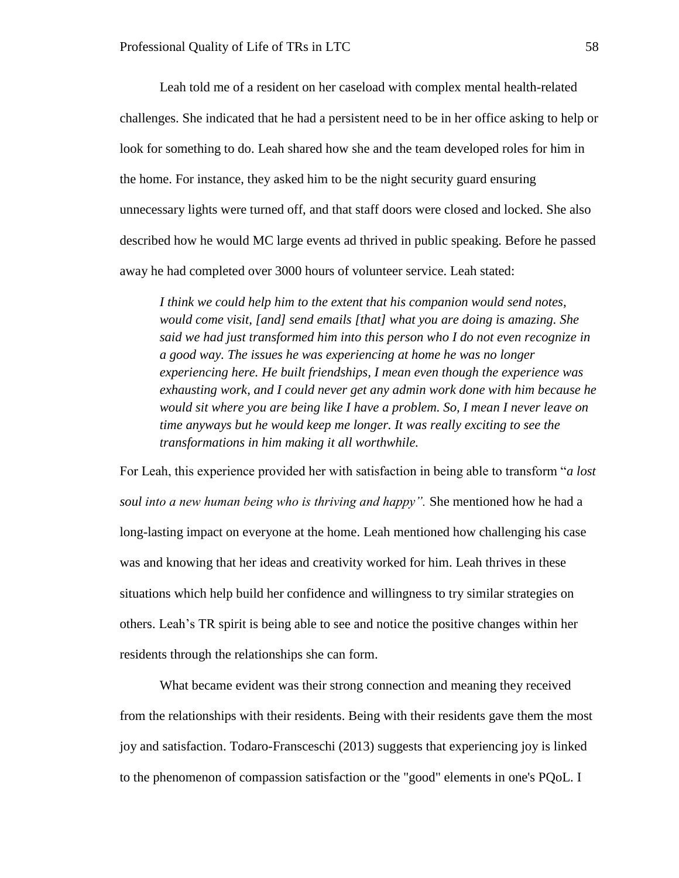Leah told me of a resident on her caseload with complex mental health-related challenges. She indicated that he had a persistent need to be in her office asking to help or look for something to do. Leah shared how she and the team developed roles for him in the home. For instance, they asked him to be the night security guard ensuring unnecessary lights were turned off, and that staff doors were closed and locked. She also described how he would MC large events ad thrived in public speaking. Before he passed away he had completed over 3000 hours of volunteer service. Leah stated:

*I think we could help him to the extent that his companion would send notes, would come visit, [and] send emails [that] what you are doing is amazing. She said we had just transformed him into this person who I do not even recognize in a good way. The issues he was experiencing at home he was no longer experiencing here. He built friendships, I mean even though the experience was exhausting work, and I could never get any admin work done with him because he would sit where you are being like I have a problem. So, I mean I never leave on time anyways but he would keep me longer. It was really exciting to see the transformations in him making it all worthwhile.* 

For Leah, this experience provided her with satisfaction in being able to transform "*a lost soul into a new human being who is thriving and happy".* She mentioned how he had a long-lasting impact on everyone at the home. Leah mentioned how challenging his case was and knowing that her ideas and creativity worked for him. Leah thrives in these situations which help build her confidence and willingness to try similar strategies on others. Leah's TR spirit is being able to see and notice the positive changes within her residents through the relationships she can form.

What became evident was their strong connection and meaning they received from the relationships with their residents. Being with their residents gave them the most joy and satisfaction. Todaro-Fransceschi (2013) suggests that experiencing joy is linked to the phenomenon of compassion satisfaction or the "good" elements in one's PQoL. I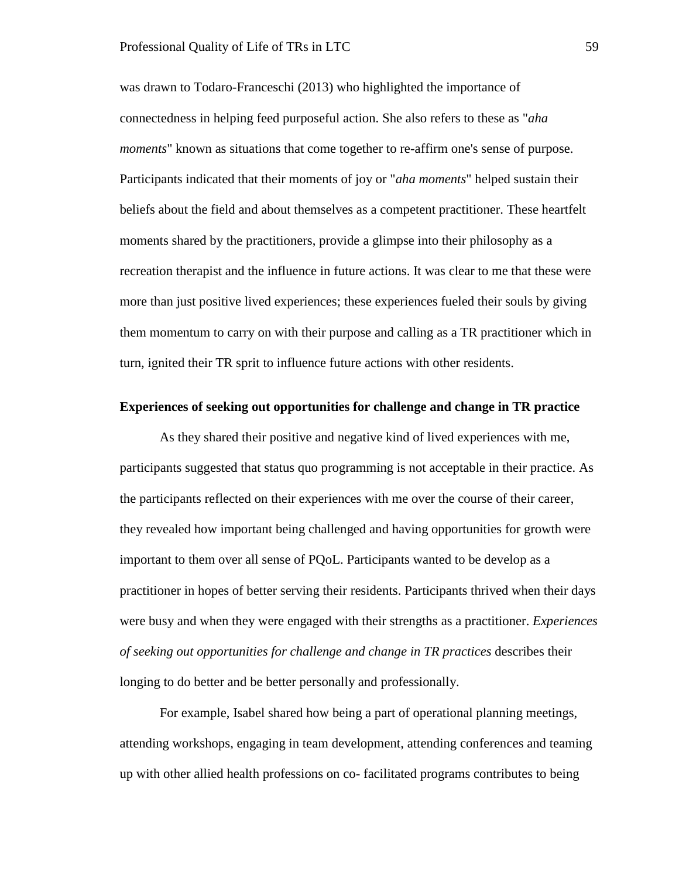was drawn to Todaro-Franceschi (2013) who highlighted the importance of connectedness in helping feed purposeful action. She also refers to these as "*aha moments*" known as situations that come together to re-affirm one's sense of purpose. Participants indicated that their moments of joy or "*aha moments*" helped sustain their beliefs about the field and about themselves as a competent practitioner. These heartfelt moments shared by the practitioners, provide a glimpse into their philosophy as a recreation therapist and the influence in future actions. It was clear to me that these were more than just positive lived experiences; these experiences fueled their souls by giving them momentum to carry on with their purpose and calling as a TR practitioner which in turn, ignited their TR sprit to influence future actions with other residents.

#### **Experiences of seeking out opportunities for challenge and change in TR practice**

As they shared their positive and negative kind of lived experiences with me, participants suggested that status quo programming is not acceptable in their practice. As the participants reflected on their experiences with me over the course of their career, they revealed how important being challenged and having opportunities for growth were important to them over all sense of PQoL. Participants wanted to be develop as a practitioner in hopes of better serving their residents. Participants thrived when their days were busy and when they were engaged with their strengths as a practitioner. *Experiences of seeking out opportunities for challenge and change in TR practices* describes their longing to do better and be better personally and professionally.

For example, Isabel shared how being a part of operational planning meetings, attending workshops, engaging in team development, attending conferences and teaming up with other allied health professions on co- facilitated programs contributes to being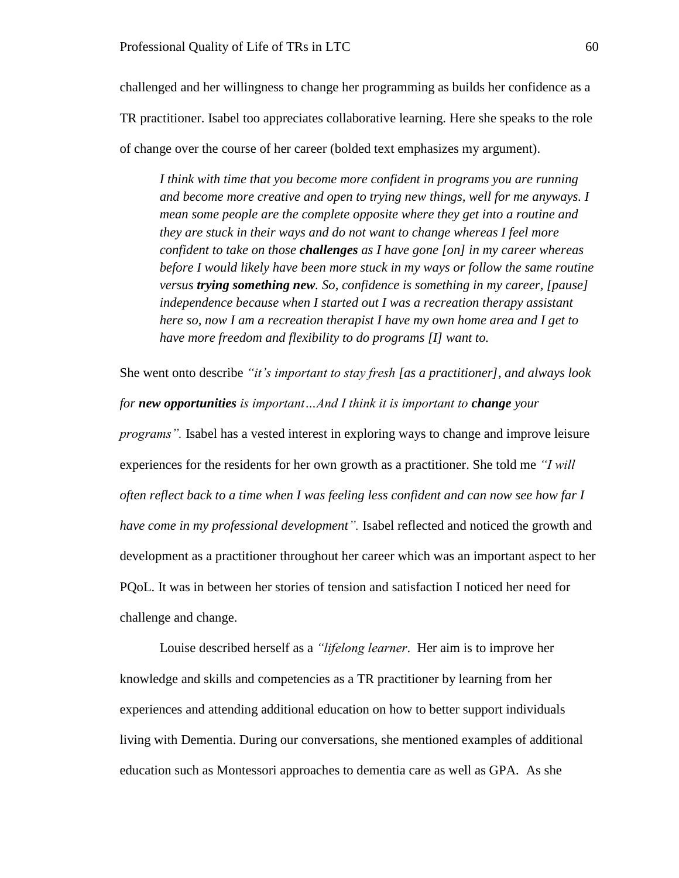challenged and her willingness to change her programming as builds her confidence as a TR practitioner. Isabel too appreciates collaborative learning. Here she speaks to the role of change over the course of her career (bolded text emphasizes my argument).

*I think with time that you become more confident in programs you are running and become more creative and open to trying new things, well for me anyways. I mean some people are the complete opposite where they get into a routine and they are stuck in their ways and do not want to change whereas I feel more confident to take on those challenges as I have gone [on] in my career whereas before I would likely have been more stuck in my ways or follow the same routine versus trying something new. So, confidence is something in my career, [pause] independence because when I started out I was a recreation therapy assistant here so, now I am a recreation therapist I have my own home area and I get to have more freedom and flexibility to do programs [I] want to.* 

She went onto describe *"it's important to stay fresh [as a practitioner], and always look for new opportunities is important…And I think it is important to change your programs".* Isabel has a vested interest in exploring ways to change and improve leisure experiences for the residents for her own growth as a practitioner. She told me *"I will often reflect back to a time when I was feeling less confident and can now see how far I have come in my professional development".* Isabel reflected and noticed the growth and development as a practitioner throughout her career which was an important aspect to her PQoL. It was in between her stories of tension and satisfaction I noticed her need for challenge and change.

Louise described herself as a *"lifelong learner*. Her aim is to improve her knowledge and skills and competencies as a TR practitioner by learning from her experiences and attending additional education on how to better support individuals living with Dementia. During our conversations, she mentioned examples of additional education such as Montessori approaches to dementia care as well as GPA. As she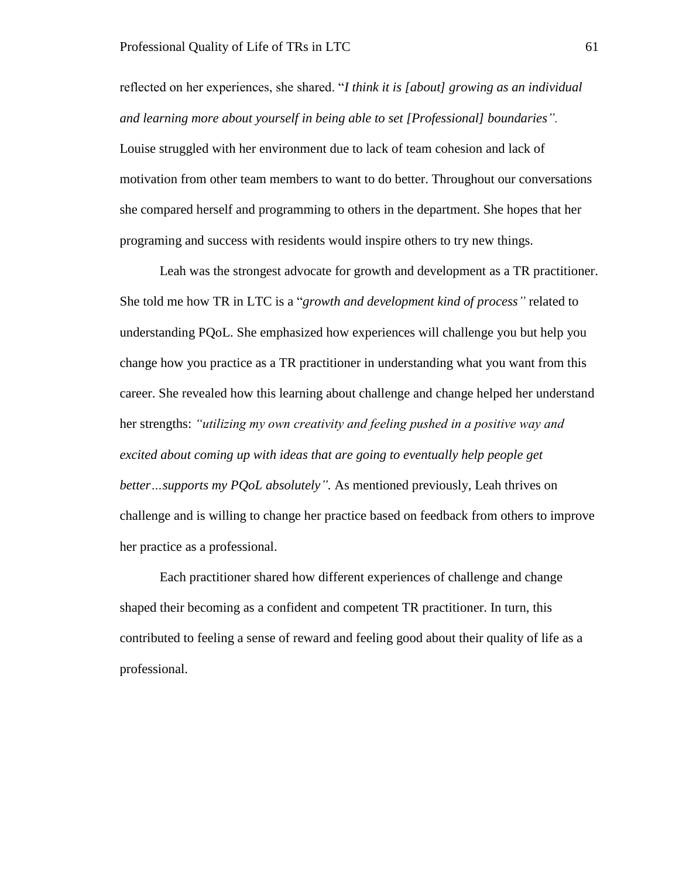reflected on her experiences, she shared. "*I think it is [about] growing as an individual and learning more about yourself in being able to set [Professional] boundaries".* Louise struggled with her environment due to lack of team cohesion and lack of motivation from other team members to want to do better. Throughout our conversations she compared herself and programming to others in the department. She hopes that her programing and success with residents would inspire others to try new things.

Leah was the strongest advocate for growth and development as a TR practitioner. She told me how TR in LTC is a "*growth and development kind of process"* related to understanding PQoL. She emphasized how experiences will challenge you but help you change how you practice as a TR practitioner in understanding what you want from this career. She revealed how this learning about challenge and change helped her understand her strengths: *"utilizing my own creativity and feeling pushed in a positive way and excited about coming up with ideas that are going to eventually help people get better…supports my PQoL absolutely".* As mentioned previously, Leah thrives on challenge and is willing to change her practice based on feedback from others to improve her practice as a professional.

Each practitioner shared how different experiences of challenge and change shaped their becoming as a confident and competent TR practitioner. In turn, this contributed to feeling a sense of reward and feeling good about their quality of life as a professional.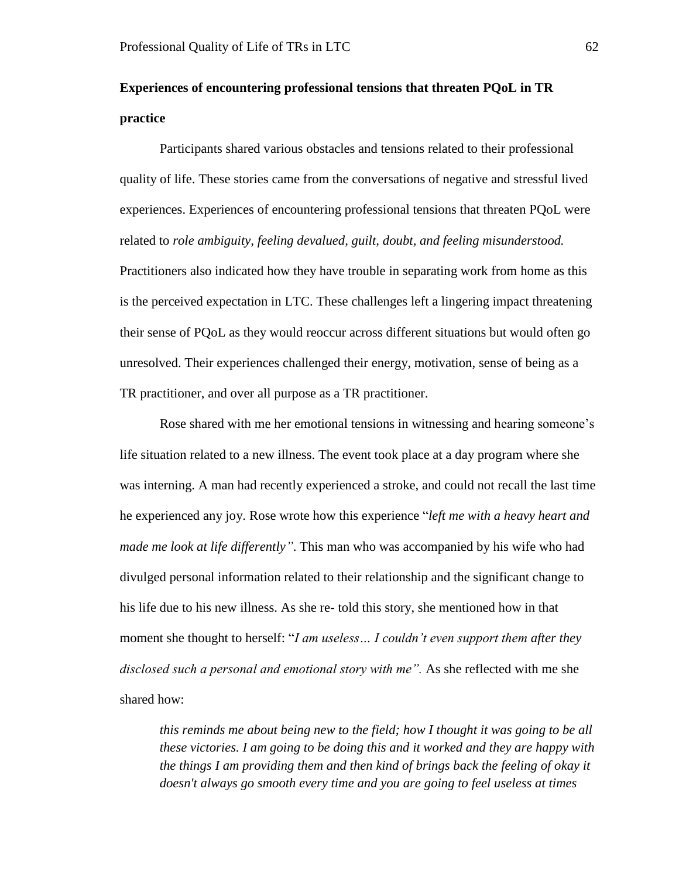# **Experiences of encountering professional tensions that threaten PQoL in TR practice**

Participants shared various obstacles and tensions related to their professional quality of life. These stories came from the conversations of negative and stressful lived experiences. Experiences of encountering professional tensions that threaten PQoL were related to *role ambiguity, feeling devalued, guilt, doubt, and feeling misunderstood.*  Practitioners also indicated how they have trouble in separating work from home as this is the perceived expectation in LTC. These challenges left a lingering impact threatening their sense of PQoL as they would reoccur across different situations but would often go unresolved. Their experiences challenged their energy, motivation, sense of being as a TR practitioner, and over all purpose as a TR practitioner.

Rose shared with me her emotional tensions in witnessing and hearing someone's life situation related to a new illness. The event took place at a day program where she was interning. A man had recently experienced a stroke, and could not recall the last time he experienced any joy. Rose wrote how this experience "*left me with a heavy heart and made me look at life differently"*. This man who was accompanied by his wife who had divulged personal information related to their relationship and the significant change to his life due to his new illness. As she re- told this story, she mentioned how in that moment she thought to herself: "*I am useless… I couldn't even support them after they*  disclosed such a personal and emotional story with me". As she reflected with me she shared how:

*this reminds me about being new to the field; how I thought it was going to be all these victories. I am going to be doing this and it worked and they are happy with the things I am providing them and then kind of brings back the feeling of okay it doesn't always go smooth every time and you are going to feel useless at times*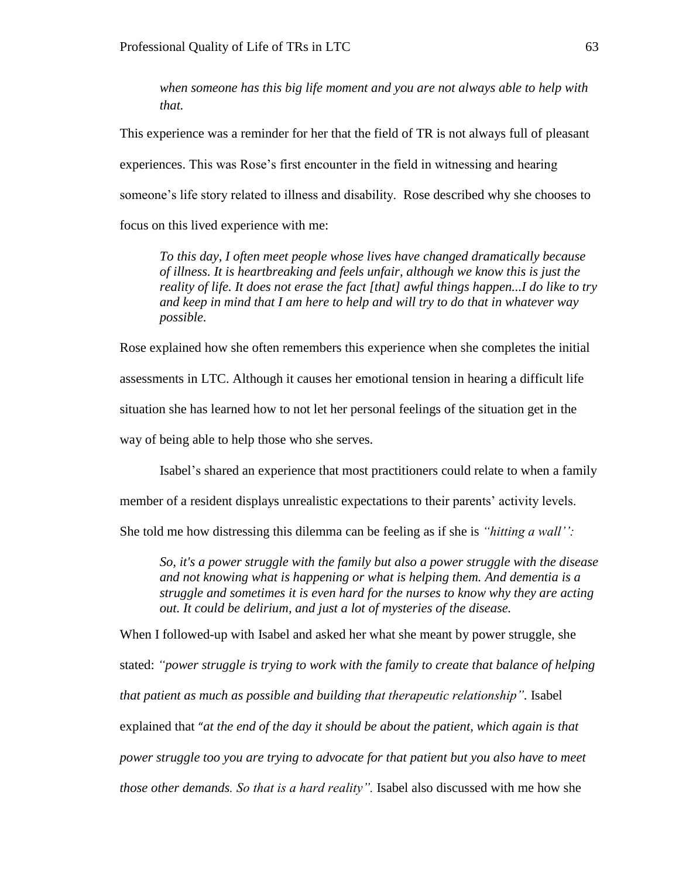*when someone has this big life moment and you are not always able to help with that.*

This experience was a reminder for her that the field of TR is not always full of pleasant experiences. This was Rose's first encounter in the field in witnessing and hearing someone's life story related to illness and disability. Rose described why she chooses to focus on this lived experience with me:

*To this day, I often meet people whose lives have changed dramatically because of illness. It is heartbreaking and feels unfair, although we know this is just the reality of life. It does not erase the fact [that] awful things happen...I do like to try and keep in mind that I am here to help and will try to do that in whatever way possible.* 

Rose explained how she often remembers this experience when she completes the initial assessments in LTC. Although it causes her emotional tension in hearing a difficult life situation she has learned how to not let her personal feelings of the situation get in the way of being able to help those who she serves.

Isabel's shared an experience that most practitioners could relate to when a family

member of a resident displays unrealistic expectations to their parents' activity levels.

She told me how distressing this dilemma can be feeling as if she is *"hitting a wall'':*

*So, it's a power struggle with the family but also a power struggle with the disease and not knowing what is happening or what is helping them. And dementia is a struggle and sometimes it is even hard for the nurses to know why they are acting out. It could be delirium, and just a lot of mysteries of the disease.* 

When I followed-up with Isabel and asked her what she meant by power struggle, she

stated: *"power struggle is trying to work with the family to create that balance of helping that patient as much as possible and building that therapeutic relationship".* Isabel explained that "*at the end of the day it should be about the patient, which again is that power struggle too you are trying to advocate for that patient but you also have to meet those other demands. So that is a hard reality".* Isabel also discussed with me how she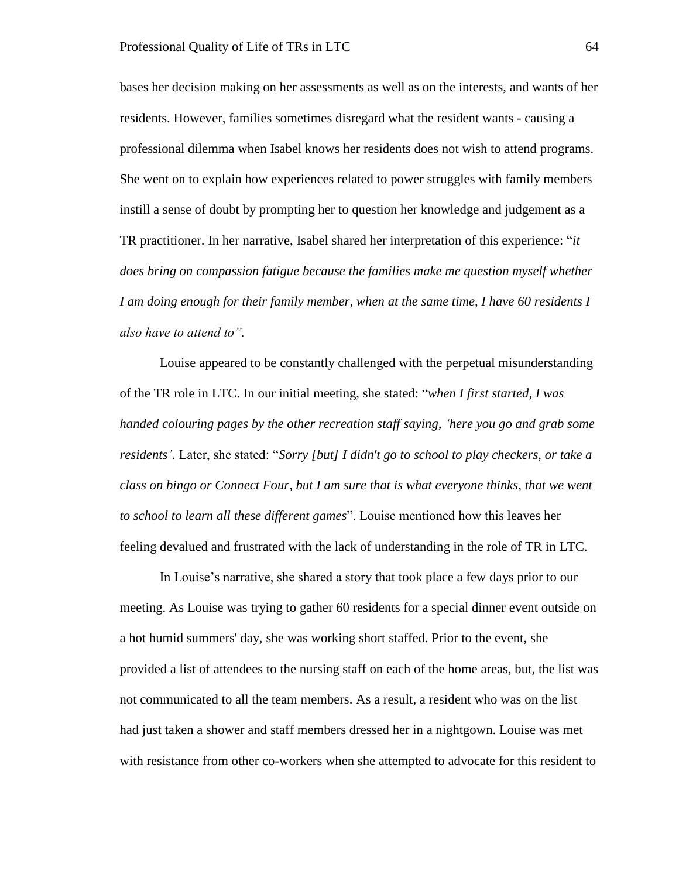bases her decision making on her assessments as well as on the interests, and wants of her residents. However, families sometimes disregard what the resident wants - causing a professional dilemma when Isabel knows her residents does not wish to attend programs. She went on to explain how experiences related to power struggles with family members instill a sense of doubt by prompting her to question her knowledge and judgement as a TR practitioner. In her narrative, Isabel shared her interpretation of this experience: "*it does bring on compassion fatigue because the families make me question myself whether I am doing enough for their family member, when at the same time, I have 60 residents I also have to attend to".*

Louise appeared to be constantly challenged with the perpetual misunderstanding of the TR role in LTC. In our initial meeting, she stated: "*when I first started, I was handed colouring pages by the other recreation staff saying, 'here you go and grab some residents'.* Later, she stated: "*Sorry [but] I didn't go to school to play checkers, or take a class on bingo or Connect Four, but I am sure that is what everyone thinks, that we went to school to learn all these different games*". Louise mentioned how this leaves her feeling devalued and frustrated with the lack of understanding in the role of TR in LTC.

In Louise's narrative, she shared a story that took place a few days prior to our meeting. As Louise was trying to gather 60 residents for a special dinner event outside on a hot humid summers' day, she was working short staffed. Prior to the event, she provided a list of attendees to the nursing staff on each of the home areas, but, the list was not communicated to all the team members. As a result, a resident who was on the list had just taken a shower and staff members dressed her in a nightgown. Louise was met with resistance from other co-workers when she attempted to advocate for this resident to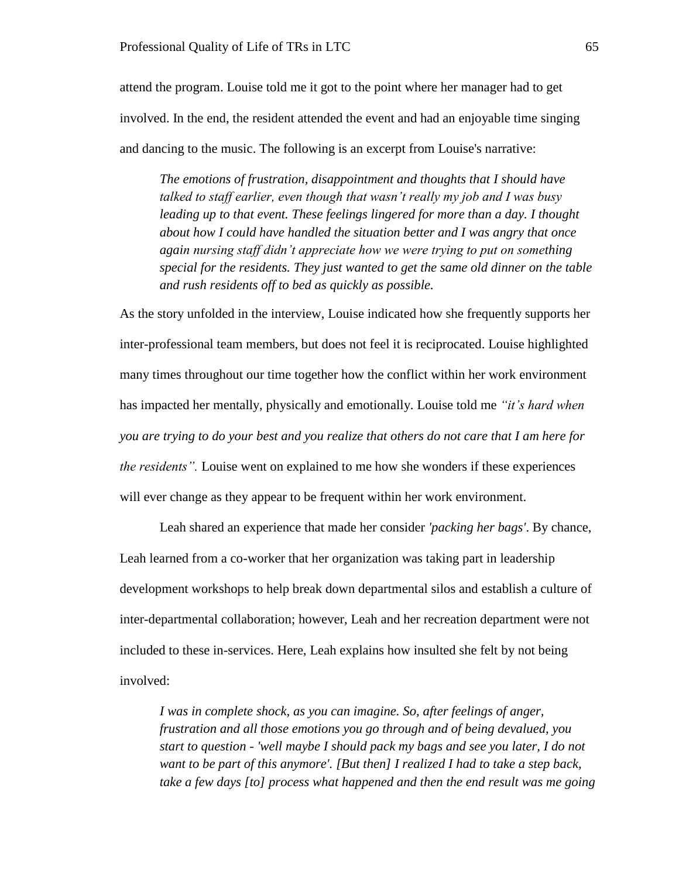attend the program. Louise told me it got to the point where her manager had to get involved. In the end, the resident attended the event and had an enjoyable time singing and dancing to the music. The following is an excerpt from Louise's narrative:

*The emotions of frustration, disappointment and thoughts that I should have talked to staff earlier, even though that wasn't really my job and I was busy leading up to that event. These feelings lingered for more than a day. I thought about how I could have handled the situation better and I was angry that once again nursing staff didn't appreciate how we were trying to put on something special for the residents. They just wanted to get the same old dinner on the table and rush residents off to bed as quickly as possible.* 

As the story unfolded in the interview, Louise indicated how she frequently supports her inter-professional team members, but does not feel it is reciprocated. Louise highlighted many times throughout our time together how the conflict within her work environment has impacted her mentally, physically and emotionally. Louise told me *"it's hard when you are trying to do your best and you realize that others do not care that I am here for the residents".* Louise went on explained to me how she wonders if these experiences will ever change as they appear to be frequent within her work environment.

Leah shared an experience that made her consider *'packing her bags'*. By chance, Leah learned from a co-worker that her organization was taking part in leadership development workshops to help break down departmental silos and establish a culture of inter-departmental collaboration; however, Leah and her recreation department were not included to these in-services. Here, Leah explains how insulted she felt by not being involved:

*I was in complete shock, as you can imagine. So, after feelings of anger, frustration and all those emotions you go through and of being devalued, you start to question - 'well maybe I should pack my bags and see you later, I do not want to be part of this anymore'. [But then] I realized I had to take a step back, take a few days [to] process what happened and then the end result was me going*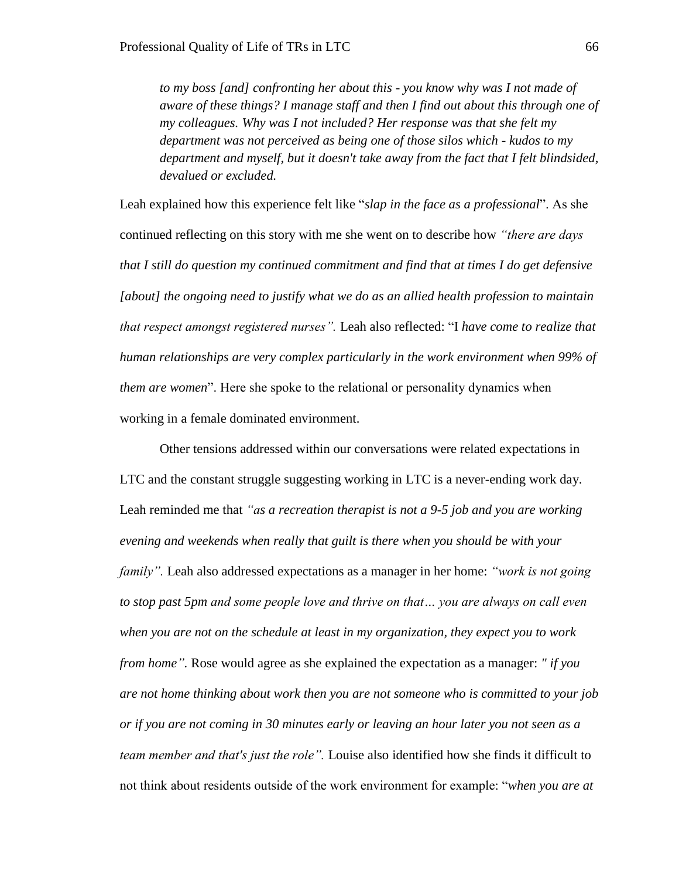*to my boss [and] confronting her about this - you know why was I not made of aware of these things? I manage staff and then I find out about this through one of my colleagues. Why was I not included? Her response was that she felt my department was not perceived as being one of those silos which - kudos to my department and myself, but it doesn't take away from the fact that I felt blindsided, devalued or excluded.* 

Leah explained how this experience felt like "*slap in the face as a professional*". As she continued reflecting on this story with me she went on to describe how *"there are days that I still do question my continued commitment and find that at times I do get defensive [about] the ongoing need to justify what we do as an allied health profession to maintain that respect amongst registered nurses".* Leah also reflected: "I *have come to realize that human relationships are very complex particularly in the work environment when 99% of them are women*". Here she spoke to the relational or personality dynamics when working in a female dominated environment.

Other tensions addressed within our conversations were related expectations in LTC and the constant struggle suggesting working in LTC is a never-ending work day. Leah reminded me that *"as a recreation therapist is not a 9-5 job and you are working evening and weekends when really that guilt is there when you should be with your family".* Leah also addressed expectations as a manager in her home: *"work is not going to stop past 5pm and some people love and thrive on that… you are always on call even when you are not on the schedule at least in my organization, they expect you to work from home".* Rose would agree as she explained the expectation as a manager: *" if you are not home thinking about work then you are not someone who is committed to your job or if you are not coming in 30 minutes early or leaving an hour later you not seen as a team member and that's just the role".* Louise also identified how she finds it difficult to not think about residents outside of the work environment for example: "*when you are at*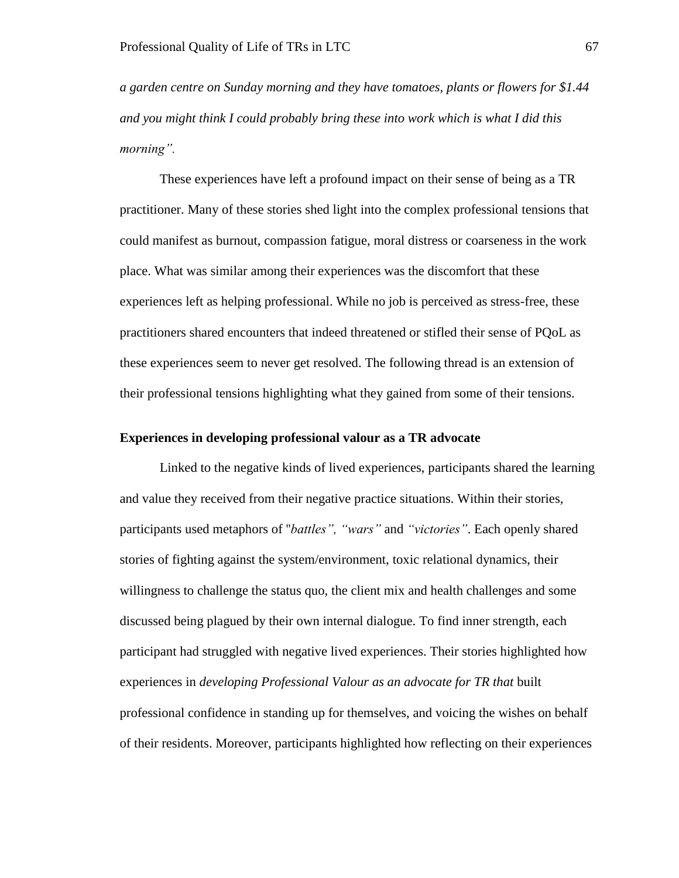*a garden centre on Sunday morning and they have tomatoes, plants or flowers for \$1.44 and you might think I could probably bring these into work which is what I did this morning".*

These experiences have left a profound impact on their sense of being as a TR practitioner. Many of these stories shed light into the complex professional tensions that could manifest as burnout, compassion fatigue, moral distress or coarseness in the work place. What was similar among their experiences was the discomfort that these experiences left as helping professional. While no job is perceived as stress-free, these practitioners shared encounters that indeed threatened or stifled their sense of PQoL as these experiences seem to never get resolved. The following thread is an extension of their professional tensions highlighting what they gained from some of their tensions.

# **Experiences in developing professional valour as a TR advocate**

Linked to the negative kinds of lived experiences, participants shared the learning and value they received from their negative practice situations. Within their stories, participants used metaphors of ''*battles", "wars"* and *"victories"*. Each openly shared stories of fighting against the system/environment, toxic relational dynamics, their willingness to challenge the status quo, the client mix and health challenges and some discussed being plagued by their own internal dialogue. To find inner strength, each participant had struggled with negative lived experiences. Their stories highlighted how experiences in *developing Professional Valour as an advocate for TR that* built professional confidence in standing up for themselves, and voicing the wishes on behalf of their residents. Moreover, participants highlighted how reflecting on their experiences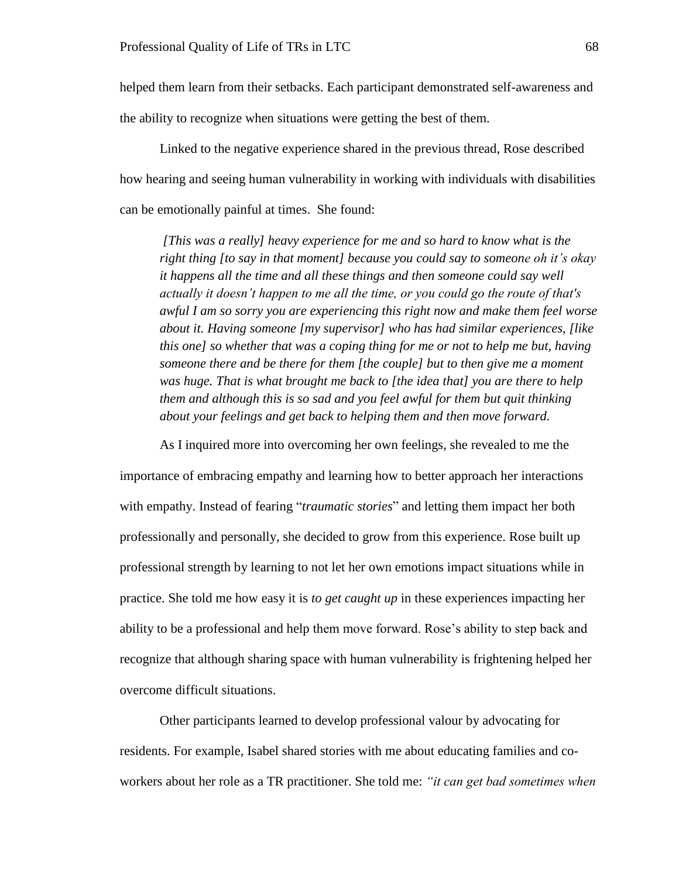helped them learn from their setbacks. Each participant demonstrated self-awareness and the ability to recognize when situations were getting the best of them.

Linked to the negative experience shared in the previous thread, Rose described how hearing and seeing human vulnerability in working with individuals with disabilities can be emotionally painful at times. She found:

*[This was a really] heavy experience for me and so hard to know what is the right thing [to say in that moment] because you could say to someone oh it's okay it happens all the time and all these things and then someone could say well actually it doesn't happen to me all the time, or you could go the route of that's awful I am so sorry you are experiencing this right now and make them feel worse about it. Having someone [my supervisor] who has had similar experiences, [like this one] so whether that was a coping thing for me or not to help me but, having someone there and be there for them [the couple] but to then give me a moment was huge. That is what brought me back to [the idea that] you are there to help them and although this is so sad and you feel awful for them but quit thinking about your feelings and get back to helping them and then move forward.* 

As I inquired more into overcoming her own feelings, she revealed to me the importance of embracing empathy and learning how to better approach her interactions with empathy. Instead of fearing "*traumatic stories*" and letting them impact her both professionally and personally, she decided to grow from this experience. Rose built up professional strength by learning to not let her own emotions impact situations while in practice. She told me how easy it is *to get caught up* in these experiences impacting her ability to be a professional and help them move forward. Rose's ability to step back and recognize that although sharing space with human vulnerability is frightening helped her overcome difficult situations.

Other participants learned to develop professional valour by advocating for residents. For example, Isabel shared stories with me about educating families and coworkers about her role as a TR practitioner. She told me: *"it can get bad sometimes when*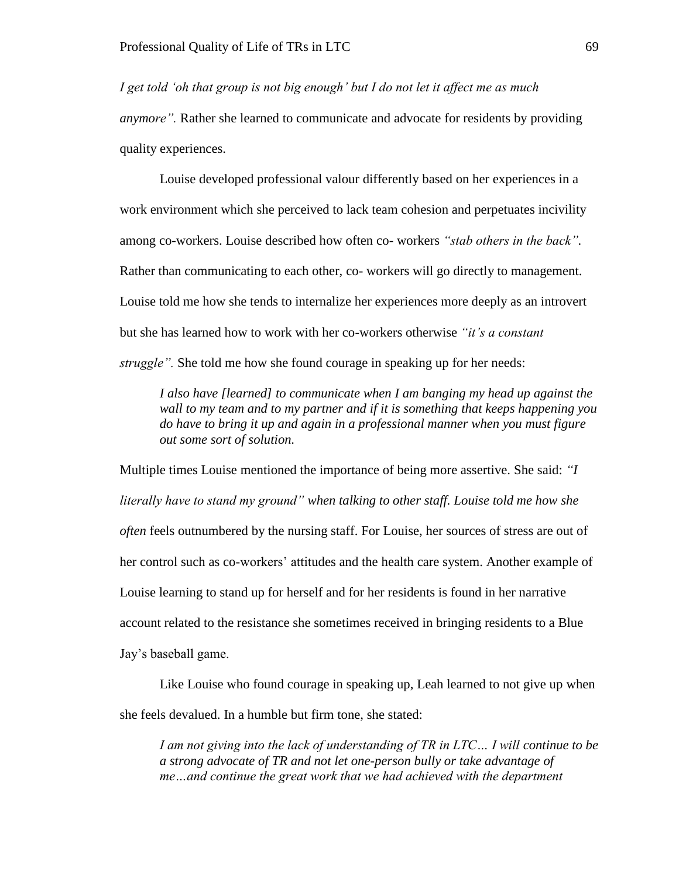*I get told 'oh that group is not big enough' but I do not let it affect me as much* 

*anymore".* Rather she learned to communicate and advocate for residents by providing quality experiences.

Louise developed professional valour differently based on her experiences in a work environment which she perceived to lack team cohesion and perpetuates incivility among co-workers. Louise described how often co- workers *"stab others in the back".*  Rather than communicating to each other, co- workers will go directly to management. Louise told me how she tends to internalize her experiences more deeply as an introvert but she has learned how to work with her co-workers otherwise *"it's a constant struggle".* She told me how she found courage in speaking up for her needs:

*I also have [learned] to communicate when I am banging my head up against the wall to my team and to my partner and if it is something that keeps happening you do have to bring it up and again in a professional manner when you must figure out some sort of solution.*

Multiple times Louise mentioned the importance of being more assertive. She said: *"I literally have to stand my ground" when talking to other staff. Louise told me how she often* feels outnumbered by the nursing staff. For Louise, her sources of stress are out of her control such as co-workers' attitudes and the health care system. Another example of Louise learning to stand up for herself and for her residents is found in her narrative account related to the resistance she sometimes received in bringing residents to a Blue Jay's baseball game.

Like Louise who found courage in speaking up, Leah learned to not give up when she feels devalued. In a humble but firm tone, she stated:

*I am not giving into the lack of understanding of TR in LTC… I will continue to be a strong advocate of TR and not let one-person bully or take advantage of me…and continue the great work that we had achieved with the department*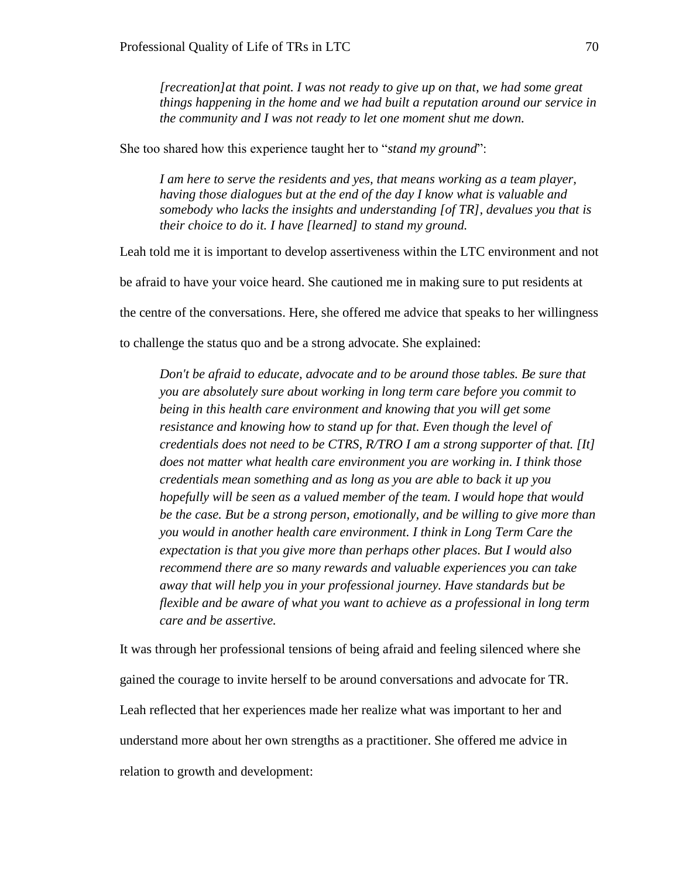*[recreation]at that point. I was not ready to give up on that, we had some great things happening in the home and we had built a reputation around our service in the community and I was not ready to let one moment shut me down.* 

She too shared how this experience taught her to "*stand my ground*":

*I am here to serve the residents and yes, that means working as a team player, having those dialogues but at the end of the day I know what is valuable and somebody who lacks the insights and understanding [of TR], devalues you that is their choice to do it. I have [learned] to stand my ground.* 

Leah told me it is important to develop assertiveness within the LTC environment and not

be afraid to have your voice heard. She cautioned me in making sure to put residents at

the centre of the conversations. Here, she offered me advice that speaks to her willingness

to challenge the status quo and be a strong advocate. She explained:

*Don't be afraid to educate, advocate and to be around those tables. Be sure that you are absolutely sure about working in long term care before you commit to being in this health care environment and knowing that you will get some resistance and knowing how to stand up for that. Even though the level of credentials does not need to be CTRS, R/TRO I am a strong supporter of that. [It] does not matter what health care environment you are working in. I think those credentials mean something and as long as you are able to back it up you hopefully will be seen as a valued member of the team. I would hope that would be the case. But be a strong person, emotionally, and be willing to give more than you would in another health care environment. I think in Long Term Care the expectation is that you give more than perhaps other places. But I would also recommend there are so many rewards and valuable experiences you can take away that will help you in your professional journey. Have standards but be flexible and be aware of what you want to achieve as a professional in long term care and be assertive.* 

It was through her professional tensions of being afraid and feeling silenced where she gained the courage to invite herself to be around conversations and advocate for TR. Leah reflected that her experiences made her realize what was important to her and understand more about her own strengths as a practitioner. She offered me advice in relation to growth and development: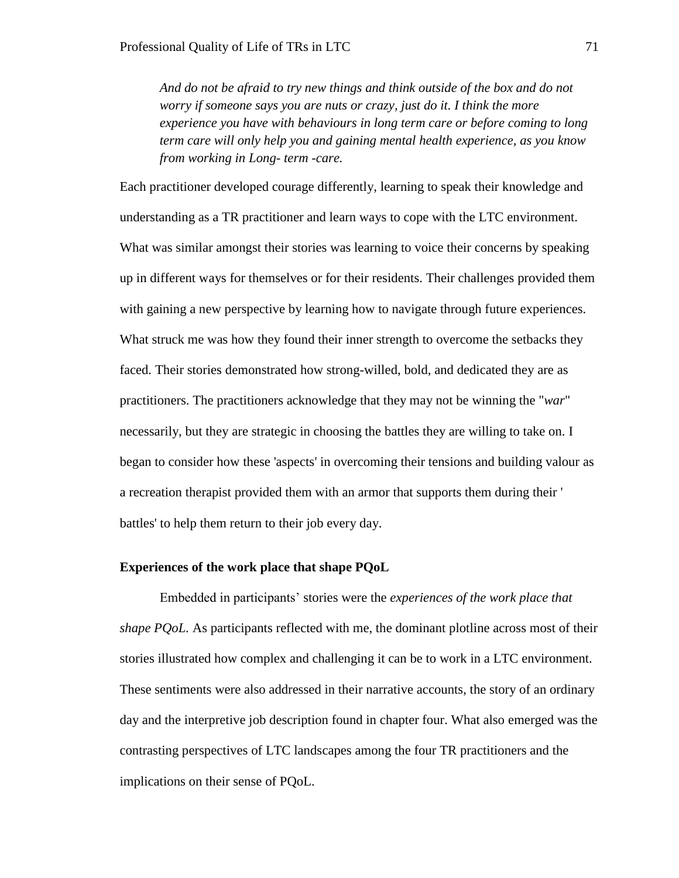*And do not be afraid to try new things and think outside of the box and do not worry if someone says you are nuts or crazy, just do it. I think the more experience you have with behaviours in long term care or before coming to long term care will only help you and gaining mental health experience, as you know from working in Long- term -care.* 

Each practitioner developed courage differently, learning to speak their knowledge and understanding as a TR practitioner and learn ways to cope with the LTC environment. What was similar amongst their stories was learning to voice their concerns by speaking up in different ways for themselves or for their residents. Their challenges provided them with gaining a new perspective by learning how to navigate through future experiences. What struck me was how they found their inner strength to overcome the setbacks they faced. Their stories demonstrated how strong-willed, bold, and dedicated they are as practitioners. The practitioners acknowledge that they may not be winning the "*war*" necessarily, but they are strategic in choosing the battles they are willing to take on. I began to consider how these 'aspects' in overcoming their tensions and building valour as a recreation therapist provided them with an armor that supports them during their ' battles' to help them return to their job every day.

### **Experiences of the work place that shape PQoL**

Embedded in participants' stories were the *experiences of the work place that shape PQoL.* As participants reflected with me, the dominant plotline across most of their stories illustrated how complex and challenging it can be to work in a LTC environment. These sentiments were also addressed in their narrative accounts, the story of an ordinary day and the interpretive job description found in chapter four. What also emerged was the contrasting perspectives of LTC landscapes among the four TR practitioners and the implications on their sense of PQoL.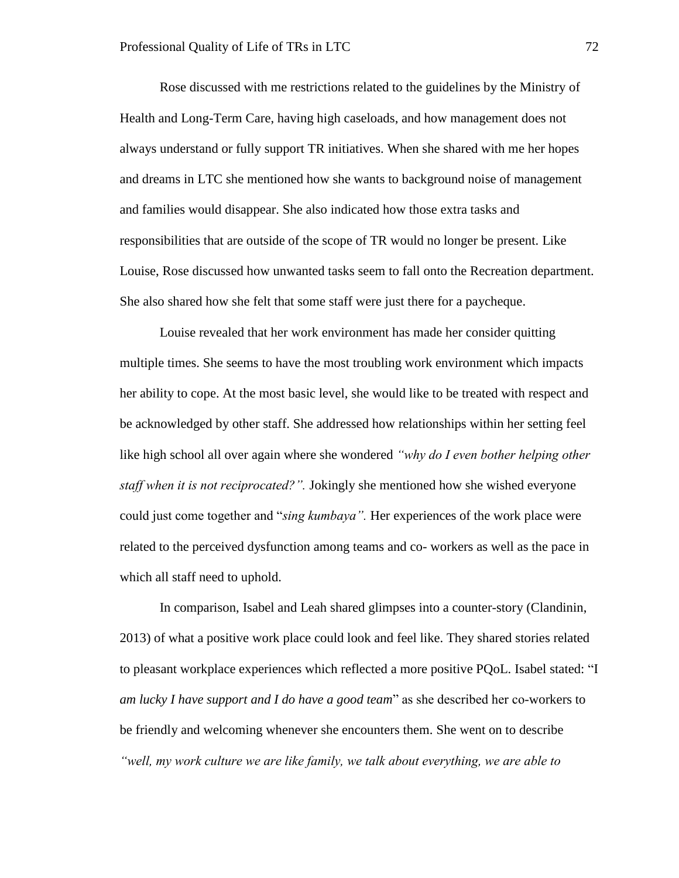Rose discussed with me restrictions related to the guidelines by the Ministry of Health and Long-Term Care, having high caseloads, and how management does not always understand or fully support TR initiatives. When she shared with me her hopes and dreams in LTC she mentioned how she wants to background noise of management and families would disappear. She also indicated how those extra tasks and responsibilities that are outside of the scope of TR would no longer be present. Like Louise, Rose discussed how unwanted tasks seem to fall onto the Recreation department. She also shared how she felt that some staff were just there for a paycheque.

Louise revealed that her work environment has made her consider quitting multiple times. She seems to have the most troubling work environment which impacts her ability to cope. At the most basic level, she would like to be treated with respect and be acknowledged by other staff. She addressed how relationships within her setting feel like high school all over again where she wondered *"why do I even bother helping other staff when it is not reciprocated?".* Jokingly she mentioned how she wished everyone could just come together and "*sing kumbaya".* Her experiences of the work place were related to the perceived dysfunction among teams and co- workers as well as the pace in which all staff need to uphold.

In comparison, Isabel and Leah shared glimpses into a counter-story (Clandinin, 2013) of what a positive work place could look and feel like. They shared stories related to pleasant workplace experiences which reflected a more positive PQoL. Isabel stated: "I *am lucky I have support and I do have a good team*" as she described her co-workers to be friendly and welcoming whenever she encounters them. She went on to describe *"well, my work culture we are like family, we talk about everything, we are able to*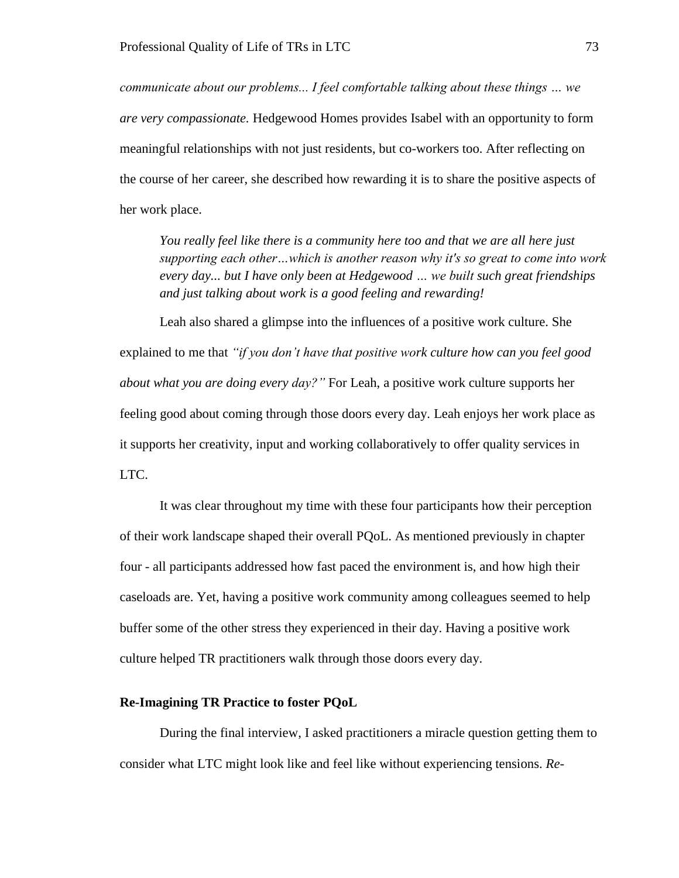*communicate about our problems... I feel comfortable talking about these things … we are very compassionate.* Hedgewood Homes provides Isabel with an opportunity to form meaningful relationships with not just residents, but co-workers too. After reflecting on the course of her career, she described how rewarding it is to share the positive aspects of her work place.

*You really feel like there is a community here too and that we are all here just supporting each other…which is another reason why it's so great to come into work every day... but I have only been at Hedgewood … we built such great friendships and just talking about work is a good feeling and rewarding!* 

Leah also shared a glimpse into the influences of a positive work culture. She explained to me that *"if you don't have that positive work culture how can you feel good about what you are doing every day?"* For Leah, a positive work culture supports her feeling good about coming through those doors every day. Leah enjoys her work place as it supports her creativity, input and working collaboratively to offer quality services in LTC.

It was clear throughout my time with these four participants how their perception of their work landscape shaped their overall PQoL. As mentioned previously in chapter four - all participants addressed how fast paced the environment is, and how high their caseloads are. Yet, having a positive work community among colleagues seemed to help buffer some of the other stress they experienced in their day. Having a positive work culture helped TR practitioners walk through those doors every day.

### **Re-Imagining TR Practice to foster PQoL**

During the final interview, I asked practitioners a miracle question getting them to consider what LTC might look like and feel like without experiencing tensions. *Re-*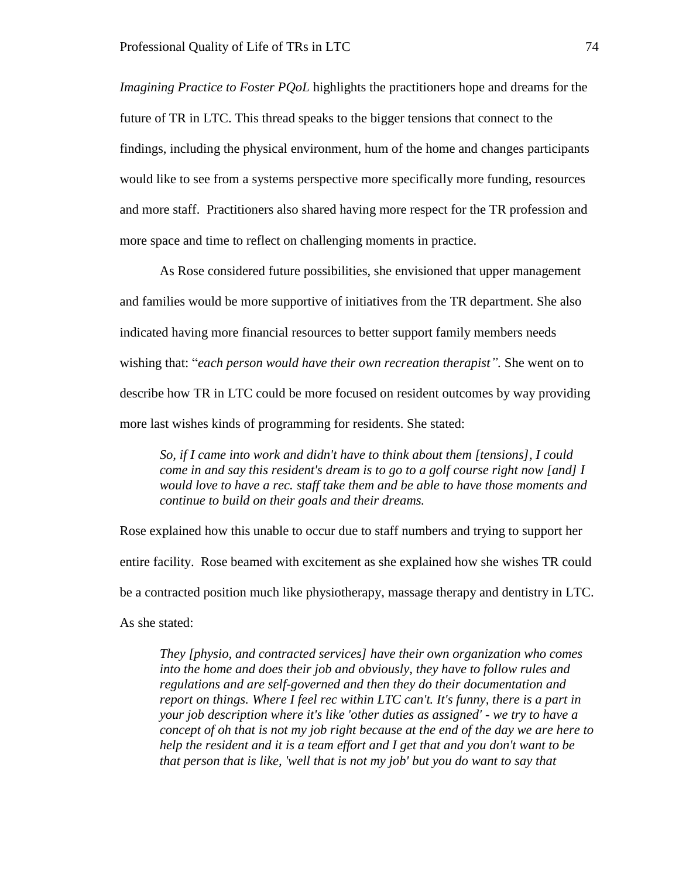*Imagining Practice to Foster PQoL* highlights the practitioners hope and dreams for the future of TR in LTC. This thread speaks to the bigger tensions that connect to the findings, including the physical environment, hum of the home and changes participants would like to see from a systems perspective more specifically more funding, resources and more staff. Practitioners also shared having more respect for the TR profession and more space and time to reflect on challenging moments in practice.

As Rose considered future possibilities, she envisioned that upper management and families would be more supportive of initiatives from the TR department. She also indicated having more financial resources to better support family members needs wishing that: "*each person would have their own recreation therapist".* She went on to describe how TR in LTC could be more focused on resident outcomes by way providing more last wishes kinds of programming for residents. She stated:

*So, if I came into work and didn't have to think about them [tensions], I could come in and say this resident's dream is to go to a golf course right now [and] I would love to have a rec. staff take them and be able to have those moments and continue to build on their goals and their dreams.* 

Rose explained how this unable to occur due to staff numbers and trying to support her entire facility. Rose beamed with excitement as she explained how she wishes TR could be a contracted position much like physiotherapy, massage therapy and dentistry in LTC. As she stated:

*They [physio, and contracted services] have their own organization who comes into the home and does their job and obviously, they have to follow rules and regulations and are self-governed and then they do their documentation and report on things. Where I feel rec within LTC can't. It's funny, there is a part in your job description where it's like 'other duties as assigned' - we try to have a concept of oh that is not my job right because at the end of the day we are here to help the resident and it is a team effort and I get that and you don't want to be that person that is like, 'well that is not my job' but you do want to say that*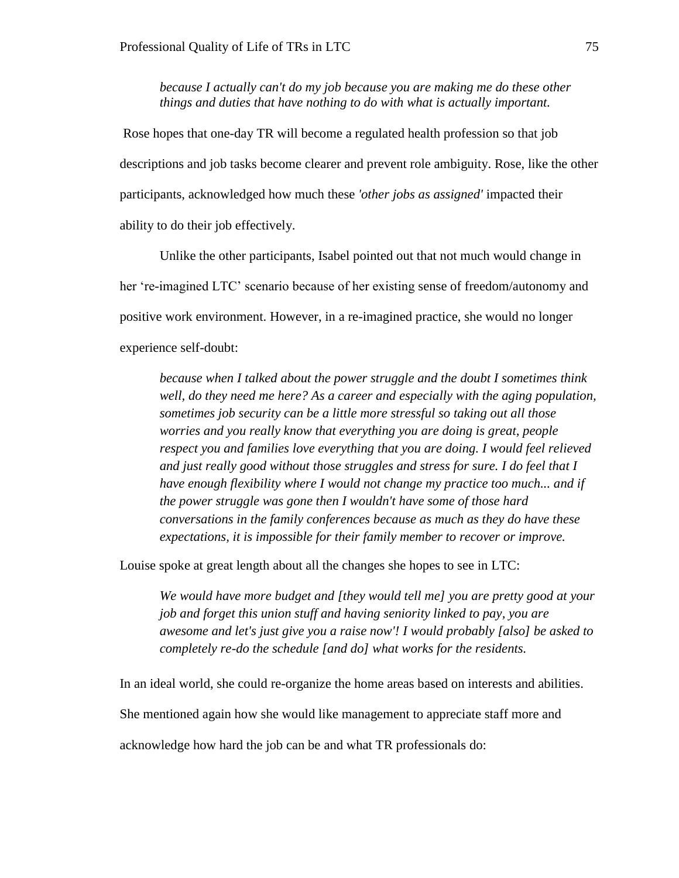*because I actually can't do my job because you are making me do these other things and duties that have nothing to do with what is actually important.*

Rose hopes that one-day TR will become a regulated health profession so that job descriptions and job tasks become clearer and prevent role ambiguity. Rose, like the other participants, acknowledged how much these *'other jobs as assigned'* impacted their ability to do their job effectively.

Unlike the other participants, Isabel pointed out that not much would change in her 're-imagined LTC' scenario because of her existing sense of freedom/autonomy and positive work environment. However, in a re-imagined practice, she would no longer experience self-doubt:

*because when I talked about the power struggle and the doubt I sometimes think well, do they need me here? As a career and especially with the aging population, sometimes job security can be a little more stressful so taking out all those worries and you really know that everything you are doing is great, people respect you and families love everything that you are doing. I would feel relieved and just really good without those struggles and stress for sure. I do feel that I have enough flexibility where I would not change my practice too much... and if the power struggle was gone then I wouldn't have some of those hard conversations in the family conferences because as much as they do have these expectations, it is impossible for their family member to recover or improve.*

Louise spoke at great length about all the changes she hopes to see in LTC:

*We would have more budget and [they would tell me] you are pretty good at your job and forget this union stuff and having seniority linked to pay, you are awesome and let's just give you a raise now'! I would probably [also] be asked to completely re-do the schedule [and do] what works for the residents.* 

In an ideal world, she could re-organize the home areas based on interests and abilities. She mentioned again how she would like management to appreciate staff more and acknowledge how hard the job can be and what TR professionals do: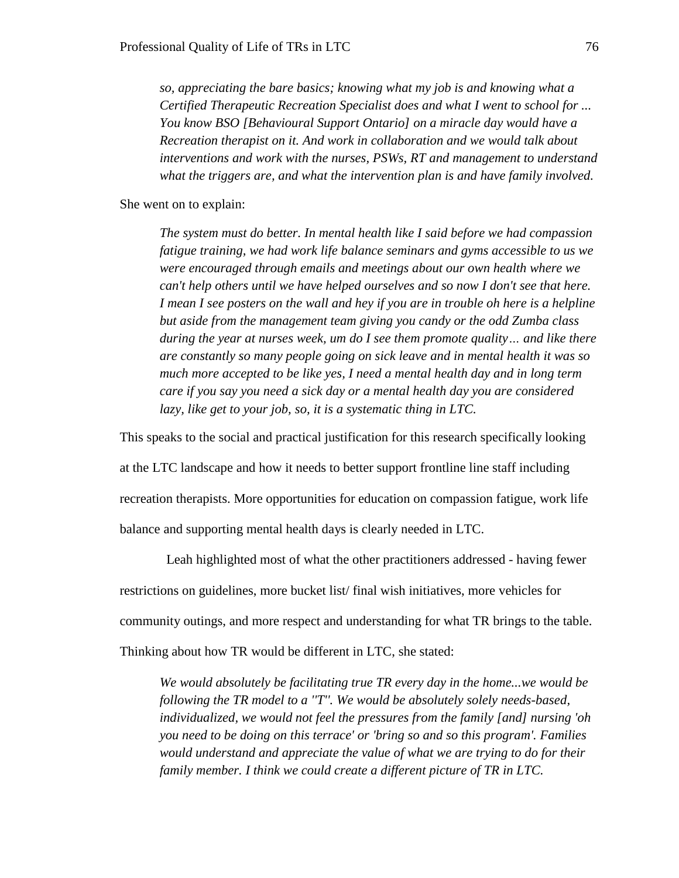*so, appreciating the bare basics; knowing what my job is and knowing what a Certified Therapeutic Recreation Specialist does and what I went to school for ... You know BSO [Behavioural Support Ontario] on a miracle day would have a Recreation therapist on it. And work in collaboration and we would talk about interventions and work with the nurses, PSWs, RT and management to understand what the triggers are, and what the intervention plan is and have family involved.* 

She went on to explain:

*The system must do better. In mental health like I said before we had compassion fatigue training, we had work life balance seminars and gyms accessible to us we were encouraged through emails and meetings about our own health where we can't help others until we have helped ourselves and so now I don't see that here. I mean I see posters on the wall and hey if you are in trouble oh here is a helpline but aside from the management team giving you candy or the odd Zumba class during the year at nurses week, um do I see them promote quality… and like there are constantly so many people going on sick leave and in mental health it was so much more accepted to be like yes, I need a mental health day and in long term care if you say you need a sick day or a mental health day you are considered lazy, like get to your job, so, it is a systematic thing in LTC.* 

This speaks to the social and practical justification for this research specifically looking

at the LTC landscape and how it needs to better support frontline line staff including recreation therapists. More opportunities for education on compassion fatigue, work life balance and supporting mental health days is clearly needed in LTC.

 Leah highlighted most of what the other practitioners addressed - having fewer restrictions on guidelines, more bucket list/ final wish initiatives, more vehicles for community outings, and more respect and understanding for what TR brings to the table.

Thinking about how TR would be different in LTC, she stated:

*We would absolutely be facilitating true TR every day in the home...we would be following the TR model to a ''T''. We would be absolutely solely needs-based, individualized, we would not feel the pressures from the family [and] nursing 'oh you need to be doing on this terrace' or 'bring so and so this program'. Families would understand and appreciate the value of what we are trying to do for their family member. I think we could create a different picture of TR in LTC.*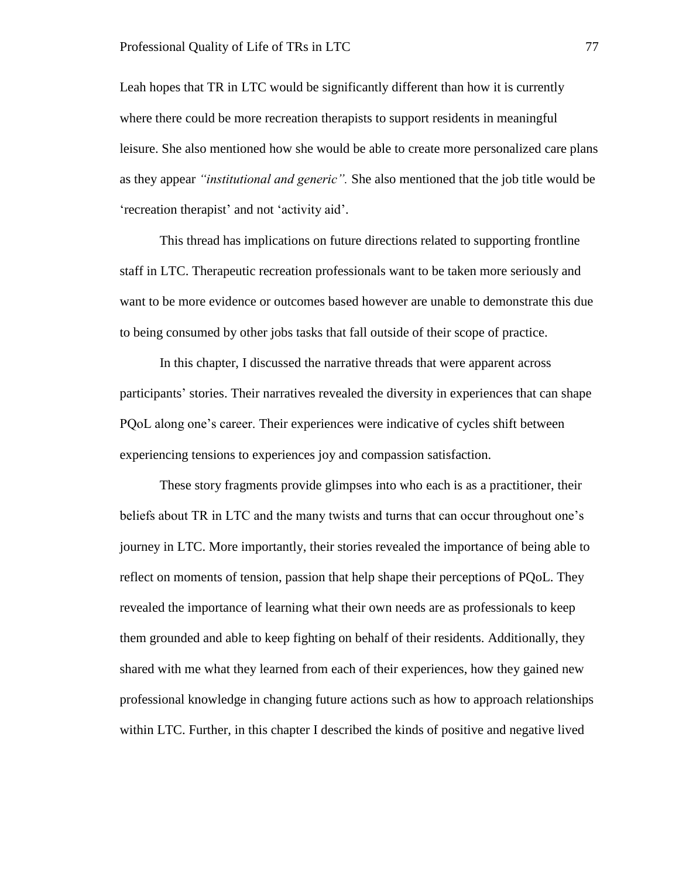Leah hopes that TR in LTC would be significantly different than how it is currently where there could be more recreation therapists to support residents in meaningful leisure. She also mentioned how she would be able to create more personalized care plans as they appear *"institutional and generic".* She also mentioned that the job title would be 'recreation therapist' and not 'activity aid'.

This thread has implications on future directions related to supporting frontline staff in LTC. Therapeutic recreation professionals want to be taken more seriously and want to be more evidence or outcomes based however are unable to demonstrate this due to being consumed by other jobs tasks that fall outside of their scope of practice.

In this chapter, I discussed the narrative threads that were apparent across participants' stories. Their narratives revealed the diversity in experiences that can shape PQoL along one's career. Their experiences were indicative of cycles shift between experiencing tensions to experiences joy and compassion satisfaction.

These story fragments provide glimpses into who each is as a practitioner, their beliefs about TR in LTC and the many twists and turns that can occur throughout one's journey in LTC. More importantly, their stories revealed the importance of being able to reflect on moments of tension, passion that help shape their perceptions of PQoL. They revealed the importance of learning what their own needs are as professionals to keep them grounded and able to keep fighting on behalf of their residents. Additionally, they shared with me what they learned from each of their experiences, how they gained new professional knowledge in changing future actions such as how to approach relationships within LTC. Further, in this chapter I described the kinds of positive and negative lived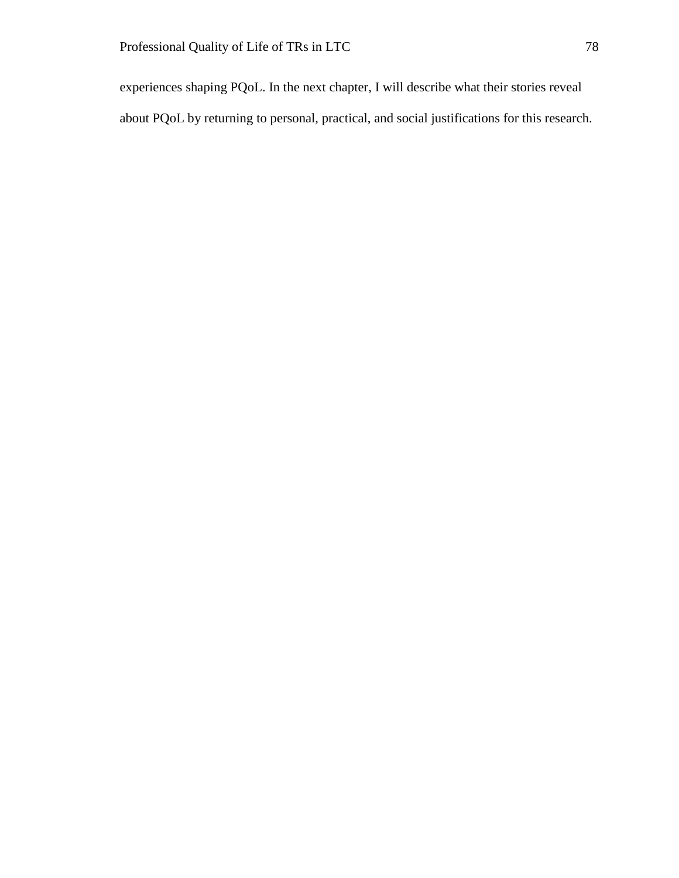experiences shaping PQoL. In the next chapter, I will describe what their stories reveal about PQoL by returning to personal, practical, and social justifications for this research.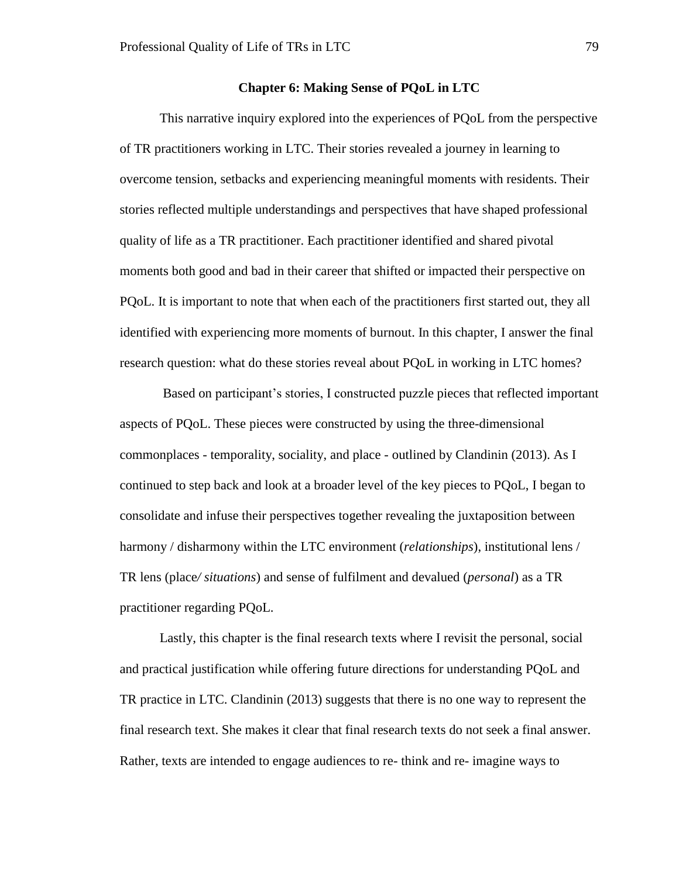## **Chapter 6: Making Sense of PQoL in LTC**

This narrative inquiry explored into the experiences of PQoL from the perspective of TR practitioners working in LTC. Their stories revealed a journey in learning to overcome tension, setbacks and experiencing meaningful moments with residents. Their stories reflected multiple understandings and perspectives that have shaped professional quality of life as a TR practitioner. Each practitioner identified and shared pivotal moments both good and bad in their career that shifted or impacted their perspective on PQoL. It is important to note that when each of the practitioners first started out, they all identified with experiencing more moments of burnout. In this chapter, I answer the final research question: what do these stories reveal about PQoL in working in LTC homes?

Based on participant's stories, I constructed puzzle pieces that reflected important aspects of PQoL. These pieces were constructed by using the three-dimensional commonplaces - temporality, sociality, and place - outlined by Clandinin (2013). As I continued to step back and look at a broader level of the key pieces to PQoL, I began to consolidate and infuse their perspectives together revealing the juxtaposition between harmony / disharmony within the LTC environment (*relationships*), institutional lens / TR lens (place*/ situations*) and sense of fulfilment and devalued (*personal*) as a TR practitioner regarding PQoL.

Lastly, this chapter is the final research texts where I revisit the personal, social and practical justification while offering future directions for understanding PQoL and TR practice in LTC. Clandinin (2013) suggests that there is no one way to represent the final research text. She makes it clear that final research texts do not seek a final answer. Rather, texts are intended to engage audiences to re- think and re- imagine ways to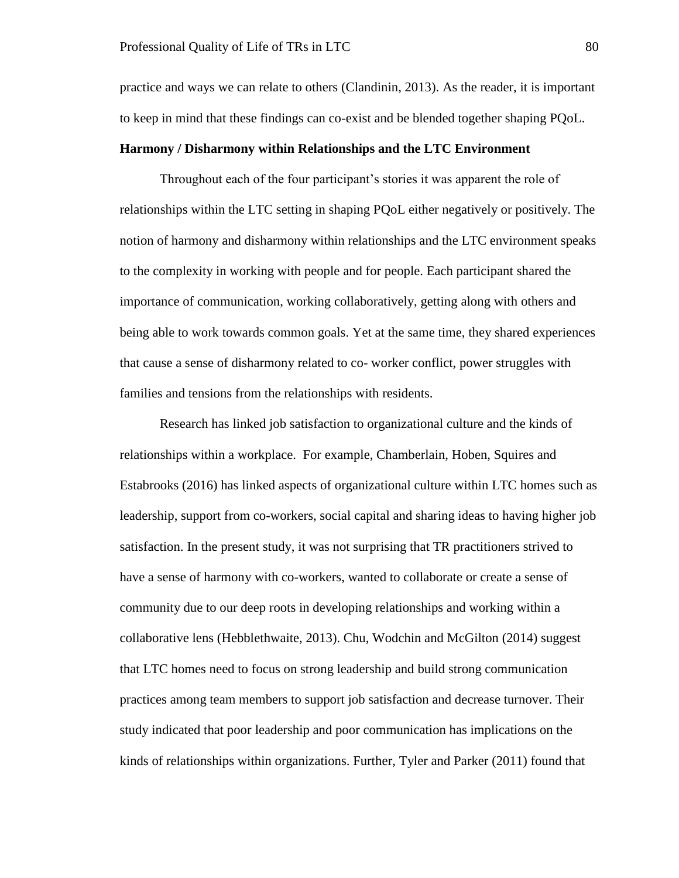practice and ways we can relate to others (Clandinin, 2013). As the reader, it is important to keep in mind that these findings can co-exist and be blended together shaping PQoL.

# **Harmony / Disharmony within Relationships and the LTC Environment**

Throughout each of the four participant's stories it was apparent the role of relationships within the LTC setting in shaping PQoL either negatively or positively. The notion of harmony and disharmony within relationships and the LTC environment speaks to the complexity in working with people and for people. Each participant shared the importance of communication, working collaboratively, getting along with others and being able to work towards common goals. Yet at the same time, they shared experiences that cause a sense of disharmony related to co- worker conflict, power struggles with families and tensions from the relationships with residents.

Research has linked job satisfaction to organizational culture and the kinds of relationships within a workplace. For example, Chamberlain, Hoben, Squires and Estabrooks (2016) has linked aspects of organizational culture within LTC homes such as leadership, support from co-workers, social capital and sharing ideas to having higher job satisfaction. In the present study, it was not surprising that TR practitioners strived to have a sense of harmony with co-workers, wanted to collaborate or create a sense of community due to our deep roots in developing relationships and working within a collaborative lens (Hebblethwaite, 2013). Chu, Wodchin and McGilton (2014) suggest that LTC homes need to focus on strong leadership and build strong communication practices among team members to support job satisfaction and decrease turnover. Their study indicated that poor leadership and poor communication has implications on the kinds of relationships within organizations. Further, Tyler and Parker (2011) found that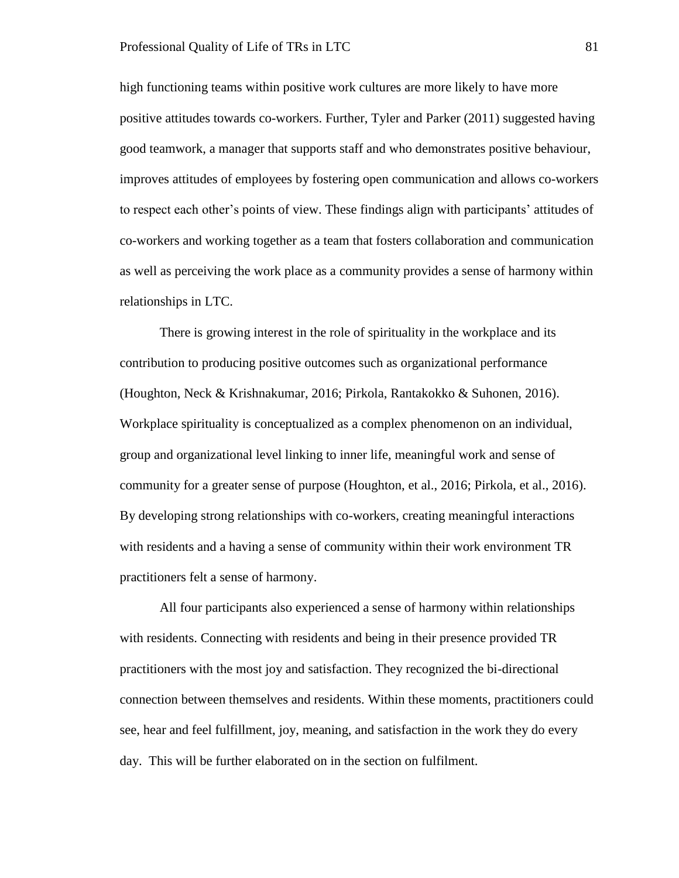high functioning teams within positive work cultures are more likely to have more positive attitudes towards co-workers. Further, Tyler and Parker (2011) suggested having good teamwork, a manager that supports staff and who demonstrates positive behaviour, improves attitudes of employees by fostering open communication and allows co-workers to respect each other's points of view. These findings align with participants' attitudes of co-workers and working together as a team that fosters collaboration and communication as well as perceiving the work place as a community provides a sense of harmony within relationships in LTC.

There is growing interest in the role of spirituality in the workplace and its contribution to producing positive outcomes such as organizational performance (Houghton, Neck & Krishnakumar, 2016; Pirkola, Rantakokko & Suhonen, 2016). Workplace spirituality is conceptualized as a complex phenomenon on an individual, group and organizational level linking to inner life, meaningful work and sense of community for a greater sense of purpose (Houghton, et al., 2016; Pirkola, et al., 2016). By developing strong relationships with co-workers, creating meaningful interactions with residents and a having a sense of community within their work environment TR practitioners felt a sense of harmony.

All four participants also experienced a sense of harmony within relationships with residents. Connecting with residents and being in their presence provided TR practitioners with the most joy and satisfaction. They recognized the bi-directional connection between themselves and residents. Within these moments, practitioners could see, hear and feel fulfillment, joy, meaning, and satisfaction in the work they do every day. This will be further elaborated on in the section on fulfilment.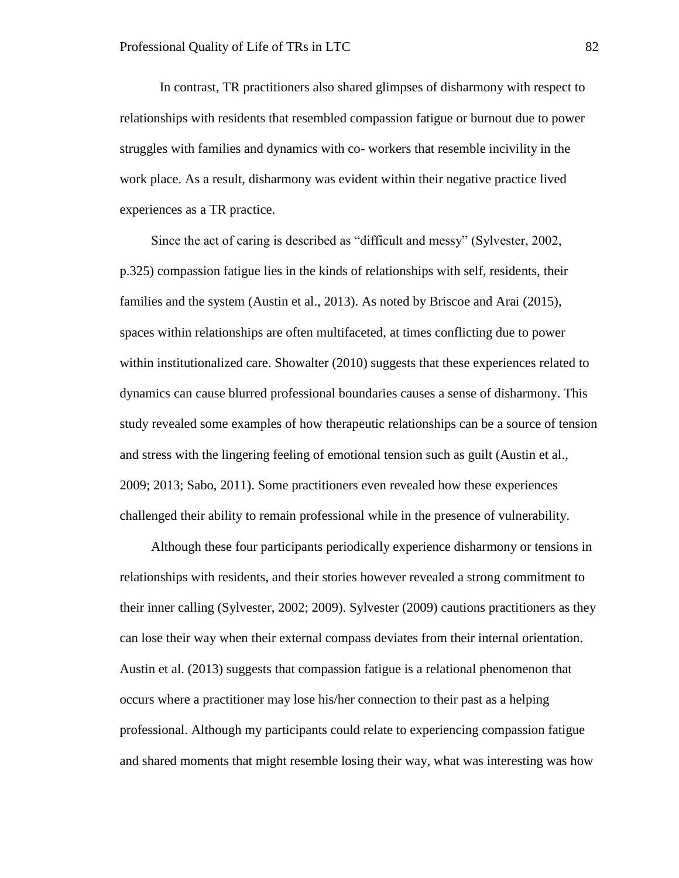In contrast, TR practitioners also shared glimpses of disharmony with respect to relationships with residents that resembled compassion fatigue or burnout due to power struggles with families and dynamics with co- workers that resemble incivility in the work place. As a result, disharmony was evident within their negative practice lived experiences as a TR practice.

Since the act of caring is described as "difficult and messy" (Sylvester, 2002, p.325) compassion fatigue lies in the kinds of relationships with self, residents, their families and the system (Austin et al., 2013). As noted by Briscoe and Arai (2015), spaces within relationships are often multifaceted, at times conflicting due to power within institutionalized care. Showalter (2010) suggests that these experiences related to dynamics can cause blurred professional boundaries causes a sense of disharmony. This study revealed some examples of how therapeutic relationships can be a source of tension and stress with the lingering feeling of emotional tension such as guilt (Austin et al., 2009; 2013; Sabo, 2011). Some practitioners even revealed how these experiences challenged their ability to remain professional while in the presence of vulnerability.

Although these four participants periodically experience disharmony or tensions in relationships with residents, and their stories however revealed a strong commitment to their inner calling (Sylvester, 2002; 2009). Sylvester (2009) cautions practitioners as they can lose their way when their external compass deviates from their internal orientation. Austin et al. (2013) suggests that compassion fatigue is a relational phenomenon that occurs where a practitioner may lose his/her connection to their past as a helping professional. Although my participants could relate to experiencing compassion fatigue and shared moments that might resemble losing their way, what was interesting was how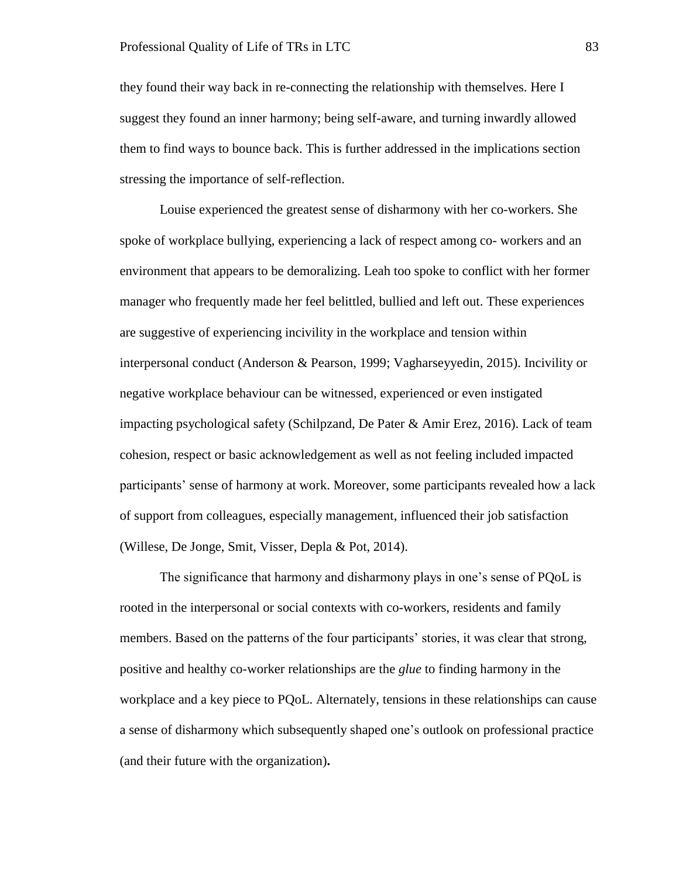they found their way back in re-connecting the relationship with themselves. Here I suggest they found an inner harmony; being self-aware, and turning inwardly allowed them to find ways to bounce back. This is further addressed in the implications section stressing the importance of self-reflection.

Louise experienced the greatest sense of disharmony with her co-workers. She spoke of workplace bullying, experiencing a lack of respect among co- workers and an environment that appears to be demoralizing. Leah too spoke to conflict with her former manager who frequently made her feel belittled, bullied and left out. These experiences are suggestive of experiencing incivility in the workplace and tension within interpersonal conduct (Anderson & Pearson, 1999; Vagharseyyedin, 2015). Incivility or negative workplace behaviour can be witnessed, experienced or even instigated impacting psychological safety (Schilpzand, De Pater & Amir Erez, 2016). Lack of team cohesion, respect or basic acknowledgement as well as not feeling included impacted participants' sense of harmony at work. Moreover, some participants revealed how a lack of support from colleagues, especially management, influenced their job satisfaction (Willese, De Jonge, Smit, Visser, Depla & Pot, 2014).

The significance that harmony and disharmony plays in one's sense of PQoL is rooted in the interpersonal or social contexts with co-workers, residents and family members. Based on the patterns of the four participants' stories, it was clear that strong, positive and healthy co-worker relationships are the *glue* to finding harmony in the workplace and a key piece to PQoL. Alternately, tensions in these relationships can cause a sense of disharmony which subsequently shaped one's outlook on professional practice (and their future with the organization)**.**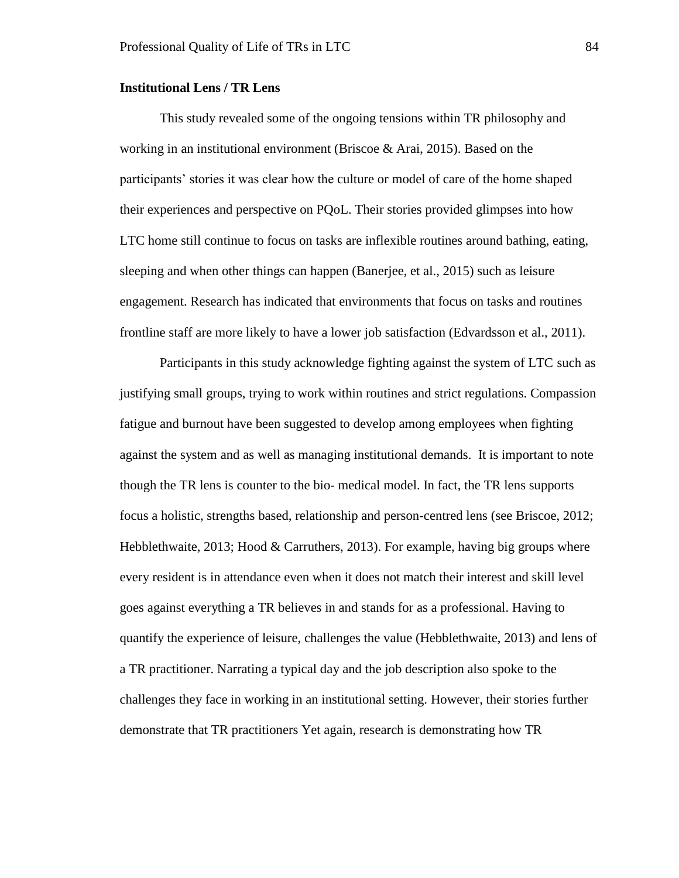### **Institutional Lens / TR Lens**

This study revealed some of the ongoing tensions within TR philosophy and working in an institutional environment (Briscoe & Arai, 2015). Based on the participants' stories it was clear how the culture or model of care of the home shaped their experiences and perspective on PQoL. Their stories provided glimpses into how LTC home still continue to focus on tasks are inflexible routines around bathing, eating, sleeping and when other things can happen (Banerjee, et al., 2015) such as leisure engagement. Research has indicated that environments that focus on tasks and routines frontline staff are more likely to have a lower job satisfaction (Edvardsson et al., 2011).

Participants in this study acknowledge fighting against the system of LTC such as justifying small groups, trying to work within routines and strict regulations. Compassion fatigue and burnout have been suggested to develop among employees when fighting against the system and as well as managing institutional demands. It is important to note though the TR lens is counter to the bio- medical model. In fact, the TR lens supports focus a holistic, strengths based, relationship and person-centred lens (see Briscoe, 2012; Hebblethwaite,  $2013$ ; Hood & Carruthers,  $2013$ ). For example, having big groups where every resident is in attendance even when it does not match their interest and skill level goes against everything a TR believes in and stands for as a professional. Having to quantify the experience of leisure, challenges the value (Hebblethwaite, 2013) and lens of a TR practitioner. Narrating a typical day and the job description also spoke to the challenges they face in working in an institutional setting. However, their stories further demonstrate that TR practitioners Yet again, research is demonstrating how TR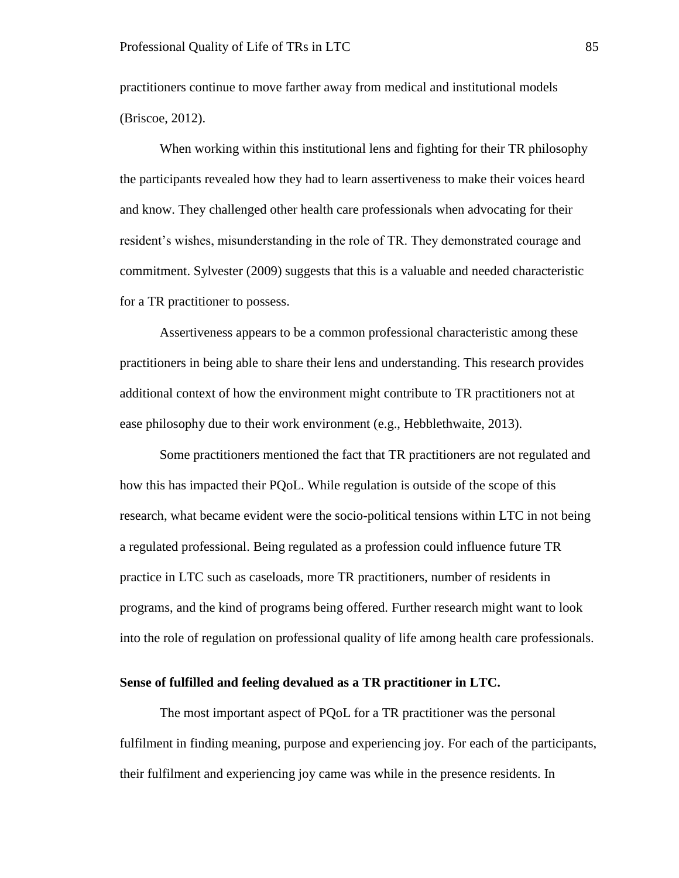practitioners continue to move farther away from medical and institutional models (Briscoe, 2012).

When working within this institutional lens and fighting for their TR philosophy the participants revealed how they had to learn assertiveness to make their voices heard and know. They challenged other health care professionals when advocating for their resident's wishes, misunderstanding in the role of TR. They demonstrated courage and commitment. Sylvester (2009) suggests that this is a valuable and needed characteristic for a TR practitioner to possess.

Assertiveness appears to be a common professional characteristic among these practitioners in being able to share their lens and understanding. This research provides additional context of how the environment might contribute to TR practitioners not at ease philosophy due to their work environment (e.g., Hebblethwaite, 2013).

Some practitioners mentioned the fact that TR practitioners are not regulated and how this has impacted their PQoL. While regulation is outside of the scope of this research, what became evident were the socio-political tensions within LTC in not being a regulated professional. Being regulated as a profession could influence future TR practice in LTC such as caseloads, more TR practitioners, number of residents in programs, and the kind of programs being offered. Further research might want to look into the role of regulation on professional quality of life among health care professionals.

### **Sense of fulfilled and feeling devalued as a TR practitioner in LTC.**

The most important aspect of PQoL for a TR practitioner was the personal fulfilment in finding meaning, purpose and experiencing joy. For each of the participants, their fulfilment and experiencing joy came was while in the presence residents. In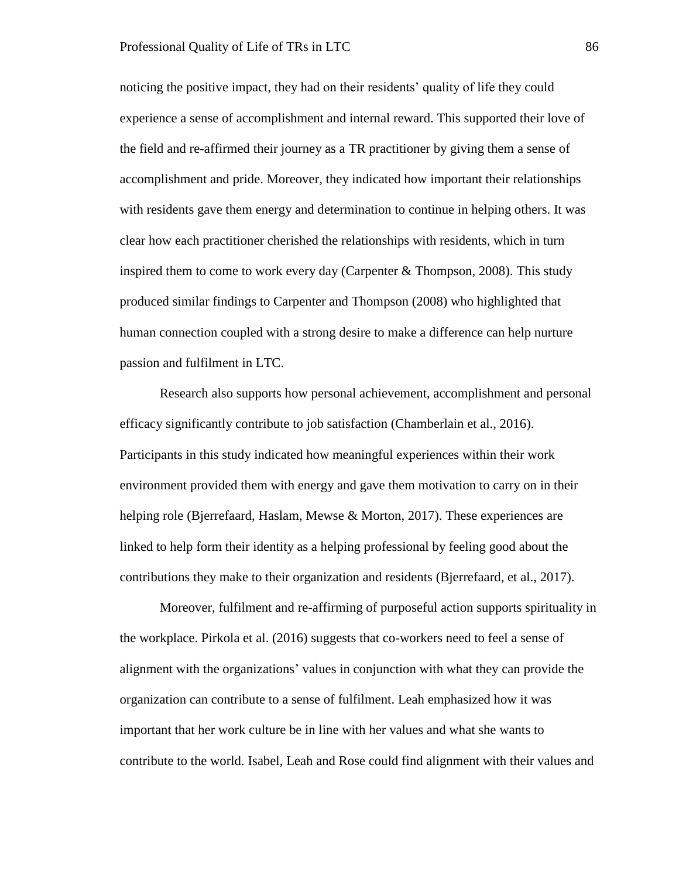noticing the positive impact, they had on their residents' quality of life they could experience a sense of accomplishment and internal reward. This supported their love of the field and re-affirmed their journey as a TR practitioner by giving them a sense of accomplishment and pride. Moreover, they indicated how important their relationships with residents gave them energy and determination to continue in helping others. It was clear how each practitioner cherished the relationships with residents, which in turn inspired them to come to work every day (Carpenter & Thompson, 2008). This study produced similar findings to Carpenter and Thompson (2008) who highlighted that human connection coupled with a strong desire to make a difference can help nurture passion and fulfilment in LTC.

Research also supports how personal achievement, accomplishment and personal efficacy significantly contribute to job satisfaction (Chamberlain et al., 2016). Participants in this study indicated how meaningful experiences within their work environment provided them with energy and gave them motivation to carry on in their helping role (Bjerrefaard, Haslam, Mewse & Morton, 2017). These experiences are linked to help form their identity as a helping professional by feeling good about the contributions they make to their organization and residents (Bjerrefaard, et al., 2017).

Moreover, fulfilment and re-affirming of purposeful action supports spirituality in the workplace. Pirkola et al. (2016) suggests that co-workers need to feel a sense of alignment with the organizations' values in conjunction with what they can provide the organization can contribute to a sense of fulfilment. Leah emphasized how it was important that her work culture be in line with her values and what she wants to contribute to the world. Isabel, Leah and Rose could find alignment with their values and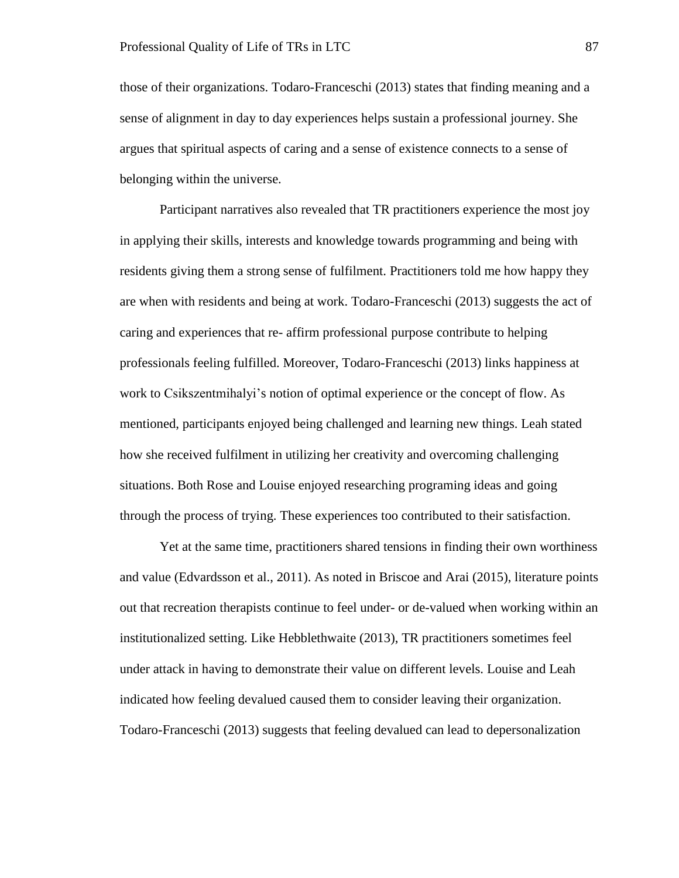those of their organizations. Todaro-Franceschi (2013) states that finding meaning and a sense of alignment in day to day experiences helps sustain a professional journey. She argues that spiritual aspects of caring and a sense of existence connects to a sense of belonging within the universe.

Participant narratives also revealed that TR practitioners experience the most joy in applying their skills, interests and knowledge towards programming and being with residents giving them a strong sense of fulfilment. Practitioners told me how happy they are when with residents and being at work. Todaro-Franceschi (2013) suggests the act of caring and experiences that re- affirm professional purpose contribute to helping professionals feeling fulfilled. Moreover, Todaro-Franceschi (2013) links happiness at work to Csikszentmihalyi's notion of optimal experience or the concept of flow. As mentioned, participants enjoyed being challenged and learning new things. Leah stated how she received fulfilment in utilizing her creativity and overcoming challenging situations. Both Rose and Louise enjoyed researching programing ideas and going through the process of trying. These experiences too contributed to their satisfaction.

Yet at the same time, practitioners shared tensions in finding their own worthiness and value (Edvardsson et al., 2011). As noted in Briscoe and Arai (2015), literature points out that recreation therapists continue to feel under- or de-valued when working within an institutionalized setting. Like Hebblethwaite (2013), TR practitioners sometimes feel under attack in having to demonstrate their value on different levels. Louise and Leah indicated how feeling devalued caused them to consider leaving their organization. Todaro-Franceschi (2013) suggests that feeling devalued can lead to depersonalization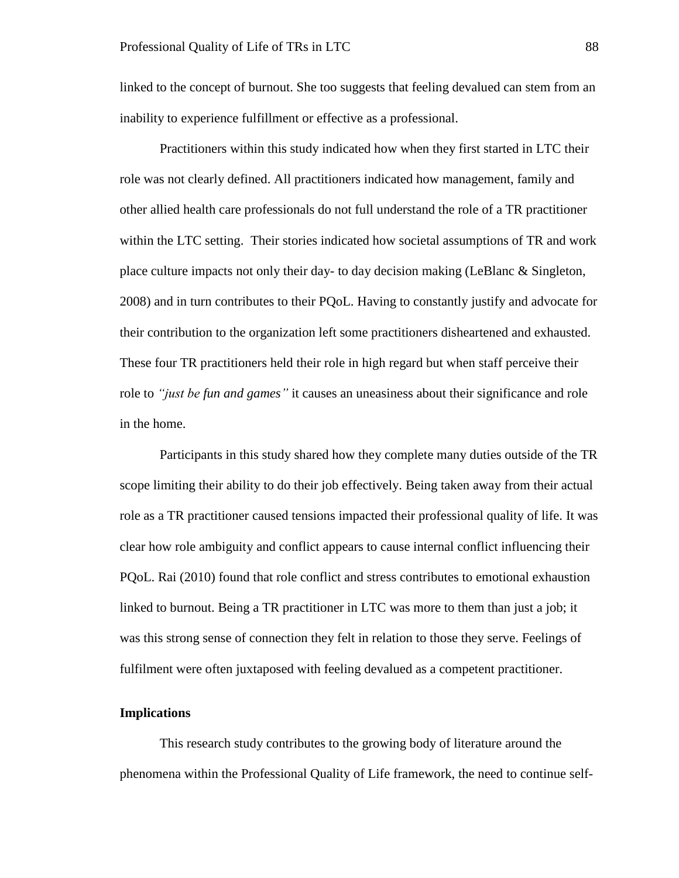linked to the concept of burnout. She too suggests that feeling devalued can stem from an inability to experience fulfillment or effective as a professional.

Practitioners within this study indicated how when they first started in LTC their role was not clearly defined. All practitioners indicated how management, family and other allied health care professionals do not full understand the role of a TR practitioner within the LTC setting. Their stories indicated how societal assumptions of TR and work place culture impacts not only their day- to day decision making (LeBlanc & Singleton, 2008) and in turn contributes to their PQoL. Having to constantly justify and advocate for their contribution to the organization left some practitioners disheartened and exhausted. These four TR practitioners held their role in high regard but when staff perceive their role to *"just be fun and games"* it causes an uneasiness about their significance and role in the home.

Participants in this study shared how they complete many duties outside of the TR scope limiting their ability to do their job effectively. Being taken away from their actual role as a TR practitioner caused tensions impacted their professional quality of life. It was clear how role ambiguity and conflict appears to cause internal conflict influencing their PQoL. Rai (2010) found that role conflict and stress contributes to emotional exhaustion linked to burnout. Being a TR practitioner in LTC was more to them than just a job; it was this strong sense of connection they felt in relation to those they serve. Feelings of fulfilment were often juxtaposed with feeling devalued as a competent practitioner.

# **Implications**

This research study contributes to the growing body of literature around the phenomena within the Professional Quality of Life framework, the need to continue self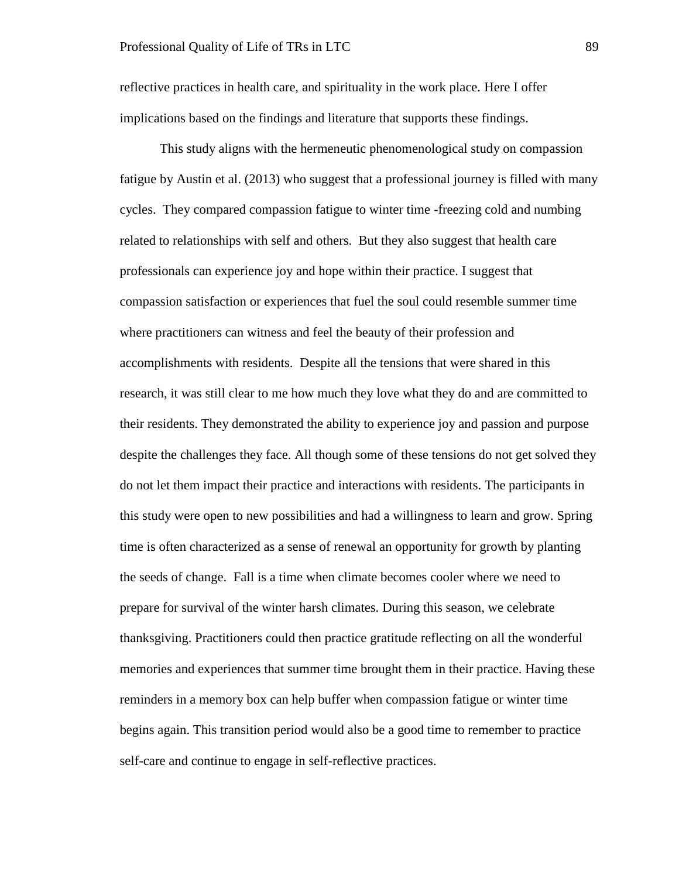reflective practices in health care, and spirituality in the work place. Here I offer implications based on the findings and literature that supports these findings.

This study aligns with the hermeneutic phenomenological study on compassion fatigue by Austin et al. (2013) who suggest that a professional journey is filled with many cycles. They compared compassion fatigue to winter time -freezing cold and numbing related to relationships with self and others. But they also suggest that health care professionals can experience joy and hope within their practice. I suggest that compassion satisfaction or experiences that fuel the soul could resemble summer time where practitioners can witness and feel the beauty of their profession and accomplishments with residents. Despite all the tensions that were shared in this research, it was still clear to me how much they love what they do and are committed to their residents. They demonstrated the ability to experience joy and passion and purpose despite the challenges they face. All though some of these tensions do not get solved they do not let them impact their practice and interactions with residents. The participants in this study were open to new possibilities and had a willingness to learn and grow. Spring time is often characterized as a sense of renewal an opportunity for growth by planting the seeds of change. Fall is a time when climate becomes cooler where we need to prepare for survival of the winter harsh climates. During this season, we celebrate thanksgiving. Practitioners could then practice gratitude reflecting on all the wonderful memories and experiences that summer time brought them in their practice. Having these reminders in a memory box can help buffer when compassion fatigue or winter time begins again. This transition period would also be a good time to remember to practice self-care and continue to engage in self-reflective practices.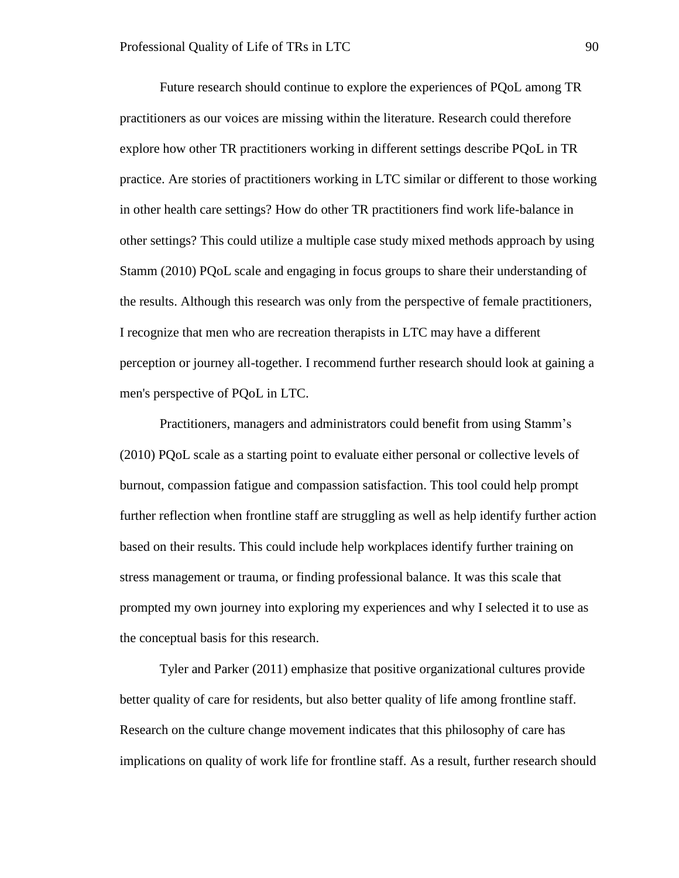Future research should continue to explore the experiences of PQoL among TR practitioners as our voices are missing within the literature. Research could therefore explore how other TR practitioners working in different settings describe PQoL in TR practice. Are stories of practitioners working in LTC similar or different to those working in other health care settings? How do other TR practitioners find work life-balance in other settings? This could utilize a multiple case study mixed methods approach by using Stamm (2010) PQoL scale and engaging in focus groups to share their understanding of the results. Although this research was only from the perspective of female practitioners, I recognize that men who are recreation therapists in LTC may have a different perception or journey all-together. I recommend further research should look at gaining a men's perspective of PQoL in LTC.

Practitioners, managers and administrators could benefit from using Stamm's (2010) PQoL scale as a starting point to evaluate either personal or collective levels of burnout, compassion fatigue and compassion satisfaction. This tool could help prompt further reflection when frontline staff are struggling as well as help identify further action based on their results. This could include help workplaces identify further training on stress management or trauma, or finding professional balance. It was this scale that prompted my own journey into exploring my experiences and why I selected it to use as the conceptual basis for this research.

Tyler and Parker (2011) emphasize that positive organizational cultures provide better quality of care for residents, but also better quality of life among frontline staff. Research on the culture change movement indicates that this philosophy of care has implications on quality of work life for frontline staff. As a result, further research should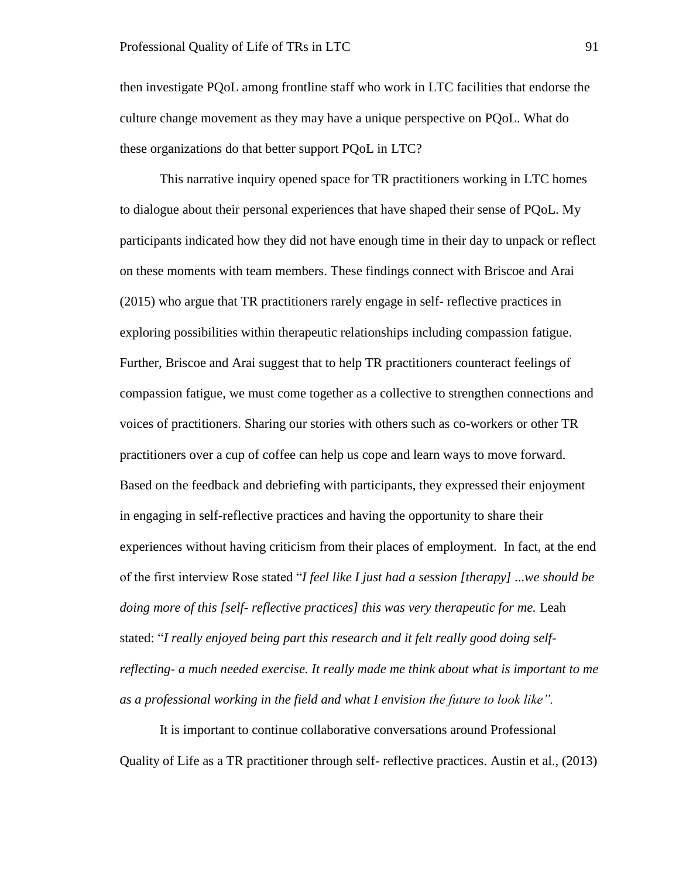then investigate PQoL among frontline staff who work in LTC facilities that endorse the culture change movement as they may have a unique perspective on PQoL. What do these organizations do that better support PQoL in LTC?

This narrative inquiry opened space for TR practitioners working in LTC homes to dialogue about their personal experiences that have shaped their sense of PQoL. My participants indicated how they did not have enough time in their day to unpack or reflect on these moments with team members. These findings connect with Briscoe and Arai (2015) who argue that TR practitioners rarely engage in self- reflective practices in exploring possibilities within therapeutic relationships including compassion fatigue. Further, Briscoe and Arai suggest that to help TR practitioners counteract feelings of compassion fatigue, we must come together as a collective to strengthen connections and voices of practitioners. Sharing our stories with others such as co-workers or other TR practitioners over a cup of coffee can help us cope and learn ways to move forward. Based on the feedback and debriefing with participants, they expressed their enjoyment in engaging in self-reflective practices and having the opportunity to share their experiences without having criticism from their places of employment. In fact, at the end of the first interview Rose stated "*I feel like I just had a session [therapy] ...we should be doing more of this [self- reflective practices] this was very therapeutic for me.* Leah stated: "*I really enjoyed being part this research and it felt really good doing selfreflecting- a much needed exercise. It really made me think about what is important to me as a professional working in the field and what I envision the future to look like".* 

It is important to continue collaborative conversations around Professional Quality of Life as a TR practitioner through self- reflective practices. Austin et al., (2013)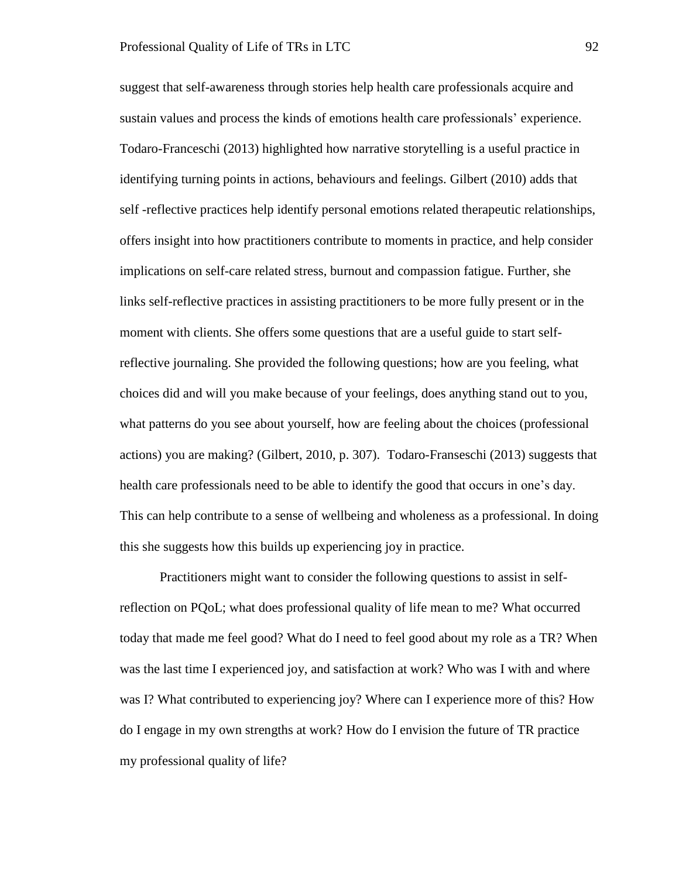suggest that self-awareness through stories help health care professionals acquire and sustain values and process the kinds of emotions health care professionals' experience. Todaro-Franceschi (2013) highlighted how narrative storytelling is a useful practice in identifying turning points in actions, behaviours and feelings. Gilbert (2010) adds that self -reflective practices help identify personal emotions related therapeutic relationships, offers insight into how practitioners contribute to moments in practice, and help consider implications on self-care related stress, burnout and compassion fatigue. Further, she links self-reflective practices in assisting practitioners to be more fully present or in the moment with clients. She offers some questions that are a useful guide to start selfreflective journaling. She provided the following questions; how are you feeling, what choices did and will you make because of your feelings, does anything stand out to you, what patterns do you see about yourself, how are feeling about the choices (professional actions) you are making? (Gilbert, 2010, p. 307). Todaro-Franseschi (2013) suggests that health care professionals need to be able to identify the good that occurs in one's day. This can help contribute to a sense of wellbeing and wholeness as a professional. In doing this she suggests how this builds up experiencing joy in practice.

Practitioners might want to consider the following questions to assist in selfreflection on PQoL; what does professional quality of life mean to me? What occurred today that made me feel good? What do I need to feel good about my role as a TR? When was the last time I experienced joy, and satisfaction at work? Who was I with and where was I? What contributed to experiencing joy? Where can I experience more of this? How do I engage in my own strengths at work? How do I envision the future of TR practice my professional quality of life?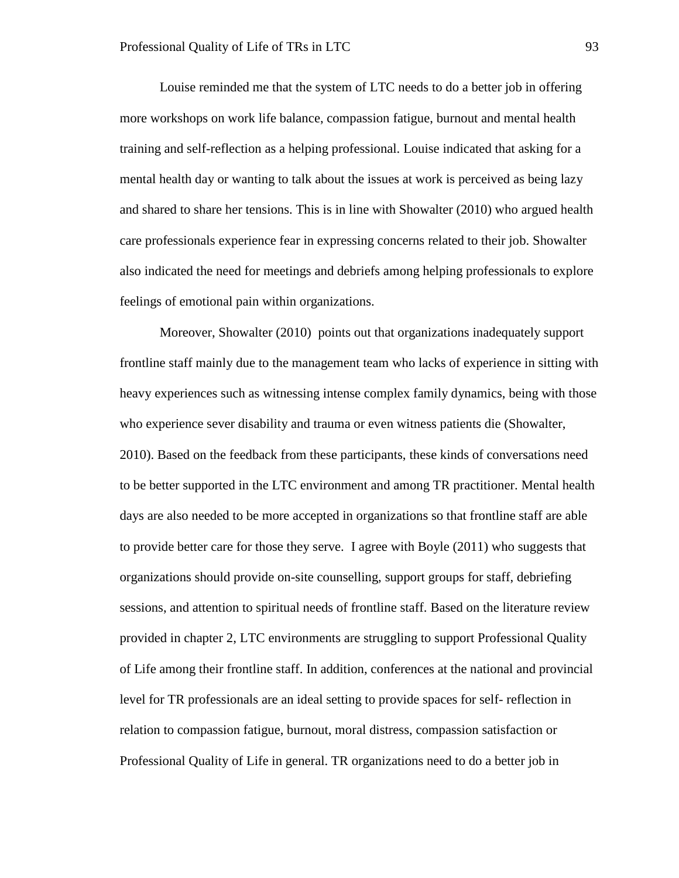Louise reminded me that the system of LTC needs to do a better job in offering more workshops on work life balance, compassion fatigue, burnout and mental health training and self-reflection as a helping professional. Louise indicated that asking for a mental health day or wanting to talk about the issues at work is perceived as being lazy and shared to share her tensions. This is in line with Showalter (2010) who argued health care professionals experience fear in expressing concerns related to their job. Showalter also indicated the need for meetings and debriefs among helping professionals to explore feelings of emotional pain within organizations.

Moreover, Showalter (2010) points out that organizations inadequately support frontline staff mainly due to the management team who lacks of experience in sitting with heavy experiences such as witnessing intense complex family dynamics, being with those who experience sever disability and trauma or even witness patients die (Showalter, 2010). Based on the feedback from these participants, these kinds of conversations need to be better supported in the LTC environment and among TR practitioner. Mental health days are also needed to be more accepted in organizations so that frontline staff are able to provide better care for those they serve. I agree with Boyle (2011) who suggests that organizations should provide on-site counselling, support groups for staff, debriefing sessions, and attention to spiritual needs of frontline staff. Based on the literature review provided in chapter 2, LTC environments are struggling to support Professional Quality of Life among their frontline staff. In addition, conferences at the national and provincial level for TR professionals are an ideal setting to provide spaces for self- reflection in relation to compassion fatigue, burnout, moral distress, compassion satisfaction or Professional Quality of Life in general. TR organizations need to do a better job in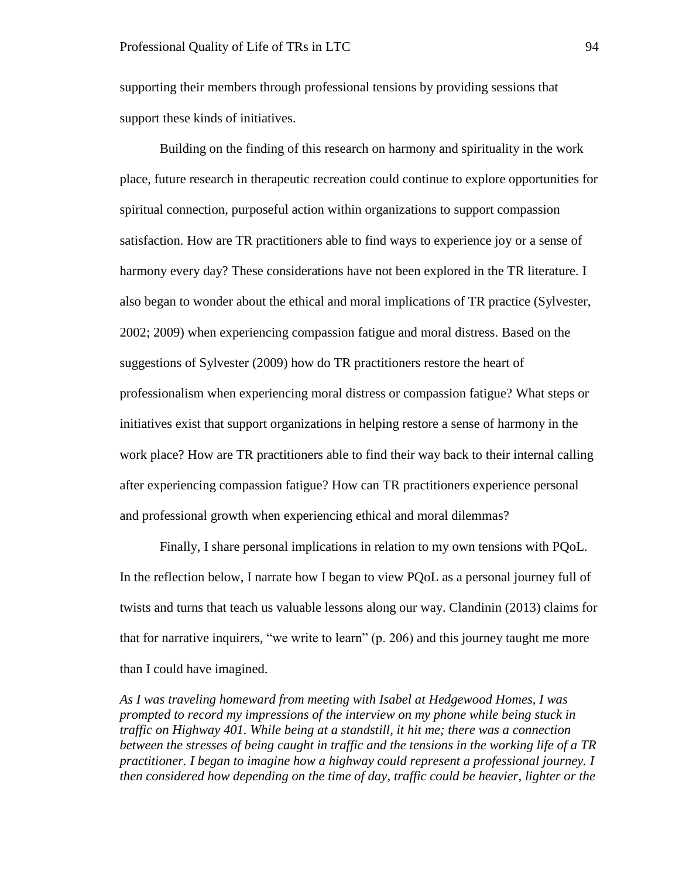supporting their members through professional tensions by providing sessions that support these kinds of initiatives.

Building on the finding of this research on harmony and spirituality in the work place, future research in therapeutic recreation could continue to explore opportunities for spiritual connection, purposeful action within organizations to support compassion satisfaction. How are TR practitioners able to find ways to experience joy or a sense of harmony every day? These considerations have not been explored in the TR literature. I also began to wonder about the ethical and moral implications of TR practice (Sylvester, 2002; 2009) when experiencing compassion fatigue and moral distress. Based on the suggestions of Sylvester (2009) how do TR practitioners restore the heart of professionalism when experiencing moral distress or compassion fatigue? What steps or initiatives exist that support organizations in helping restore a sense of harmony in the work place? How are TR practitioners able to find their way back to their internal calling after experiencing compassion fatigue? How can TR practitioners experience personal and professional growth when experiencing ethical and moral dilemmas?

Finally, I share personal implications in relation to my own tensions with PQoL. In the reflection below, I narrate how I began to view PQoL as a personal journey full of twists and turns that teach us valuable lessons along our way. Clandinin (2013) claims for that for narrative inquirers, "we write to learn" (p. 206) and this journey taught me more than I could have imagined.

*As I was traveling homeward from meeting with Isabel at Hedgewood Homes, I was prompted to record my impressions of the interview on my phone while being stuck in traffic on Highway 401. While being at a standstill, it hit me; there was a connection between the stresses of being caught in traffic and the tensions in the working life of a TR practitioner. I began to imagine how a highway could represent a professional journey. I then considered how depending on the time of day, traffic could be heavier, lighter or the*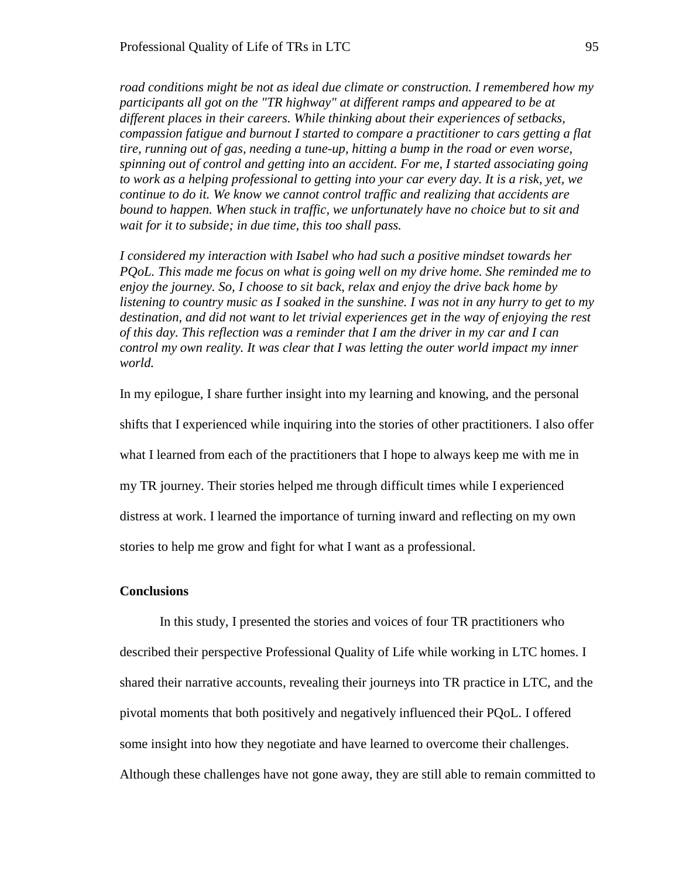*road conditions might be not as ideal due climate or construction. I remembered how my participants all got on the "TR highway" at different ramps and appeared to be at different places in their careers. While thinking about their experiences of setbacks, compassion fatigue and burnout I started to compare a practitioner to cars getting a flat tire, running out of gas, needing a tune-up, hitting a bump in the road or even worse, spinning out of control and getting into an accident. For me, I started associating going to work as a helping professional to getting into your car every day. It is a risk, yet, we continue to do it. We know we cannot control traffic and realizing that accidents are bound to happen. When stuck in traffic, we unfortunately have no choice but to sit and wait for it to subside; in due time, this too shall pass.*

*I considered my interaction with Isabel who had such a positive mindset towards her PQoL. This made me focus on what is going well on my drive home. She reminded me to enjoy the journey. So, I choose to sit back, relax and enjoy the drive back home by listening to country music as I soaked in the sunshine. I was not in any hurry to get to my destination, and did not want to let trivial experiences get in the way of enjoying the rest of this day. This reflection was a reminder that I am the driver in my car and I can control my own reality. It was clear that I was letting the outer world impact my inner world.* 

In my epilogue, I share further insight into my learning and knowing, and the personal shifts that I experienced while inquiring into the stories of other practitioners. I also offer what I learned from each of the practitioners that I hope to always keep me with me in my TR journey. Their stories helped me through difficult times while I experienced distress at work. I learned the importance of turning inward and reflecting on my own stories to help me grow and fight for what I want as a professional.

### **Conclusions**

In this study, I presented the stories and voices of four TR practitioners who described their perspective Professional Quality of Life while working in LTC homes. I shared their narrative accounts, revealing their journeys into TR practice in LTC, and the pivotal moments that both positively and negatively influenced their PQoL. I offered some insight into how they negotiate and have learned to overcome their challenges. Although these challenges have not gone away, they are still able to remain committed to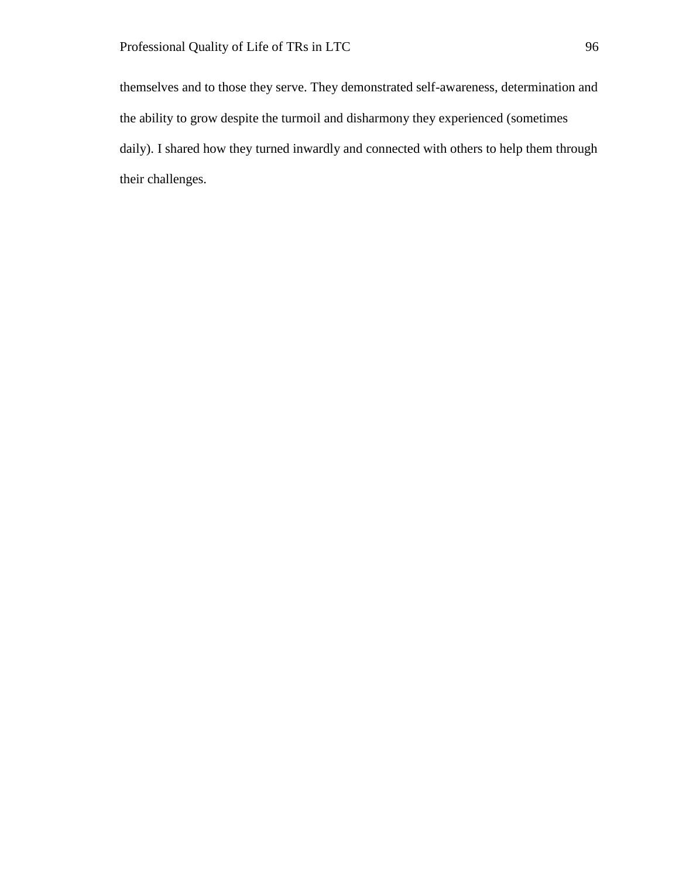themselves and to those they serve. They demonstrated self-awareness, determination and the ability to grow despite the turmoil and disharmony they experienced (sometimes daily). I shared how they turned inwardly and connected with others to help them through their challenges.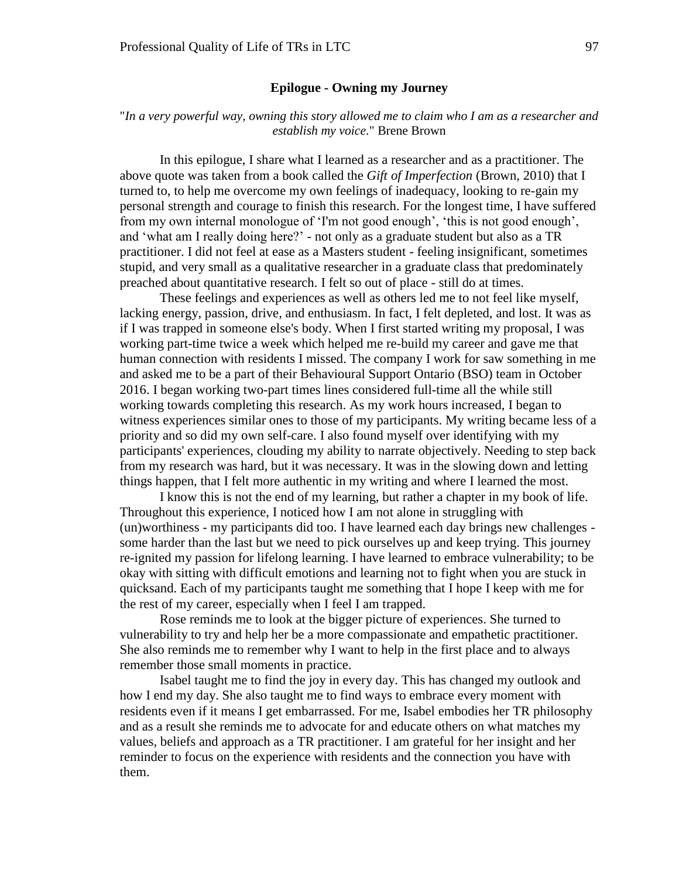## **Epilogue - Owning my Journey**

# "*In a very powerful way, owning this story allowed me to claim who I am as a researcher and establish my voice.*" Brene Brown

In this epilogue, I share what I learned as a researcher and as a practitioner. The above quote was taken from a book called the *Gift of Imperfection* (Brown, 2010) that I turned to, to help me overcome my own feelings of inadequacy, looking to re-gain my personal strength and courage to finish this research. For the longest time, I have suffered from my own internal monologue of 'I'm not good enough', 'this is not good enough', and 'what am I really doing here?' - not only as a graduate student but also as a TR practitioner. I did not feel at ease as a Masters student - feeling insignificant, sometimes stupid, and very small as a qualitative researcher in a graduate class that predominately preached about quantitative research. I felt so out of place - still do at times.

These feelings and experiences as well as others led me to not feel like myself, lacking energy, passion, drive, and enthusiasm. In fact, I felt depleted, and lost. It was as if I was trapped in someone else's body. When I first started writing my proposal, I was working part-time twice a week which helped me re-build my career and gave me that human connection with residents I missed. The company I work for saw something in me and asked me to be a part of their Behavioural Support Ontario (BSO) team in October 2016. I began working two-part times lines considered full-time all the while still working towards completing this research. As my work hours increased, I began to witness experiences similar ones to those of my participants. My writing became less of a priority and so did my own self-care. I also found myself over identifying with my participants' experiences, clouding my ability to narrate objectively. Needing to step back from my research was hard, but it was necessary. It was in the slowing down and letting things happen, that I felt more authentic in my writing and where I learned the most.

I know this is not the end of my learning, but rather a chapter in my book of life. Throughout this experience, I noticed how I am not alone in struggling with (un)worthiness - my participants did too. I have learned each day brings new challenges some harder than the last but we need to pick ourselves up and keep trying. This journey re-ignited my passion for lifelong learning. I have learned to embrace vulnerability; to be okay with sitting with difficult emotions and learning not to fight when you are stuck in quicksand. Each of my participants taught me something that I hope I keep with me for the rest of my career, especially when I feel I am trapped.

Rose reminds me to look at the bigger picture of experiences. She turned to vulnerability to try and help her be a more compassionate and empathetic practitioner. She also reminds me to remember why I want to help in the first place and to always remember those small moments in practice.

Isabel taught me to find the joy in every day. This has changed my outlook and how I end my day. She also taught me to find ways to embrace every moment with residents even if it means I get embarrassed. For me, Isabel embodies her TR philosophy and as a result she reminds me to advocate for and educate others on what matches my values, beliefs and approach as a TR practitioner. I am grateful for her insight and her reminder to focus on the experience with residents and the connection you have with them.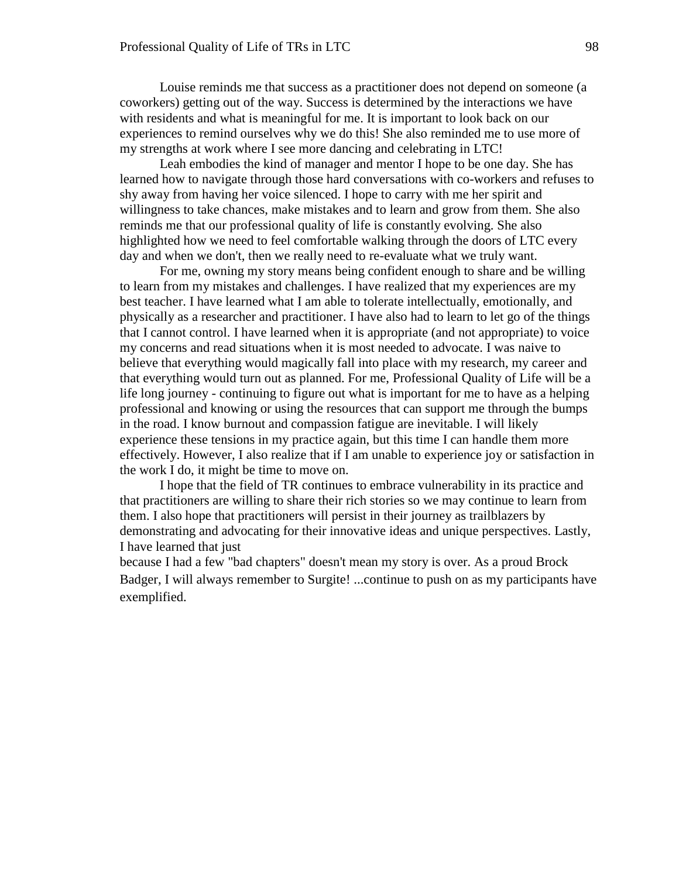Louise reminds me that success as a practitioner does not depend on someone (a coworkers) getting out of the way. Success is determined by the interactions we have with residents and what is meaningful for me. It is important to look back on our experiences to remind ourselves why we do this! She also reminded me to use more of my strengths at work where I see more dancing and celebrating in LTC!

Leah embodies the kind of manager and mentor I hope to be one day. She has learned how to navigate through those hard conversations with co-workers and refuses to shy away from having her voice silenced. I hope to carry with me her spirit and willingness to take chances, make mistakes and to learn and grow from them. She also reminds me that our professional quality of life is constantly evolving. She also highlighted how we need to feel comfortable walking through the doors of LTC every day and when we don't, then we really need to re-evaluate what we truly want.

For me, owning my story means being confident enough to share and be willing to learn from my mistakes and challenges. I have realized that my experiences are my best teacher. I have learned what I am able to tolerate intellectually, emotionally, and physically as a researcher and practitioner. I have also had to learn to let go of the things that I cannot control. I have learned when it is appropriate (and not appropriate) to voice my concerns and read situations when it is most needed to advocate. I was naive to believe that everything would magically fall into place with my research, my career and that everything would turn out as planned. For me, Professional Quality of Life will be a life long journey - continuing to figure out what is important for me to have as a helping professional and knowing or using the resources that can support me through the bumps in the road. I know burnout and compassion fatigue are inevitable. I will likely experience these tensions in my practice again, but this time I can handle them more effectively. However, I also realize that if I am unable to experience joy or satisfaction in the work I do, it might be time to move on.

I hope that the field of TR continues to embrace vulnerability in its practice and that practitioners are willing to share their rich stories so we may continue to learn from them. I also hope that practitioners will persist in their journey as trailblazers by demonstrating and advocating for their innovative ideas and unique perspectives. Lastly, I have learned that just

because I had a few "bad chapters" doesn't mean my story is over. As a proud Brock Badger, I will always remember to Surgite! ...continue to push on as my participants have exemplified.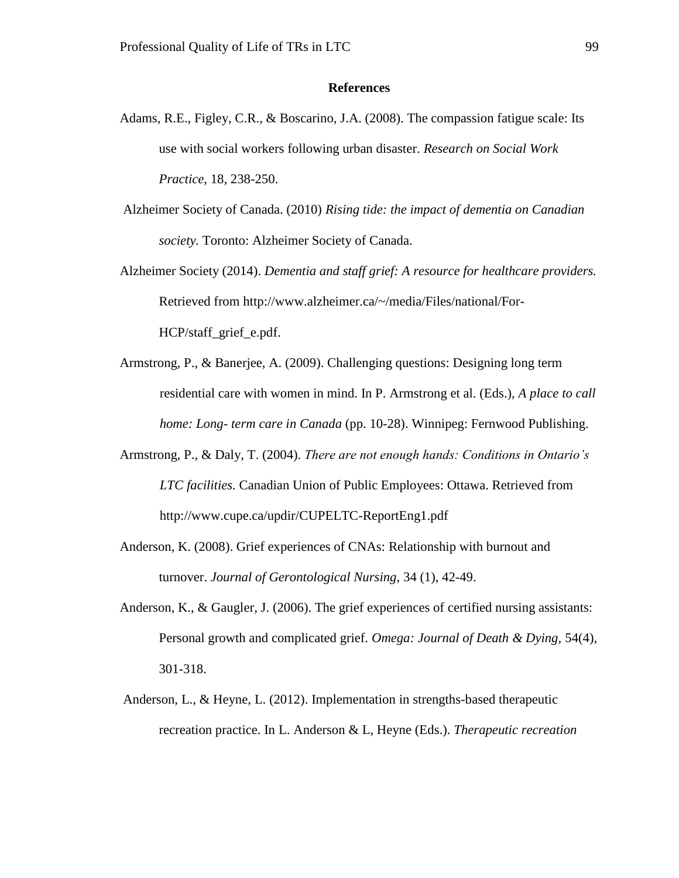## **References**

- Adams, R.E., Figley, C.R., & Boscarino, J.A. (2008). The compassion fatigue scale: Its use with social workers following urban disaster. *Research on Social Work Practice*, 18, 238-250.
- Alzheimer Society of Canada. (2010) *Rising tide: the impact of dementia on Canadian society.* Toronto: Alzheimer Society of Canada.
- Alzheimer Society (2014). *Dementia and staff grief: A resource for healthcare providers.* Retrieved from http://www.alzheimer.ca/~/media/Files/national/For-HCP/staff\_grief\_e.pdf.
- Armstrong, P., & Banerjee, A. (2009). Challenging questions: Designing long term residential care with women in mind. In P. Armstrong et al. (Eds.), *A place to call home: Long- term care in Canada* (pp. 10-28). Winnipeg: Fernwood Publishing.
- Armstrong, P., & Daly, T. (2004). *There are not enough hands: Conditions in Ontario's LTC facilities.* Canadian Union of Public Employees: Ottawa. Retrieved from http://www.cupe.ca/updir/CUPELTC-ReportEng1.pdf
- Anderson, K. (2008). Grief experiences of CNAs: Relationship with burnout and turnover. *Journal of Gerontological Nursing,* 34 (1), 42-49.
- Anderson, K., & Gaugler, J. (2006). The grief experiences of certified nursing assistants: Personal growth and complicated grief. *Omega: Journal of Death & Dying,* 54(4), 301-318.
- Anderson, L., & Heyne, L. (2012). Implementation in strengths-based therapeutic recreation practice. In L. Anderson & L, Heyne (Eds.). *Therapeutic recreation*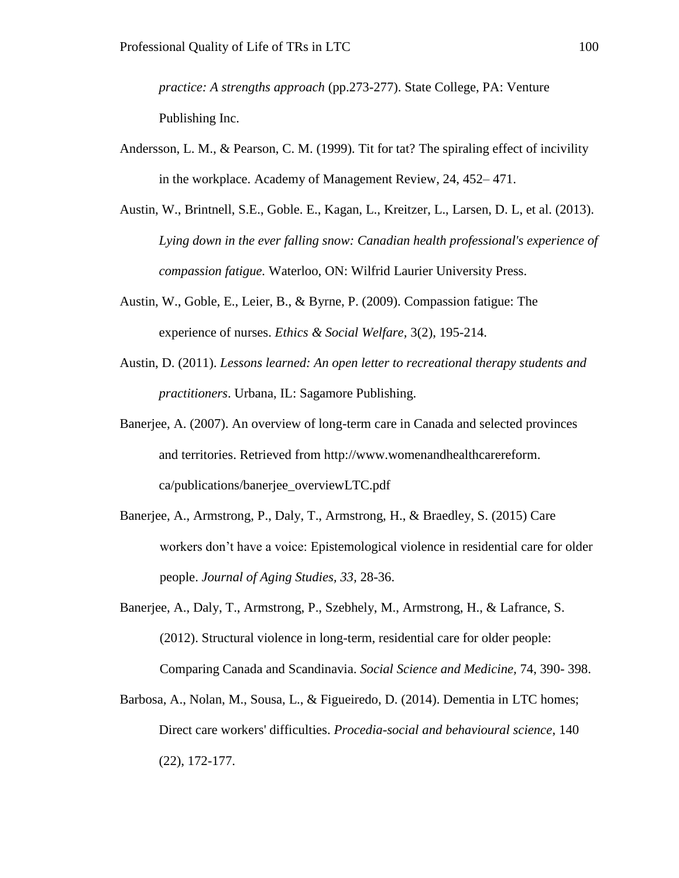*practice: A strengths approach* (pp.273-277). State College, PA: Venture Publishing Inc.

- Andersson, L. M., & Pearson, C. M. (1999). Tit for tat? The spiraling effect of incivility in the workplace. Academy of Management Review, 24, 452– 471.
- Austin, W., Brintnell, S.E., Goble. E., Kagan, L., Kreitzer, L., Larsen, D. L, et al. (2013). *Lying down in the ever falling snow: Canadian health professional's experience of compassion fatigue.* Waterloo, ON: Wilfrid Laurier University Press.
- Austin, W., Goble, E., Leier, B., & Byrne, P. (2009). Compassion fatigue: The experience of nurses. *Ethics & Social Welfare,* 3(2), 195-214.
- Austin, D. (2011). *Lessons learned: An open letter to recreational therapy students and practitioners*. Urbana, IL: Sagamore Publishing.
- Banerjee, A. (2007). An overview of long-term care in Canada and selected provinces and territories. Retrieved from http://www.womenandhealthcarereform. ca/publications/banerjee\_overviewLTC.pdf
- Banerjee, A., Armstrong, P., Daly, T., Armstrong, H., & Braedley, S. (2015) Care workers don't have a voice: Epistemological violence in residential care for older people. *Journal of Aging Studies, 33,* 28-36.
- Banerjee, A., Daly, T., Armstrong, P., Szebhely, M., Armstrong, H., & Lafrance, S. (2012). Structural violence in long-term, residential care for older people: Comparing Canada and Scandinavia. *Social Science and Medicine,* 74, 390- 398.
- Barbosa, A., Nolan, M., Sousa, L., & Figueiredo, D. (2014). Dementia in LTC homes; Direct care workers' difficulties. *Procedia-social and behavioural science*, 140 (22), 172-177.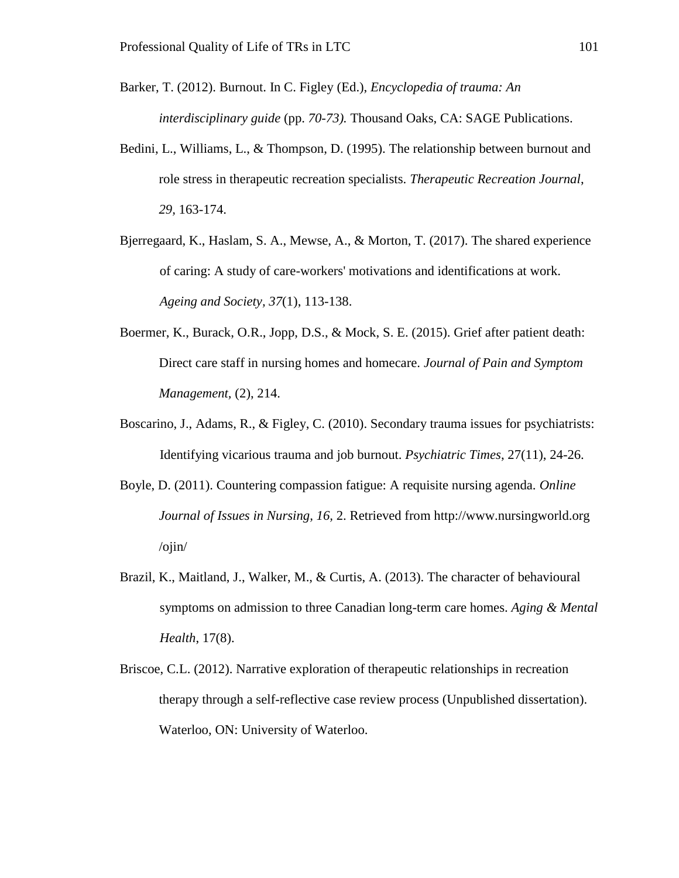Barker, T. (2012). Burnout. In C. Figley (Ed.), *Encyclopedia of trauma: An interdisciplinary guide* (pp. *70-73).* Thousand Oaks, CA: SAGE Publications.

- Bedini, L., Williams, L., & Thompson, D. (1995). The relationship between burnout and role stress in therapeutic recreation specialists. *Therapeutic Recreation Journal*, *29,* 163-174.
- Bjerregaard, K., Haslam, S. A., Mewse, A., & Morton, T. (2017). The shared experience of caring: A study of care-workers' motivations and identifications at work. *Ageing and Society, 37*(1), 113-138.
- Boermer, K., Burack, O.R., Jopp, D.S., & Mock, S. E. (2015). Grief after patient death: Direct care staff in nursing homes and homecare. *Journal of Pain and Symptom Management,* (2), 214.
- Boscarino, J., Adams, R., & Figley, C. (2010). Secondary trauma issues for psychiatrists: Identifying vicarious trauma and job burnout. *Psychiatric Times*, 27(11), 24-26.
- Boyle, D. (2011). Countering compassion fatigue: A requisite nursing agenda. *Online Journal of Issues in Nursing, 16,* 2. Retrieved from http://www.nursingworld.org /ojin/
- Brazil, K., Maitland, J., Walker, M., & Curtis, A. (2013). The character of behavioural symptoms on admission to three Canadian long-term care homes. *Aging & Mental Health*, 17(8).
- Briscoe, C.L. (2012). Narrative exploration of therapeutic relationships in recreation therapy through a self-reflective case review process (Unpublished dissertation). Waterloo, ON: University of Waterloo.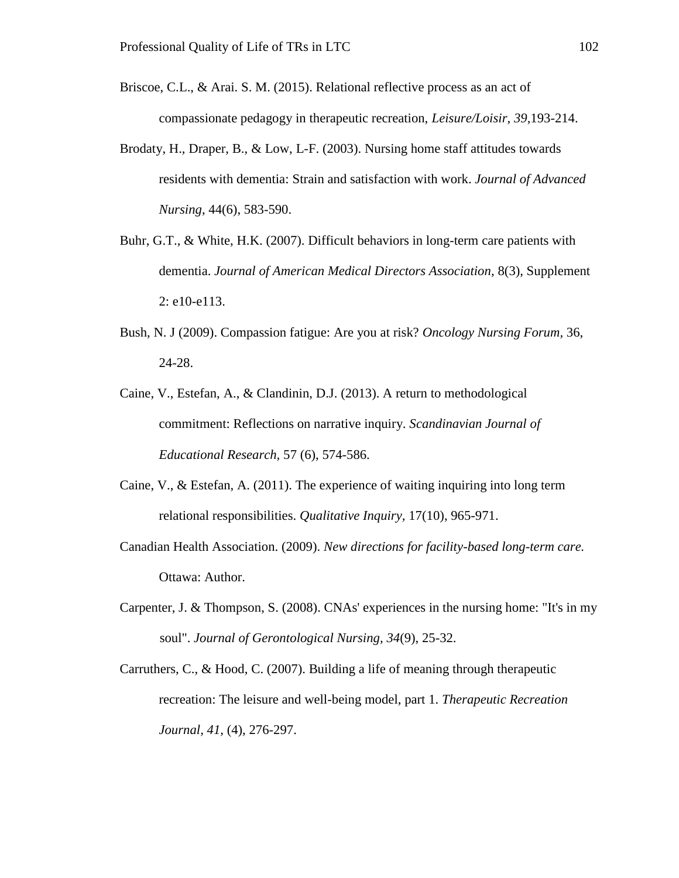Briscoe, C.L., & Arai. S. M. (2015). Relational reflective process as an act of compassionate pedagogy in therapeutic recreation, *Leisure/Loisir*, *39,*193-214.

- Brodaty, H., Draper, B., & Low, L-F. (2003). Nursing home staff attitudes towards residents with dementia: Strain and satisfaction with work. *Journal of Advanced Nursing*, 44(6), 583-590.
- Buhr, G.T., & White, H.K. (2007). Difficult behaviors in long-term care patients with dementia. *Journal of American Medical Directors Association*, 8(3), Supplement 2: e10-e113.
- Bush, N. J (2009). Compassion fatigue: Are you at risk? *Oncology Nursing Forum,* 36, 24-28.
- Caine, V., Estefan, A., & Clandinin, D.J. (2013). A return to methodological commitment: Reflections on narrative inquiry. *Scandinavian Journal of Educational Research,* 57 (6), 574-586.
- Caine, V., & Estefan, A. (2011). The experience of waiting inquiring into long term relational responsibilities. *Qualitative Inquiry,* 17(10), 965-971.
- Canadian Health Association. (2009). *New directions for facility-based long-term care.* Ottawa: Author.
- Carpenter, J. & Thompson, S. (2008). CNAs' experiences in the nursing home: "It's in my soul". *Journal of Gerontological Nursing, 34*(9), 25-32.
- Carruthers, C., & Hood, C. (2007). Building a life of meaning through therapeutic recreation: The leisure and well-being model, part 1. *Therapeutic Recreation Journal, 41,* (4), 276-297.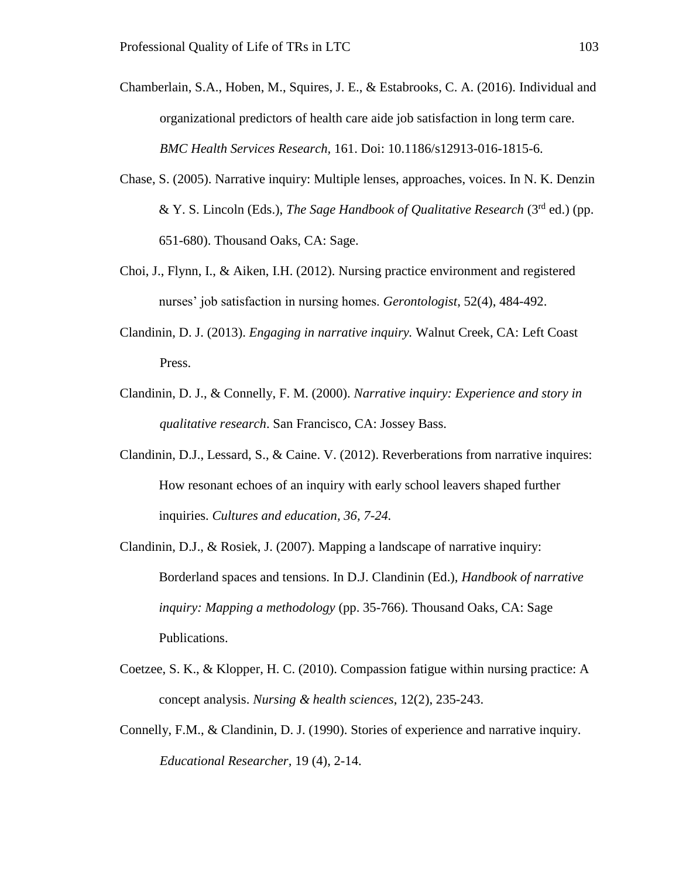- Chamberlain, S.A., Hoben, M., Squires, J. E., & Estabrooks, C. A. (2016). Individual and organizational predictors of health care aide job satisfaction in long term care. *BMC Health Services Research,* 161. Doi: 10.1186/s12913-016-1815-6.
- Chase, S. (2005). Narrative inquiry: Multiple lenses, approaches, voices. In N. K. Denzin & Y. S. Lincoln (Eds.), *The Sage Handbook of Qualitative Research* (3<sup>rd</sup> ed.) (pp. 651-680). Thousand Oaks, CA: Sage.
- Choi, J., Flynn, I., & Aiken, I.H. (2012). Nursing practice environment and registered nurses' job satisfaction in nursing homes. *Gerontologist*, 52(4), 484-492.
- Clandinin, D. J. (2013). *Engaging in narrative inquiry.* Walnut Creek, CA: Left Coast Press.
- Clandinin, D. J., & Connelly, F. M. (2000). *Narrative inquiry: Experience and story in qualitative research*. San Francisco, CA: Jossey Bass.
- Clandinin, D.J., Lessard, S., & Caine. V. (2012). Reverberations from narrative inquires: How resonant echoes of an inquiry with early school leavers shaped further inquiries. *Cultures and education, 36, 7-24.*
- Clandinin, D.J., & Rosiek, J. (2007). Mapping a landscape of narrative inquiry: Borderland spaces and tensions. In D.J. Clandinin (Ed.), *Handbook of narrative inquiry: Mapping a methodology* (pp. 35-766). Thousand Oaks, CA: Sage Publications.
- Coetzee, S. K., & Klopper, H. C. (2010). Compassion fatigue within nursing practice: A concept analysis. *Nursing & health sciences*, 12(2), 235-243.
- Connelly, F.M., & Clandinin, D. J. (1990). Stories of experience and narrative inquiry. *Educational Researcher,* 19 (4), 2-14.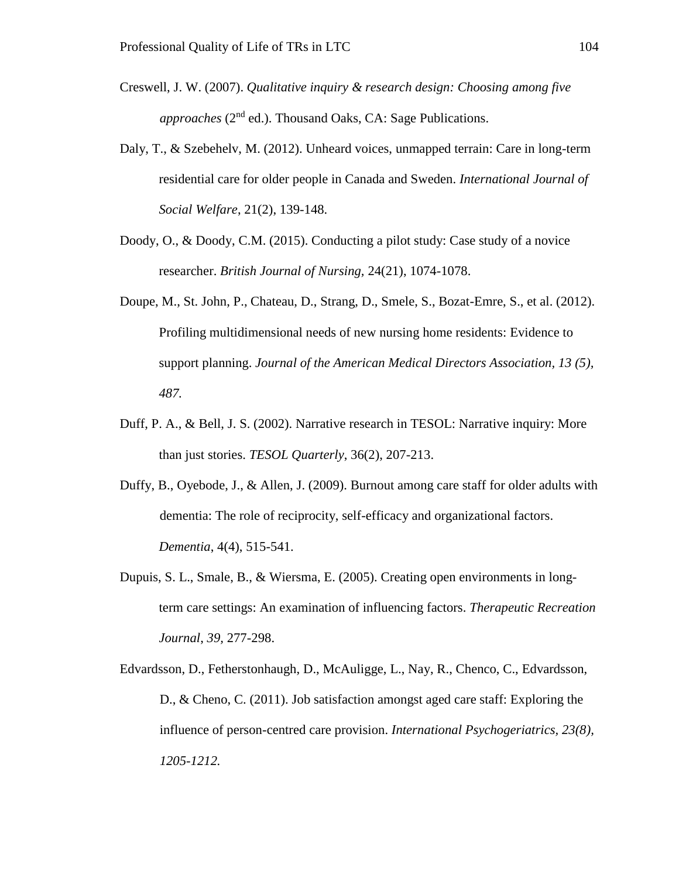- Creswell, J. W. (2007). *Qualitative inquiry & research design: Choosing among five* approaches (2<sup>nd</sup> ed.). Thousand Oaks, CA: Sage Publications.
- Daly, T., & Szebehelv, M. (2012). Unheard voices, unmapped terrain: Care in long-term residential care for older people in Canada and Sweden. *International Journal of Social Welfare*, 21(2), 139-148.
- Doody, O., & Doody, C.M. (2015). Conducting a pilot study: Case study of a novice researcher. *British Journal of Nursing,* 24(21), 1074-1078.
- Doupe, M., St. John, P., Chateau, D., Strang, D., Smele, S., Bozat-Emre, S., et al. (2012). Profiling multidimensional needs of new nursing home residents: Evidence to support planning. *Journal of the American Medical Directors Association, 13 (5), 487.*
- Duff, P. A., & Bell, J. S. (2002). Narrative research in TESOL: Narrative inquiry: More than just stories. *TESOL Quarterly*, 36(2), 207-213.
- Duffy, B., Oyebode, J., & Allen, J. (2009). Burnout among care staff for older adults with dementia: The role of reciprocity, self-efficacy and organizational factors. *Dementia*, 4(4), 515-541.
- Dupuis, S. L., Smale, B., & Wiersma, E. (2005). Creating open environments in longterm care settings: An examination of influencing factors. *Therapeutic Recreation Journal*, *39,* 277-298.
- Edvardsson, D., Fetherstonhaugh, D., McAuligge, L., Nay, R., Chenco, C., Edvardsson, D., & Cheno, C. (2011). Job satisfaction amongst aged care staff: Exploring the influence of person-centred care provision. *International Psychogeriatrics, 23(8), 1205-1212.*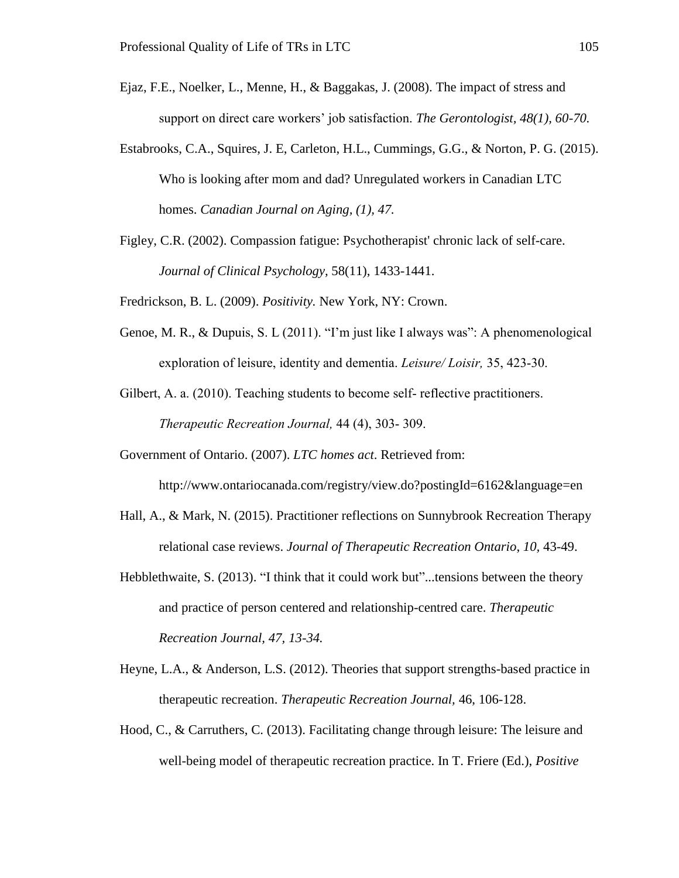- Ejaz, F.E., Noelker, L., Menne, H., & Baggakas, J. (2008). The impact of stress and support on direct care workers' job satisfaction. *The Gerontologist, 48(1), 60-70.*
- Estabrooks, C.A., Squires, J. E, Carleton, H.L., Cummings, G.G., & Norton, P. G. (2015). Who is looking after mom and dad? Unregulated workers in Canadian LTC homes. *Canadian Journal on Aging, (1), 47.*
- Figley, C.R. (2002). Compassion fatigue: Psychotherapist' chronic lack of self-care. *Journal of Clinical Psychology,* 58(11), 1433-1441.

Fredrickson, B. L. (2009). *Positivity.* New York, NY: Crown.

Genoe, M. R., & Dupuis, S. L (2011). "I'm just like I always was": A phenomenological exploration of leisure, identity and dementia. *Leisure/ Loisir,* 35, 423-30.

Gilbert, A. a. (2010). Teaching students to become self- reflective practitioners. *Therapeutic Recreation Journal,* 44 (4), 303- 309.

Government of Ontario. (2007). *LTC homes act*. Retrieved from:

http://www.ontariocanada.com/registry/view.do?postingId=6162&language=en

- Hall, A., & Mark, N. (2015). Practitioner reflections on Sunnybrook Recreation Therapy relational case reviews. *Journal of Therapeutic Recreation Ontario*, *10,* 43-49.
- Hebblethwaite, S. (2013). "I think that it could work but"...tensions between the theory and practice of person centered and relationship-centred care. *Therapeutic Recreation Journal, 47, 13-34.*
- Heyne, L.A., & Anderson, L.S. (2012). Theories that support strengths-based practice in therapeutic recreation. *Therapeutic Recreation Journal,* 46, 106-128.
- Hood, C., & Carruthers, C. (2013). Facilitating change through leisure: The leisure and well-being model of therapeutic recreation practice. In T. Friere (Ed.), *Positive*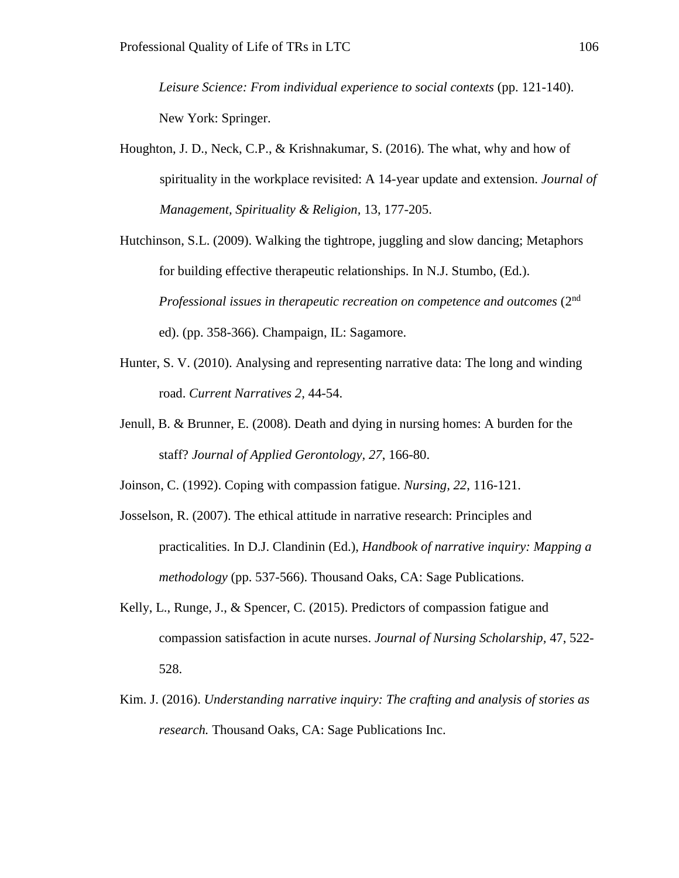*Leisure Science: From individual experience to social contexts* (pp. 121-140). New York: Springer.

Houghton, J. D., Neck, C.P., & Krishnakumar, S. (2016). The what, why and how of spirituality in the workplace revisited: A 14-year update and extension. *Journal of Management, Spirituality & Religion,* 13, 177-205.

Hutchinson, S.L. (2009). Walking the tightrope, juggling and slow dancing; Metaphors for building effective therapeutic relationships. In N.J. Stumbo, (Ed.). Professional issues in therapeutic recreation on competence and outcomes (2<sup>nd</sup> ed). (pp. 358-366). Champaign, IL: Sagamore.

- Hunter, S. V. (2010). Analysing and representing narrative data: The long and winding road. *Current Narratives 2,* 44-54.
- Jenull, B. & Brunner, E. (2008). Death and dying in nursing homes: A burden for the staff? *Journal of Applied Gerontology, 27*, 166-80.

Joinson, C. (1992). Coping with compassion fatigue. *Nursing, 22*, 116-121.

- Josselson, R. (2007). The ethical attitude in narrative research: Principles and practicalities. In D.J. Clandinin (Ed.), *Handbook of narrative inquiry: Mapping a methodology* (pp. 537-566). Thousand Oaks, CA: Sage Publications.
- Kelly, L., Runge, J., & Spencer, C. (2015). Predictors of compassion fatigue and compassion satisfaction in acute nurses. *Journal of Nursing Scholarship,* 47, 522- 528.
- Kim. J. (2016). *Understanding narrative inquiry: The crafting and analysis of stories as research.* Thousand Oaks, CA: Sage Publications Inc.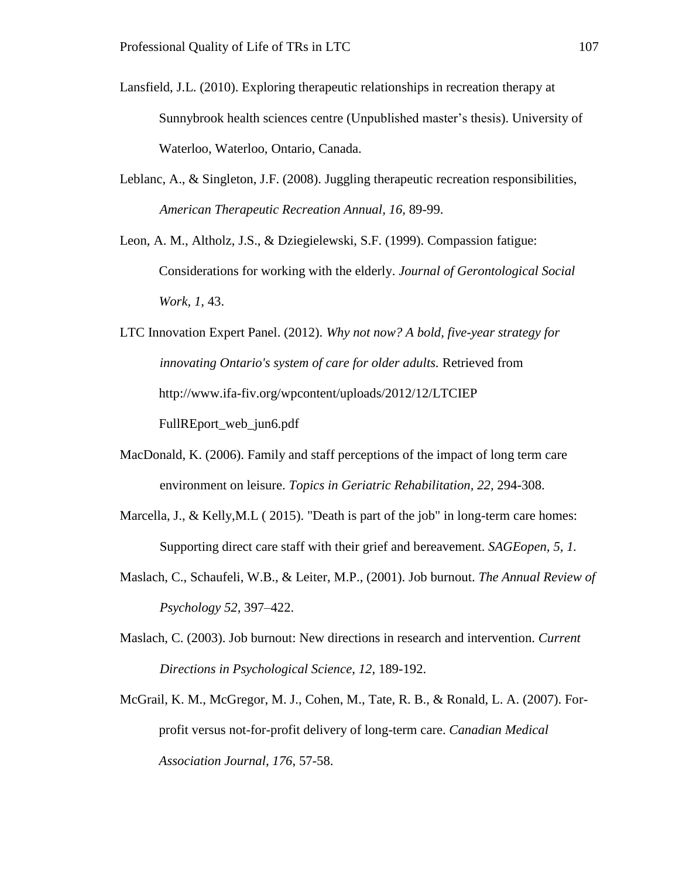- Lansfield, J.L. (2010). Exploring therapeutic relationships in recreation therapy at Sunnybrook health sciences centre (Unpublished master's thesis). University of Waterloo, Waterloo, Ontario, Canada.
- Leblanc, A., & Singleton, J.F. (2008). Juggling therapeutic recreation responsibilities, *American Therapeutic Recreation Annual, 16,* 89-99.
- Leon, A. M., Altholz, J.S., & Dziegielewski, S.F. (1999). Compassion fatigue: Considerations for working with the elderly. *Journal of Gerontological Social Work, 1,* 43.

LTC Innovation Expert Panel. (2012). *Why not now? A bold, five-year strategy for innovating Ontario's system of care for older adults.* Retrieved from http://www.ifa-fiv.org/wpcontent/uploads/2012/12/LTCIEP FullREport\_web\_jun6.pdf

- MacDonald, K. (2006). Family and staff perceptions of the impact of long term care environment on leisure. *Topics in Geriatric Rehabilitation, 22,* 294-308.
- Marcella, J., & Kelly, M.L (2015). "Death is part of the job" in long-term care homes: Supporting direct care staff with their grief and bereavement. *SAGEopen, 5, 1.*
- Maslach, C., Schaufeli, W.B., & Leiter, M.P., (2001). Job burnout. *The Annual Review of Psychology 52,* 397–422.
- Maslach, C. (2003). Job burnout: New directions in research and intervention. *Current Directions in Psychological Science*, *12,* 189-192.
- McGrail, K. M., McGregor, M. J., Cohen, M., Tate, R. B., & Ronald, L. A. (2007). Forprofit versus not-for-profit delivery of long-term care. *Canadian Medical Association Journal, 176*, 57-58.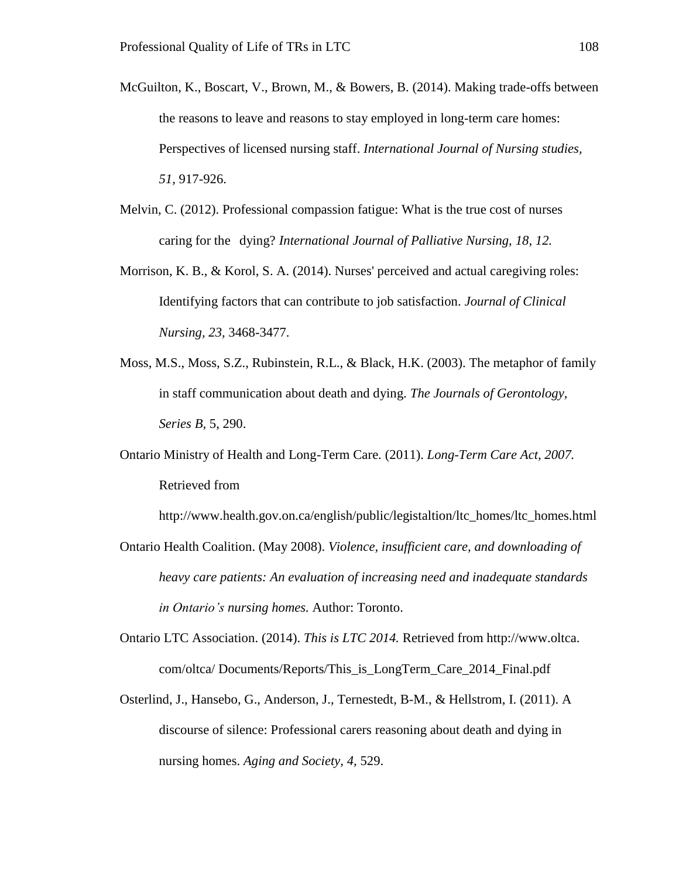- McGuilton, K., Boscart, V., Brown, M., & Bowers, B. (2014). Making trade-offs between the reasons to leave and reasons to stay employed in long-term care homes: Perspectives of licensed nursing staff. *International Journal of Nursing studies, 51,* 917-926.
- Melvin, C. (2012). Professional compassion fatigue: What is the true cost of nurses caring for the dying? *International Journal of Palliative Nursing, 18, 12.*
- Morrison, K. B., & Korol, S. A. (2014). Nurses' perceived and actual caregiving roles: Identifying factors that can contribute to job satisfaction. *Journal of Clinical Nursing, 23,* 3468-3477.
- Moss, M.S., Moss, S.Z., Rubinstein, R.L., & Black, H.K. (2003). The metaphor of family in staff communication about death and dying. *The Journals of Gerontology, Series B,* 5, 290.
- Ontario Ministry of Health and Long-Term Care. (2011). *Long-Term Care Act, 2007.* Retrieved from

http://www.health.gov.on.ca/english/public/legistaltion/ltc\_homes/ltc\_homes.html

- Ontario Health Coalition. (May 2008). *Violence, insufficient care, and downloading of heavy care patients: An evaluation of increasing need and inadequate standards in Ontario's nursing homes.* Author: Toronto.
- Ontario LTC Association. (2014). *This is LTC 2014.* Retrieved from http://www.oltca. com/oltca/ Documents/Reports/This\_is\_LongTerm\_Care\_2014\_Final.pdf
- Osterlind, J., Hansebo, G., Anderson, J., Ternestedt, B-M., & Hellstrom, I. (2011). A discourse of silence: Professional carers reasoning about death and dying in nursing homes. *Aging and Society, 4,* 529.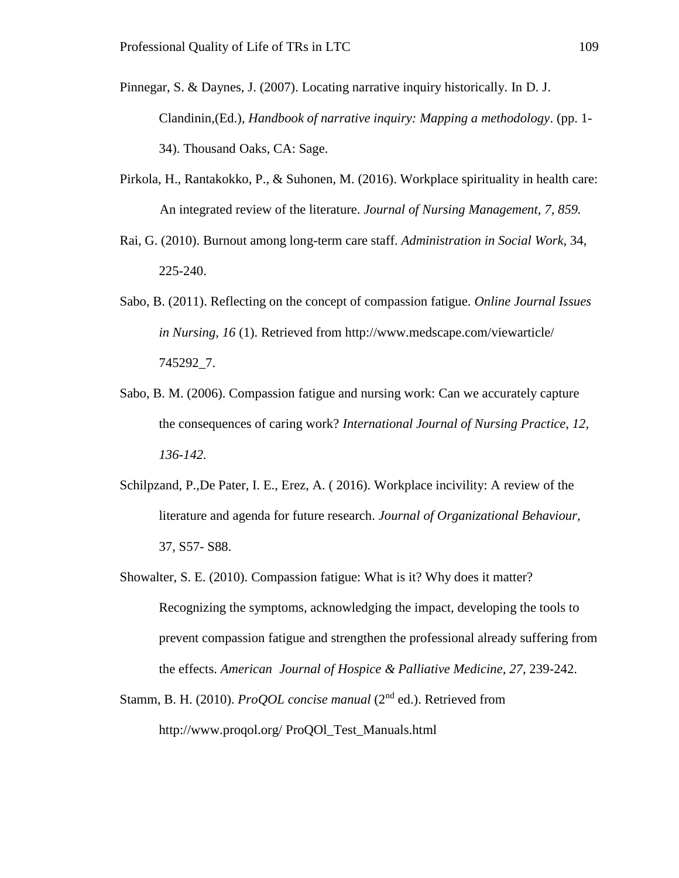- Pinnegar, S. & Daynes, J. (2007). Locating narrative inquiry historically. In D. J. Clandinin,(Ed.), *Handbook of narrative inquiry: Mapping a methodology*. (pp. 1- 34). Thousand Oaks, CA: Sage.
- Pirkola, H., Rantakokko, P., & Suhonen, M. (2016). Workplace spirituality in health care: An integrated review of the literature. *Journal of Nursing Management, 7, 859.*
- Rai, G. (2010). Burnout among long-term care staff. *Administration in Social Work*, 34, 225-240.
- Sabo, B. (2011). Reflecting on the concept of compassion fatigue. *Online Journal Issues in Nursing, 16* (1). Retrieved from http://www.medscape.com/viewarticle/ 745292\_7.
- Sabo, B. M. (2006). Compassion fatigue and nursing work: Can we accurately capture the consequences of caring work? *International Journal of Nursing Practice, 12, 136-142.*
- Schilpzand, P.*,*De Pater, I. E., Erez, A. ( 2016). Workplace incivility: A review of the literature and agenda for future research. *Journal of Organizational Behaviour,*  37, S57- S88.
- Showalter, S. E. (2010). Compassion fatigue: What is it? Why does it matter? Recognizing the symptoms, acknowledging the impact, developing the tools to prevent compassion fatigue and strengthen the professional already suffering from the effects. *American Journal of Hospice & Palliative Medicine, 27,* 239-242.
- Stamm, B. H. (2010). *ProQOL concise manual* (2<sup>nd</sup> ed.). Retrieved from http://www.proqol.org/ ProQOl\_Test\_Manuals.html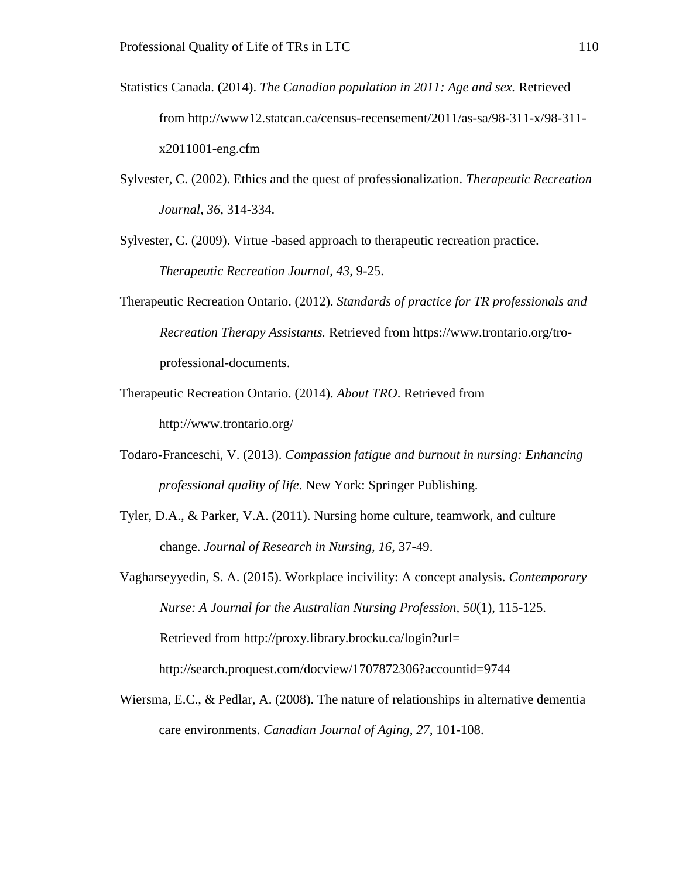- Statistics Canada. (2014). *The Canadian population in 2011: Age and sex.* Retrieved from http://www12.statcan.ca/census-recensement/2011/as-sa/98-311-x/98-311 x2011001-eng.cfm
- Sylvester, C. (2002). Ethics and the quest of professionalization. *Therapeutic Recreation Journal*, *36,* 314-334.

Sylvester, C. (2009). Virtue -based approach to therapeutic recreation practice. *Therapeutic Recreation Journal, 43,* 9-25.

- Therapeutic Recreation Ontario. (2012). *Standards of practice for TR professionals and Recreation Therapy Assistants.* Retrieved from https://www.trontario.org/troprofessional-documents.
- Therapeutic Recreation Ontario. (2014). *About TRO*. Retrieved from <http://www.trontario.org/>
- Todaro-Franceschi, V. (2013). *Compassion fatigue and burnout in nursing: Enhancing professional quality of life*. New York: Springer Publishing.
- Tyler, D.A., & Parker, V.A. (2011). Nursing home culture, teamwork, and culture change. *Journal of Research in Nursing, 16*, 37-49.

Vagharseyyedin, S. A. (2015). Workplace incivility: A concept analysis. *Contemporary Nurse: A Journal for the Australian Nursing Profession, 50*(1), 115-125. Retrieved from http://proxy.library.brocku.ca/login?url= http://search.proquest.com/docview/1707872306?accountid=9744

Wiersma, E.C., & Pedlar, A. (2008). The nature of relationships in alternative dementia care environments. *Canadian Journal of Aging*, *27,* 101-108.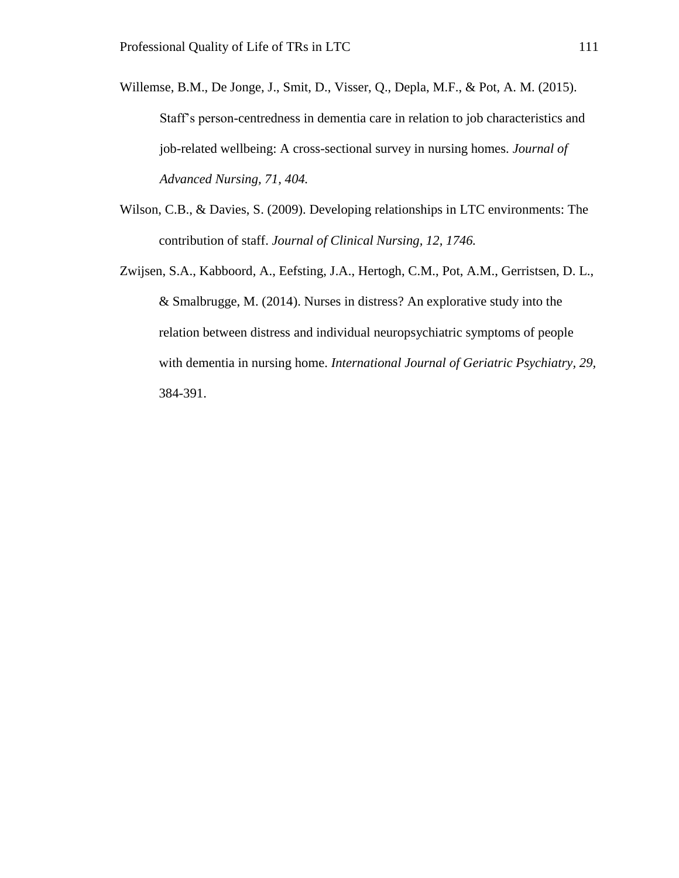- Willemse, B.M., De Jonge, J., Smit, D., Visser, Q., Depla, M.F., & Pot, A. M. (2015). Staff's person-centredness in dementia care in relation to job characteristics and job-related wellbeing: A cross-sectional survey in nursing homes. *Journal of Advanced Nursing, 71, 404.*
- Wilson, C.B., & Davies, S. (2009). Developing relationships in LTC environments: The contribution of staff. *Journal of Clinical Nursing, 12, 1746.*
- Zwijsen, S.A., Kabboord, A., Eefsting, J.A., Hertogh, C.M., Pot, A.M., Gerristsen, D. L., & Smalbrugge, M. (2014). Nurses in distress? An explorative study into the relation between distress and individual neuropsychiatric symptoms of people with dementia in nursing home. *International Journal of Geriatric Psychiatry, 29,* 384-391.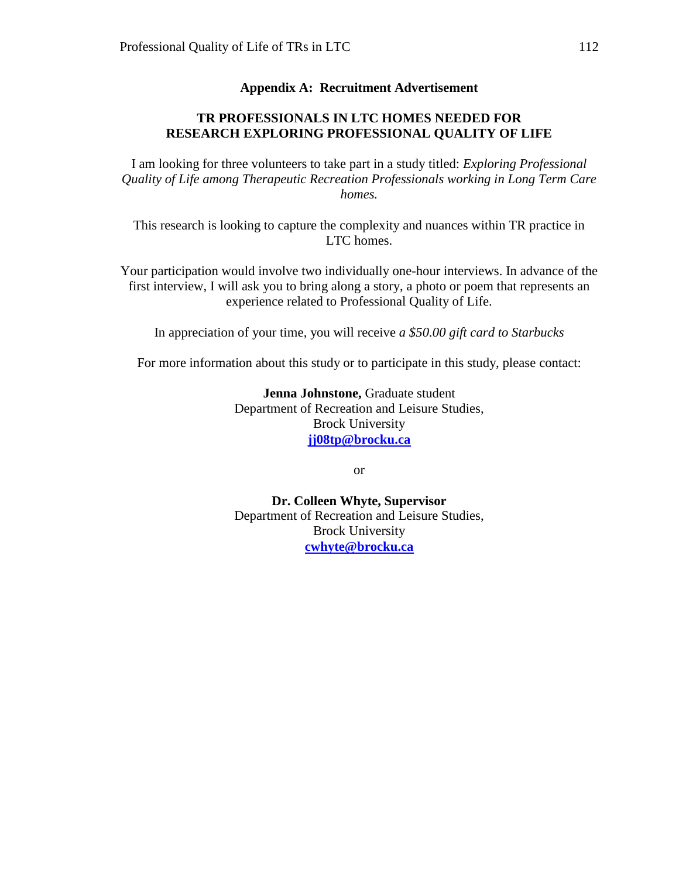#### **Appendix A: Recruitment Advertisement**

#### **TR PROFESSIONALS IN LTC HOMES NEEDED FOR RESEARCH EXPLORING PROFESSIONAL QUALITY OF LIFE**

I am looking for three volunteers to take part in a study titled: *Exploring Professional Quality of Life among Therapeutic Recreation Professionals working in Long Term Care homes.*

This research is looking to capture the complexity and nuances within TR practice in LTC homes.

Your participation would involve two individually one-hour interviews. In advance of the first interview, I will ask you to bring along a story, a photo or poem that represents an experience related to Professional Quality of Life.

In appreciation of your time, you will receive *a \$50.00 gift card to Starbucks*

For more information about this study or to participate in this study, please contact:

**Jenna Johnstone,** Graduate student Department of Recreation and Leisure Studies, Brock University **[jj08tp@brocku.ca](mailto:jj08tp@brocku.ca)**

or

**Dr. Colleen Whyte, Supervisor** Department of Recreation and Leisure Studies, Brock University **[cwhyte@brocku.ca](mailto:cwhyte@brocku.ca)**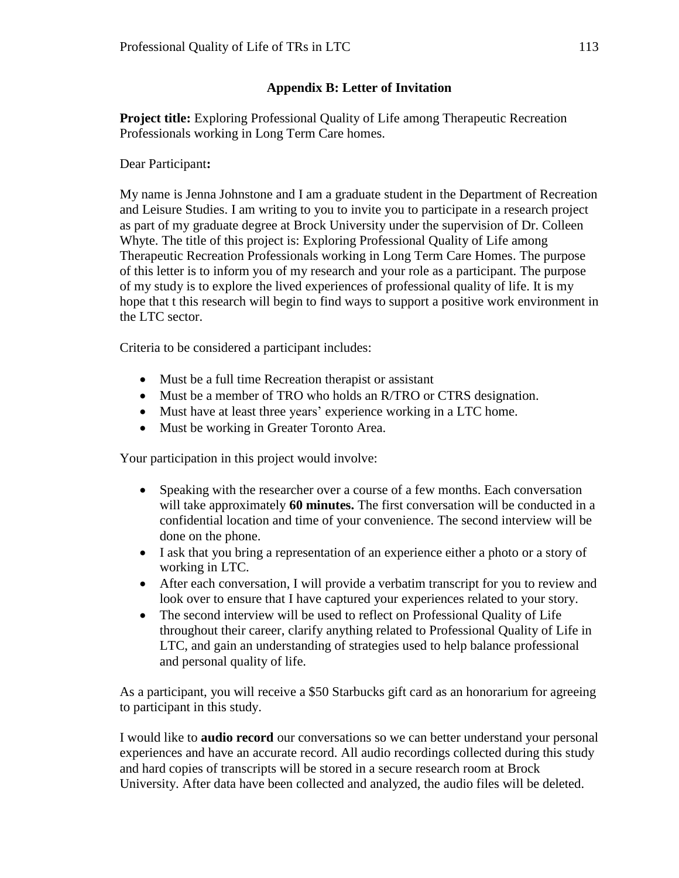# **Appendix B: Letter of Invitation**

**Project title:** Exploring Professional Quality of Life among Therapeutic Recreation Professionals working in Long Term Care homes.

#### Dear Participant**:**

My name is Jenna Johnstone and I am a graduate student in the Department of Recreation and Leisure Studies. I am writing to you to invite you to participate in a research project as part of my graduate degree at Brock University under the supervision of Dr. Colleen Whyte. The title of this project is: Exploring Professional Quality of Life among Therapeutic Recreation Professionals working in Long Term Care Homes. The purpose of this letter is to inform you of my research and your role as a participant. The purpose of my study is to explore the lived experiences of professional quality of life. It is my hope that t this research will begin to find ways to support a positive work environment in the LTC sector.

Criteria to be considered a participant includes:

- Must be a full time Recreation therapist or assistant
- Must be a member of TRO who holds an R/TRO or CTRS designation.
- Must have at least three years' experience working in a LTC home.
- Must be working in Greater Toronto Area.

Your participation in this project would involve:

- Speaking with the researcher over a course of a few months. Each conversation will take approximately **60 minutes.** The first conversation will be conducted in a confidential location and time of your convenience. The second interview will be done on the phone.
- I ask that you bring a representation of an experience either a photo or a story of working in LTC.
- After each conversation, I will provide a verbatim transcript for you to review and look over to ensure that I have captured your experiences related to your story.
- The second interview will be used to reflect on Professional Quality of Life throughout their career, clarify anything related to Professional Quality of Life in LTC, and gain an understanding of strategies used to help balance professional and personal quality of life.

As a participant, you will receive a \$50 Starbucks gift card as an honorarium for agreeing to participant in this study.

I would like to **audio record** our conversations so we can better understand your personal experiences and have an accurate record. All audio recordings collected during this study and hard copies of transcripts will be stored in a secure research room at Brock University. After data have been collected and analyzed, the audio files will be deleted.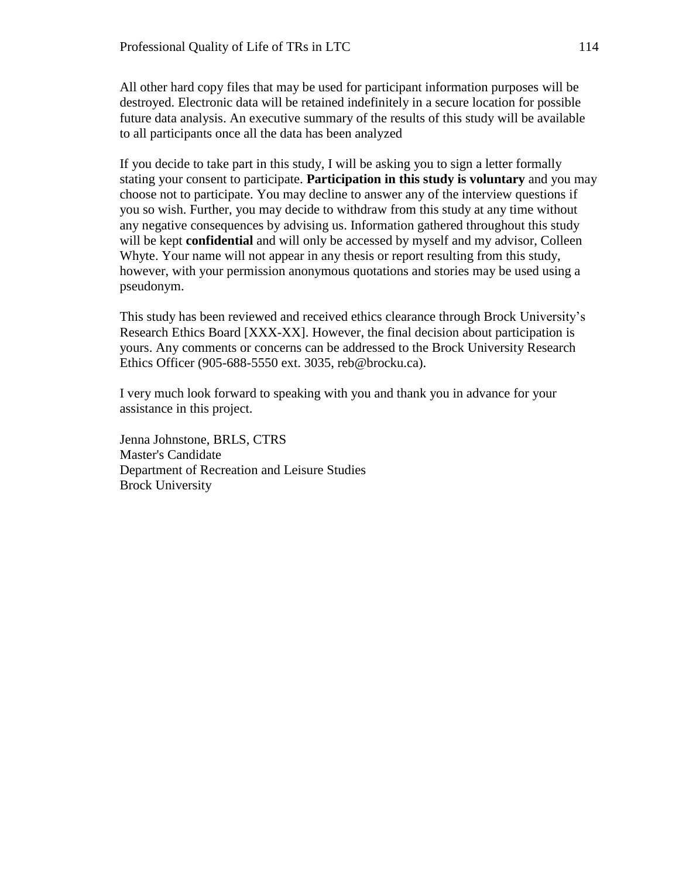All other hard copy files that may be used for participant information purposes will be destroyed. Electronic data will be retained indefinitely in a secure location for possible future data analysis. An executive summary of the results of this study will be available to all participants once all the data has been analyzed

If you decide to take part in this study, I will be asking you to sign a letter formally stating your consent to participate. **Participation in this study is voluntary** and you may choose not to participate. You may decline to answer any of the interview questions if you so wish. Further, you may decide to withdraw from this study at any time without any negative consequences by advising us. Information gathered throughout this study will be kept **confidential** and will only be accessed by myself and my advisor, Colleen Whyte. Your name will not appear in any thesis or report resulting from this study, however, with your permission anonymous quotations and stories may be used using a pseudonym.

This study has been reviewed and received ethics clearance through Brock University's Research Ethics Board [XXX-XX]. However, the final decision about participation is yours. Any comments or concerns can be addressed to the Brock University Research Ethics Officer (905-688-5550 ext. 3035, reb@brocku.ca).

I very much look forward to speaking with you and thank you in advance for your assistance in this project.

Jenna Johnstone, BRLS, CTRS Master's Candidate Department of Recreation and Leisure Studies Brock University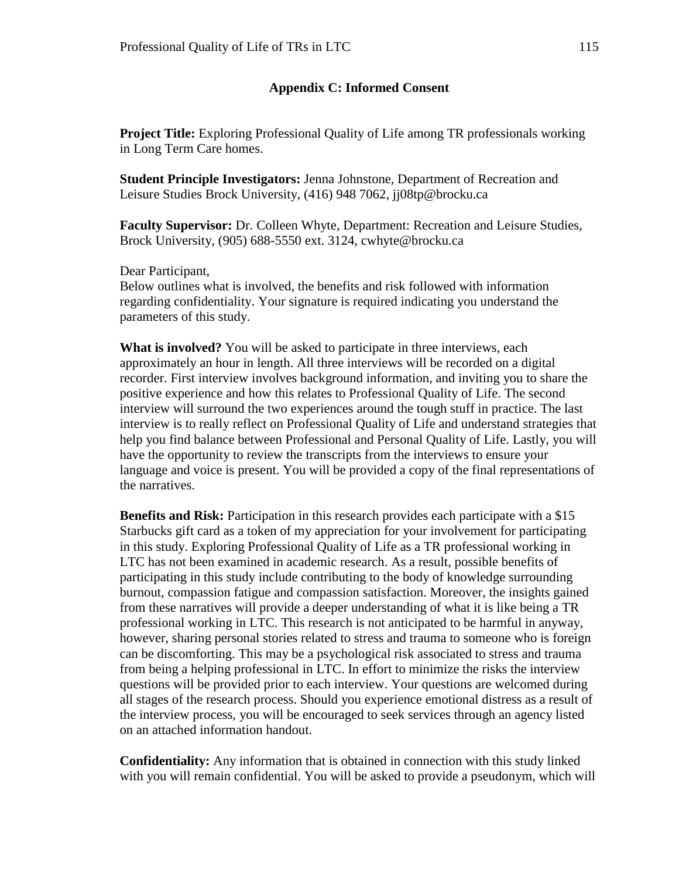#### **Appendix C: Informed Consent**

**Project Title:** Exploring Professional Quality of Life among TR professionals working in Long Term Care homes.

**Student Principle Investigators:** Jenna Johnstone, Department of Recreation and Leisure Studies Brock University, (416) 948 7062, jj08tp@brocku.ca

**Faculty Supervisor:** Dr. Colleen Whyte, Department: Recreation and Leisure Studies, Brock University, (905) 688-5550 ext. 3124, cwhyte@brocku.ca

Dear Participant,

Below outlines what is involved, the benefits and risk followed with information regarding confidentiality. Your signature is required indicating you understand the parameters of this study.

**What is involved?** You will be asked to participate in three interviews, each approximately an hour in length. All three interviews will be recorded on a digital recorder. First interview involves background information, and inviting you to share the positive experience and how this relates to Professional Quality of Life. The second interview will surround the two experiences around the tough stuff in practice. The last interview is to really reflect on Professional Quality of Life and understand strategies that help you find balance between Professional and Personal Quality of Life. Lastly, you will have the opportunity to review the transcripts from the interviews to ensure your language and voice is present. You will be provided a copy of the final representations of the narratives.

**Benefits and Risk:** Participation in this research provides each participate with a \$15 Starbucks gift card as a token of my appreciation for your involvement for participating in this study. Exploring Professional Quality of Life as a TR professional working in LTC has not been examined in academic research. As a result, possible benefits of participating in this study include contributing to the body of knowledge surrounding burnout, compassion fatigue and compassion satisfaction. Moreover, the insights gained from these narratives will provide a deeper understanding of what it is like being a TR professional working in LTC. This research is not anticipated to be harmful in anyway, however, sharing personal stories related to stress and trauma to someone who is foreign can be discomforting. This may be a psychological risk associated to stress and trauma from being a helping professional in LTC. In effort to minimize the risks the interview questions will be provided prior to each interview. Your questions are welcomed during all stages of the research process. Should you experience emotional distress as a result of the interview process, you will be encouraged to seek services through an agency listed on an attached information handout.

**Confidentiality:** Any information that is obtained in connection with this study linked with you will remain confidential. You will be asked to provide a pseudonym, which will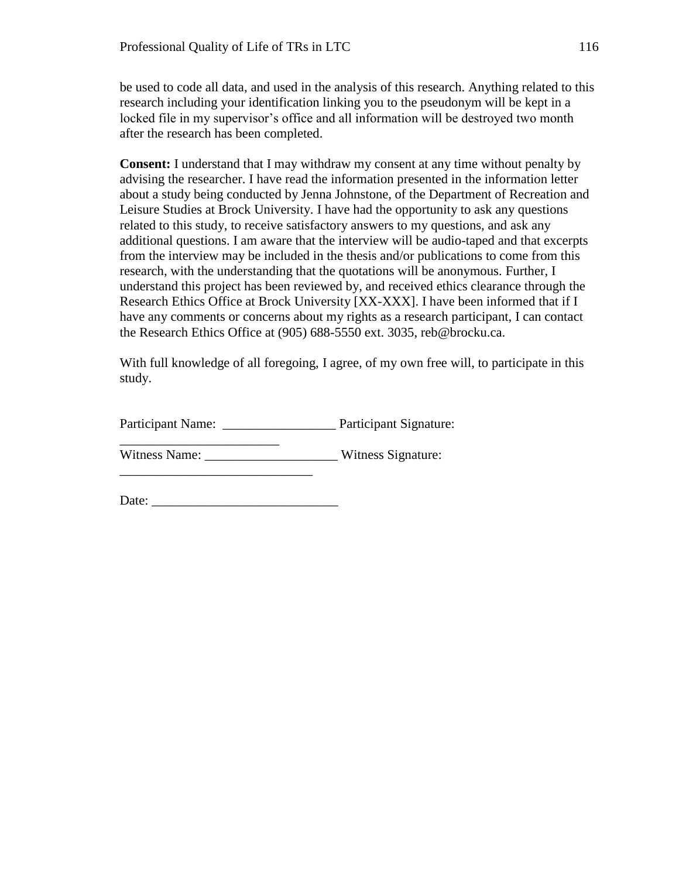be used to code all data, and used in the analysis of this research. Anything related to this research including your identification linking you to the pseudonym will be kept in a locked file in my supervisor's office and all information will be destroyed two month after the research has been completed.

**Consent:** I understand that I may withdraw my consent at any time without penalty by advising the researcher. I have read the information presented in the information letter about a study being conducted by Jenna Johnstone, of the Department of Recreation and Leisure Studies at Brock University. I have had the opportunity to ask any questions related to this study, to receive satisfactory answers to my questions, and ask any additional questions. I am aware that the interview will be audio-taped and that excerpts from the interview may be included in the thesis and/or publications to come from this research, with the understanding that the quotations will be anonymous. Further, I understand this project has been reviewed by, and received ethics clearance through the Research Ethics Office at Brock University [XX-XXX]. I have been informed that if I have any comments or concerns about my rights as a research participant, I can contact the Research Ethics Office at (905) 688-5550 ext. 3035, reb@brocku.ca.

With full knowledge of all foregoing, I agree, of my own free will, to participate in this study.

Participant Name: \_\_\_\_\_\_\_\_\_\_\_\_\_\_\_\_\_ Participant Signature:

\_\_\_\_\_\_\_\_\_\_\_\_\_\_\_\_\_\_\_\_\_\_\_\_ Witness Name: \_\_\_\_\_\_\_\_\_\_\_\_\_\_\_\_\_\_\_\_\_\_\_\_\_\_\_\_\_\_\_Witness Signature:

Date:

\_\_\_\_\_\_\_\_\_\_\_\_\_\_\_\_\_\_\_\_\_\_\_\_\_\_\_\_\_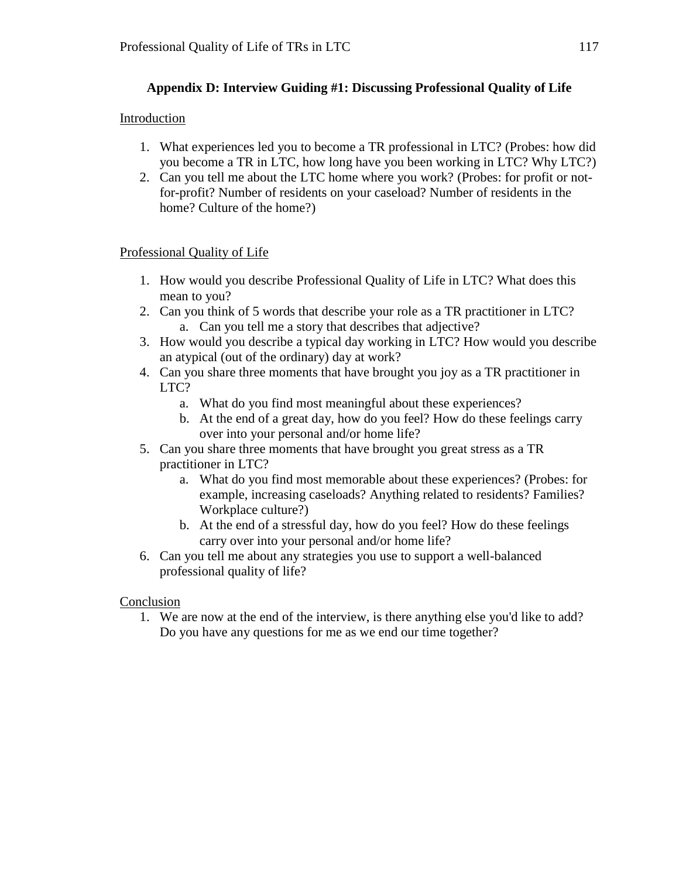# **Appendix D: Interview Guiding #1: Discussing Professional Quality of Life**

### Introduction

- 1. What experiences led you to become a TR professional in LTC? (Probes: how did you become a TR in LTC, how long have you been working in LTC? Why LTC?)
- 2. Can you tell me about the LTC home where you work? (Probes: for profit or notfor-profit? Number of residents on your caseload? Number of residents in the home? Culture of the home?)

### Professional Quality of Life

- 1. How would you describe Professional Quality of Life in LTC? What does this mean to you?
- 2. Can you think of 5 words that describe your role as a TR practitioner in LTC? a. Can you tell me a story that describes that adjective?
- 3. How would you describe a typical day working in LTC? How would you describe an atypical (out of the ordinary) day at work?
- 4. Can you share three moments that have brought you joy as a TR practitioner in LTC?
	- a. What do you find most meaningful about these experiences?
	- b. At the end of a great day, how do you feel? How do these feelings carry over into your personal and/or home life?
- 5. Can you share three moments that have brought you great stress as a TR practitioner in LTC?
	- a. What do you find most memorable about these experiences? (Probes: for example, increasing caseloads? Anything related to residents? Families? Workplace culture?)
	- b. At the end of a stressful day, how do you feel? How do these feelings carry over into your personal and/or home life?
- 6. Can you tell me about any strategies you use to support a well-balanced professional quality of life?

### Conclusion

1. We are now at the end of the interview, is there anything else you'd like to add? Do you have any questions for me as we end our time together?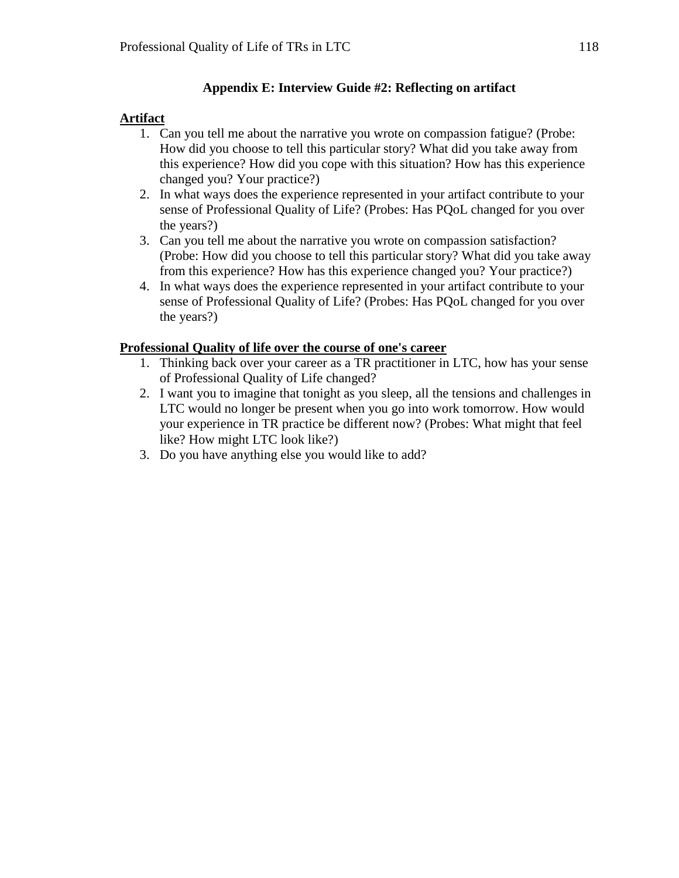### **Appendix E: Interview Guide #2: Reflecting on artifact**

# **Artifact**

- 1. Can you tell me about the narrative you wrote on compassion fatigue? (Probe: How did you choose to tell this particular story? What did you take away from this experience? How did you cope with this situation? How has this experience changed you? Your practice?)
- 2. In what ways does the experience represented in your artifact contribute to your sense of Professional Quality of Life? (Probes: Has PQoL changed for you over the years?)
- 3. Can you tell me about the narrative you wrote on compassion satisfaction? (Probe: How did you choose to tell this particular story? What did you take away from this experience? How has this experience changed you? Your practice?)
- 4. In what ways does the experience represented in your artifact contribute to your sense of Professional Quality of Life? (Probes: Has PQoL changed for you over the years?)

### **Professional Quality of life over the course of one's career**

- 1. Thinking back over your career as a TR practitioner in LTC, how has your sense of Professional Quality of Life changed?
- 2. I want you to imagine that tonight as you sleep, all the tensions and challenges in LTC would no longer be present when you go into work tomorrow. How would your experience in TR practice be different now? (Probes: What might that feel like? How might LTC look like?)
- 3. Do you have anything else you would like to add?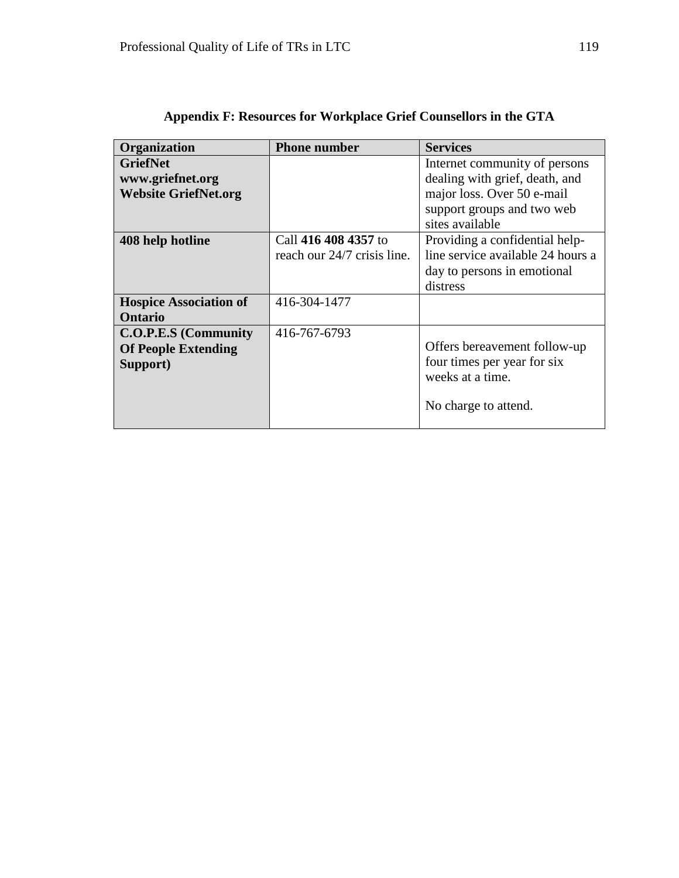| <b>Organization</b>                                                   | <b>Phone number</b>                                 | <b>Services</b>                                                                                                |  |  |  |  |
|-----------------------------------------------------------------------|-----------------------------------------------------|----------------------------------------------------------------------------------------------------------------|--|--|--|--|
| <b>GriefNet</b><br>www.griefnet.org                                   |                                                     | Internet community of persons<br>dealing with grief, death, and                                                |  |  |  |  |
| <b>Website GriefNet.org</b>                                           |                                                     | major loss. Over 50 e-mail<br>support groups and two web<br>sites available                                    |  |  |  |  |
| 408 help hotline                                                      | Call 416 408 4357 to<br>reach our 24/7 crisis line. | Providing a confidential help-<br>line service available 24 hours a<br>day to persons in emotional<br>distress |  |  |  |  |
| <b>Hospice Association of</b><br>Ontario                              | 416-304-1477                                        |                                                                                                                |  |  |  |  |
| <b>C.O.P.E.S</b> (Community<br><b>Of People Extending</b><br>Support) | 416-767-6793                                        | Offers bereavement follow-up<br>four times per year for six<br>weeks at a time.<br>No charge to attend.        |  |  |  |  |

|  |  | Appendix F: Resources for Workplace Grief Counsellors in the GTA |  |  |  |  |  |
|--|--|------------------------------------------------------------------|--|--|--|--|--|